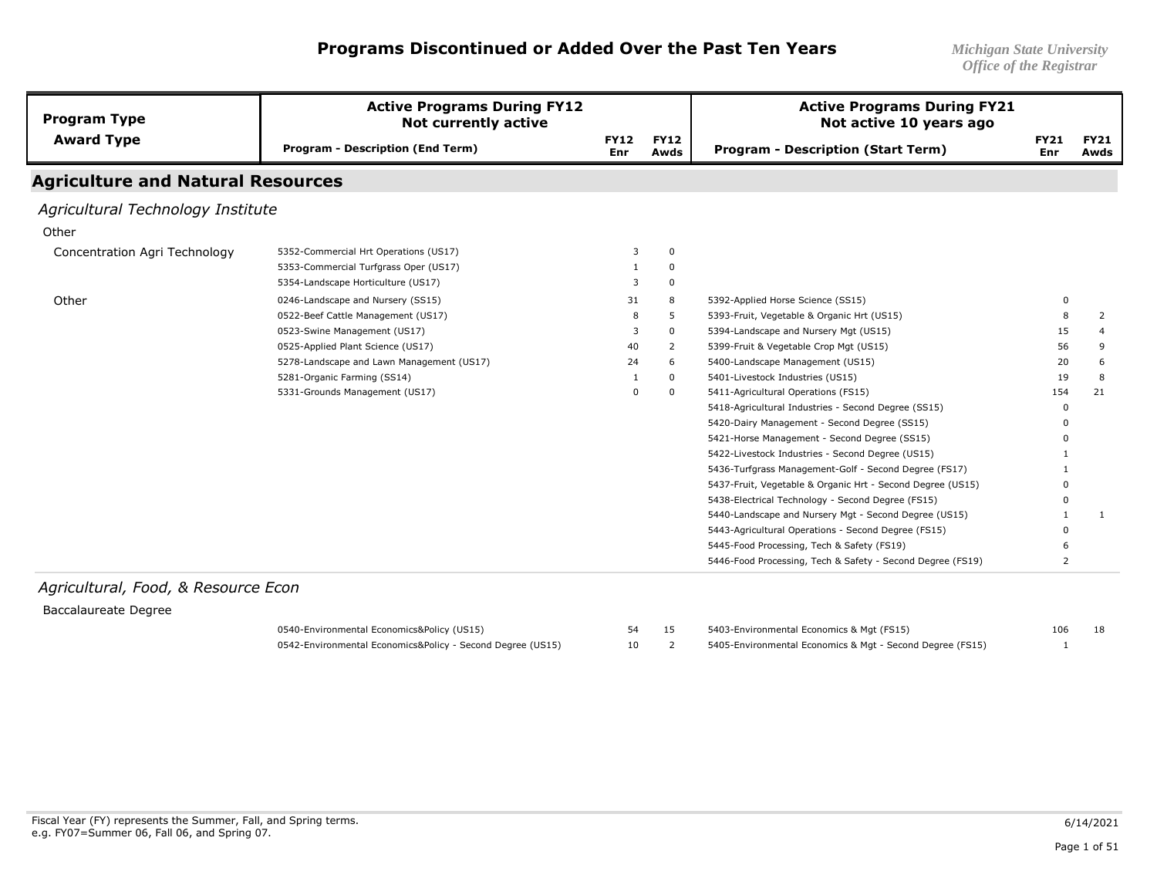| <b>Program Type</b>                      | <b>Active Programs During FY12</b><br><b>Not currently active</b> |                           |                     | <b>Active Programs During FY21</b><br>Not active 10 years ago |                    |                     |
|------------------------------------------|-------------------------------------------------------------------|---------------------------|---------------------|---------------------------------------------------------------|--------------------|---------------------|
| <b>Award Type</b>                        | <b>Program - Description (End Term)</b>                           | <b>FY12</b><br><b>Enr</b> | <b>FY12</b><br>Awds | <b>Program - Description (Start Term)</b>                     | <b>FY21</b><br>Enr | <b>FY21</b><br>Awds |
| <b>Agriculture and Natural Resources</b> |                                                                   |                           |                     |                                                               |                    |                     |
| Agricultural Technology Institute        |                                                                   |                           |                     |                                                               |                    |                     |
| Other                                    |                                                                   |                           |                     |                                                               |                    |                     |
| Concentration Agri Technology            | 5352-Commercial Hrt Operations (US17)                             | 3                         | $\mathbf 0$         |                                                               |                    |                     |
|                                          | 5353-Commercial Turfgrass Oper (US17)                             |                           | 0                   |                                                               |                    |                     |
|                                          | 5354-Landscape Horticulture (US17)                                | 3                         | $\mathbf 0$         |                                                               |                    |                     |
| Other                                    | 0246-Landscape and Nursery (SS15)                                 | 31                        | 8                   | 5392-Applied Horse Science (SS15)                             | 0                  |                     |
|                                          | 0522-Beef Cattle Management (US17)                                | 8                         | 5                   | 5393-Fruit, Vegetable & Organic Hrt (US15)                    | 8                  | 2                   |
|                                          | 0523-Swine Management (US17)                                      | 3                         | $\mathbf 0$         | 5394-Landscape and Nursery Mgt (US15)                         | 15                 | 4                   |
|                                          | 0525-Applied Plant Science (US17)                                 | 40                        | 2                   | 5399-Fruit & Vegetable Crop Mgt (US15)                        | 56                 | 9                   |
|                                          | 5278-Landscape and Lawn Management (US17)                         | 24                        | 6                   | 5400-Landscape Management (US15)                              | 20                 | 6                   |
|                                          | 5281-Organic Farming (SS14)                                       |                           | 0                   | 5401-Livestock Industries (US15)                              | 19                 | 8                   |
|                                          | 5331-Grounds Management (US17)                                    | $\Omega$                  | $\mathbf 0$         | 5411-Agricultural Operations (FS15)                           | 154                | 21                  |
|                                          |                                                                   |                           |                     | 5418-Agricultural Industries - Second Degree (SS15)           | $\Omega$           |                     |
|                                          |                                                                   |                           |                     | 5420-Dairy Management - Second Degree (SS15)                  | <sup>0</sup>       |                     |
|                                          |                                                                   |                           |                     | 5421-Horse Management - Second Degree (SS15)                  |                    |                     |
|                                          |                                                                   |                           |                     | 5422-Livestock Industries - Second Degree (US15)              |                    |                     |
|                                          |                                                                   |                           |                     | 5436-Turfgrass Management-Golf - Second Degree (FS17)         |                    |                     |
|                                          |                                                                   |                           |                     | 5437-Fruit, Vegetable & Organic Hrt - Second Degree (US15)    | 0                  |                     |
|                                          |                                                                   |                           |                     | 5438-Electrical Technology - Second Degree (FS15)             | $\Omega$           |                     |
|                                          |                                                                   |                           |                     | 5440-Landscape and Nursery Mgt - Second Degree (US15)         |                    | -1                  |
|                                          |                                                                   |                           |                     | 5443-Agricultural Operations - Second Degree (FS15)           | <sup>0</sup>       |                     |
|                                          |                                                                   |                           |                     | 5445-Food Processing, Tech & Safety (FS19)                    |                    |                     |
|                                          |                                                                   |                           |                     | 5446-Food Processing, Tech & Safety - Second Degree (FS19)    | 2                  |                     |

#### *Agricultural, Food, & Resource Econ*

#### Baccalaureate Degree

0540-Environmental Economics&Policy (US15) 0542-Environmental Economics&Policy - Second Degree (US15)

| 54 | 5403-Environmental Economics & Mgt (FS15)                 | 106 |  |
|----|-----------------------------------------------------------|-----|--|
| 10 | 5405-Environmental Economics & Mgt - Second Degree (FS15) |     |  |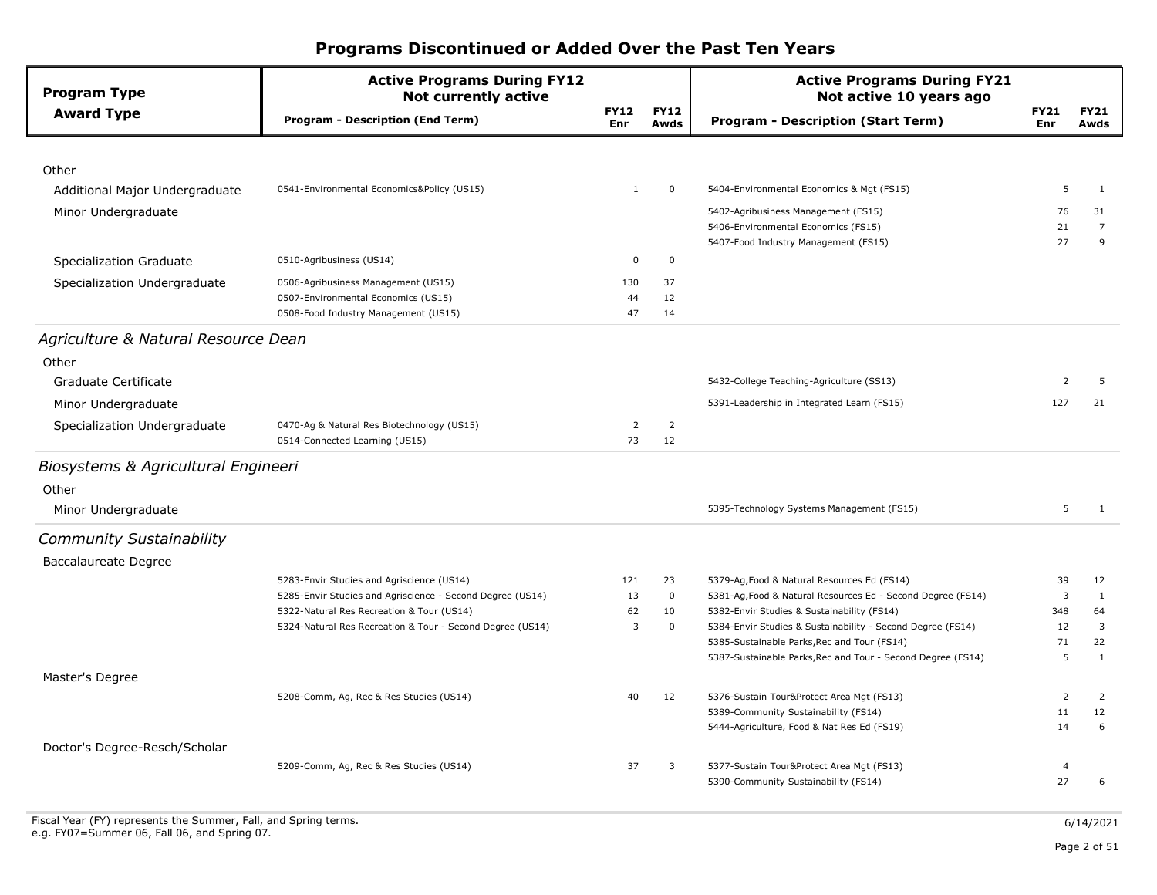| <b>Program Type</b>                 | <b>Active Programs During FY12</b><br><b>Not currently active</b>          |                           |                     | <b>Active Programs During FY21</b><br>Not active 10 years ago                                              |                    |                     |                     |
|-------------------------------------|----------------------------------------------------------------------------|---------------------------|---------------------|------------------------------------------------------------------------------------------------------------|--------------------|---------------------|---------------------|
| <b>Award Type</b>                   | <b>Program - Description (End Term)</b>                                    | <b>FY12</b><br><b>Enr</b> | <b>FY12</b><br>Awds | <b>Program - Description (Start Term)</b>                                                                  | <b>FY21</b><br>Enr | <b>FY21</b><br>Awds |                     |
|                                     |                                                                            |                           |                     |                                                                                                            |                    |                     |                     |
| Other                               |                                                                            |                           |                     |                                                                                                            |                    |                     |                     |
| Additional Major Undergraduate      | 0541-Environmental Economics&Policy (US15)                                 | 1                         | $\mathbf 0$         | 5404-Environmental Economics & Mgt (FS15)                                                                  | 5                  |                     | $\mathbf{1}$        |
| Minor Undergraduate                 |                                                                            |                           |                     | 5402-Agribusiness Management (FS15)                                                                        | 76                 | 31                  |                     |
|                                     |                                                                            |                           |                     | 5406-Environmental Economics (FS15)                                                                        | 21<br>27           |                     | $\overline{7}$<br>9 |
|                                     | 0510-Agribusiness (US14)                                                   | 0                         | $\mathbf 0$         | 5407-Food Industry Management (FS15)                                                                       |                    |                     |                     |
| Specialization Graduate             |                                                                            |                           |                     |                                                                                                            |                    |                     |                     |
| Specialization Undergraduate        | 0506-Agribusiness Management (US15)<br>0507-Environmental Economics (US15) | 130                       | 37<br>12            |                                                                                                            |                    |                     |                     |
|                                     | 0508-Food Industry Management (US15)                                       | 44<br>47                  | 14                  |                                                                                                            |                    |                     |                     |
|                                     |                                                                            |                           |                     |                                                                                                            |                    |                     |                     |
| Agriculture & Natural Resource Dean |                                                                            |                           |                     |                                                                                                            |                    |                     |                     |
| Other                               |                                                                            |                           |                     |                                                                                                            |                    |                     |                     |
| Graduate Certificate                |                                                                            |                           |                     | 5432-College Teaching-Agriculture (SS13)                                                                   | $\overline{2}$     |                     | 5                   |
| Minor Undergraduate                 |                                                                            |                           |                     | 5391-Leadership in Integrated Learn (FS15)                                                                 | 127                | 21                  |                     |
| Specialization Undergraduate        | 0470-Ag & Natural Res Biotechnology (US15)                                 | $\overline{2}$            | $\overline{2}$      |                                                                                                            |                    |                     |                     |
|                                     | 0514-Connected Learning (US15)                                             | 73                        | 12                  |                                                                                                            |                    |                     |                     |
| Biosystems & Agricultural Engineeri |                                                                            |                           |                     |                                                                                                            |                    |                     |                     |
| Other                               |                                                                            |                           |                     |                                                                                                            |                    |                     |                     |
| Minor Undergraduate                 |                                                                            |                           |                     | 5395-Technology Systems Management (FS15)                                                                  | 5                  |                     | 1                   |
| <b>Community Sustainability</b>     |                                                                            |                           |                     |                                                                                                            |                    |                     |                     |
| Baccalaureate Degree                |                                                                            |                           |                     |                                                                                                            |                    |                     |                     |
|                                     | 5283-Envir Studies and Agriscience (US14)                                  | 121                       | 23                  | 5379-Ag, Food & Natural Resources Ed (FS14)                                                                | 39                 | 12                  |                     |
|                                     | 5285-Envir Studies and Agriscience - Second Degree (US14)                  | 13                        | $\mathbf 0$         | 5381-Ag, Food & Natural Resources Ed - Second Degree (FS14)                                                | 3                  |                     | $\mathbf{1}$        |
|                                     | 5322-Natural Res Recreation & Tour (US14)                                  | 62                        | 10                  | 5382-Envir Studies & Sustainability (FS14)                                                                 | 348                | 64                  |                     |
|                                     | 5324-Natural Res Recreation & Tour - Second Degree (US14)                  | $\overline{3}$            | $\mathbf 0$         | 5384-Envir Studies & Sustainability - Second Degree (FS14)                                                 | 12                 |                     | 3                   |
|                                     |                                                                            |                           |                     | 5385-Sustainable Parks, Rec and Tour (FS14)<br>5387-Sustainable Parks, Rec and Tour - Second Degree (FS14) | 71<br>5            | 22                  | $\mathbf{1}$        |
|                                     |                                                                            |                           |                     |                                                                                                            |                    |                     |                     |
| Master's Degree                     |                                                                            |                           |                     |                                                                                                            | 2                  |                     |                     |
|                                     | 5208-Comm, Ag, Rec & Res Studies (US14)                                    | 40                        | 12                  | 5376-Sustain Tour&Protect Area Mgt (FS13)<br>5389-Community Sustainability (FS14)                          | 11                 | 12                  | 2                   |
|                                     |                                                                            |                           |                     | 5444-Agriculture, Food & Nat Res Ed (FS19)                                                                 | 14                 |                     | 6                   |
| Doctor's Degree-Resch/Scholar       |                                                                            |                           |                     |                                                                                                            |                    |                     |                     |
|                                     | 5209-Comm, Ag, Rec & Res Studies (US14)                                    | 37                        | 3                   | 5377-Sustain Tour&Protect Area Mgt (FS13)                                                                  | $\overline{4}$     |                     |                     |
|                                     |                                                                            |                           |                     | 5390-Community Sustainability (FS14)                                                                       | 27                 |                     | 6                   |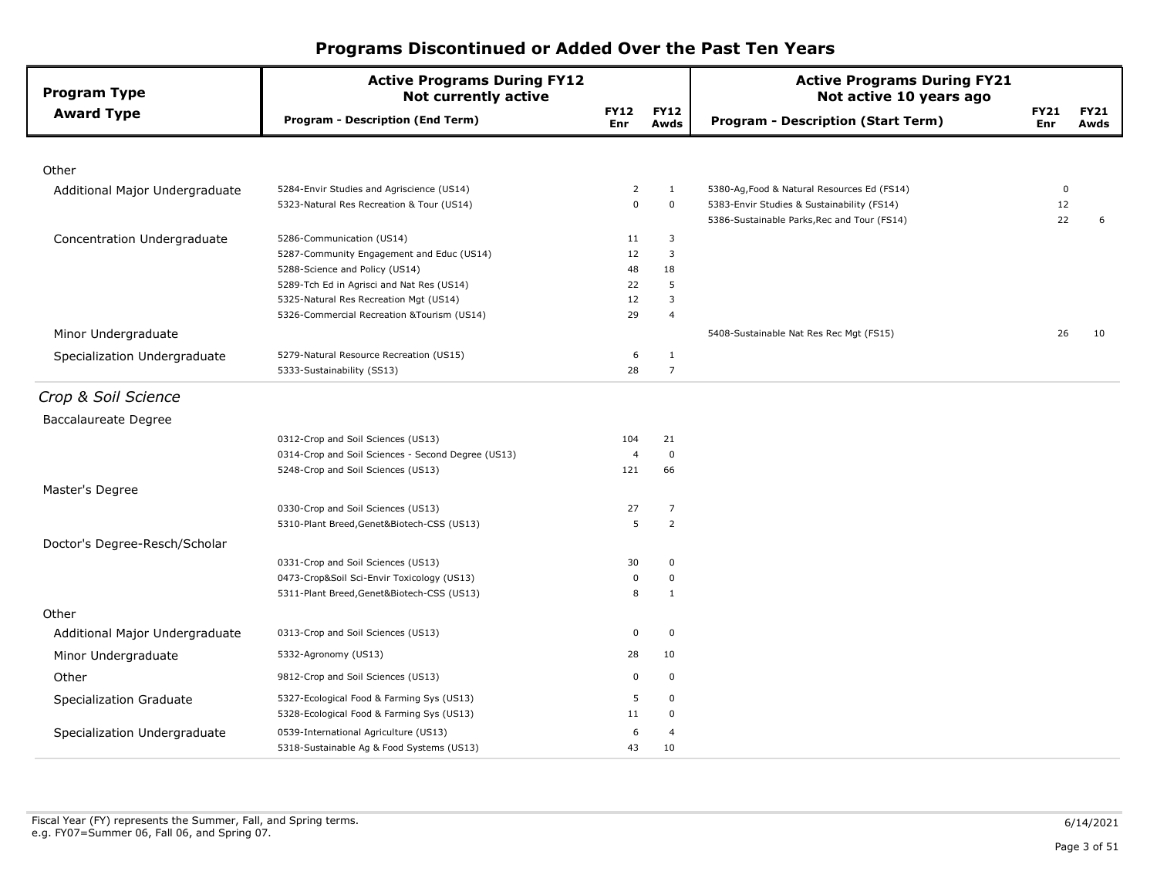| <b>Program Type</b>            | <b>Active Programs During FY12</b><br><b>Not currently active</b> |                    |                     | <b>Active Programs During FY21</b><br>Not active 10 years ago                             |                    |                     |  |  |
|--------------------------------|-------------------------------------------------------------------|--------------------|---------------------|-------------------------------------------------------------------------------------------|--------------------|---------------------|--|--|
| <b>Award Type</b>              | <b>Program - Description (End Term)</b>                           | <b>FY12</b><br>Enr | <b>FY12</b><br>Awds | <b>Program - Description (Start Term)</b>                                                 | <b>FY21</b><br>Enr | <b>FY21</b><br>Awds |  |  |
|                                |                                                                   |                    |                     |                                                                                           |                    |                     |  |  |
| Other                          |                                                                   |                    |                     |                                                                                           |                    |                     |  |  |
| Additional Major Undergraduate | 5284-Envir Studies and Agriscience (US14)                         | 2                  | $\mathbf{1}$        | 5380-Ag, Food & Natural Resources Ed (FS14)                                               | $\mathbf 0$        |                     |  |  |
|                                | 5323-Natural Res Recreation & Tour (US14)                         | 0                  | $\mathbf 0$         | 5383-Envir Studies & Sustainability (FS14)<br>5386-Sustainable Parks, Rec and Tour (FS14) | 12<br>22           | 6                   |  |  |
| Concentration Undergraduate    | 5286-Communication (US14)                                         | 11                 | 3                   |                                                                                           |                    |                     |  |  |
|                                | 5287-Community Engagement and Educ (US14)                         | 12                 | 3                   |                                                                                           |                    |                     |  |  |
|                                | 5288-Science and Policy (US14)                                    | 48                 | 18                  |                                                                                           |                    |                     |  |  |
|                                | 5289-Tch Ed in Agrisci and Nat Res (US14)                         | 22                 | 5                   |                                                                                           |                    |                     |  |  |
|                                | 5325-Natural Res Recreation Mgt (US14)                            | 12                 | 3                   |                                                                                           |                    |                     |  |  |
|                                | 5326-Commercial Recreation & Tourism (US14)                       | 29                 | $\overline{4}$      |                                                                                           |                    |                     |  |  |
| Minor Undergraduate            |                                                                   |                    |                     | 5408-Sustainable Nat Res Rec Mgt (FS15)                                                   | 26                 | 10                  |  |  |
| Specialization Undergraduate   | 5279-Natural Resource Recreation (US15)                           | 6                  | $\mathbf{1}$        |                                                                                           |                    |                     |  |  |
|                                | 5333-Sustainability (SS13)                                        | 28                 | $\overline{7}$      |                                                                                           |                    |                     |  |  |
| Crop & Soil Science            |                                                                   |                    |                     |                                                                                           |                    |                     |  |  |
| <b>Baccalaureate Degree</b>    |                                                                   |                    |                     |                                                                                           |                    |                     |  |  |
|                                | 0312-Crop and Soil Sciences (US13)                                | 104                | 21                  |                                                                                           |                    |                     |  |  |
|                                | 0314-Crop and Soil Sciences - Second Degree (US13)                | $\overline{4}$     | $\pmb{0}$           |                                                                                           |                    |                     |  |  |
|                                | 5248-Crop and Soil Sciences (US13)                                | 121                | 66                  |                                                                                           |                    |                     |  |  |
| Master's Degree                |                                                                   |                    |                     |                                                                                           |                    |                     |  |  |
|                                | 0330-Crop and Soil Sciences (US13)                                | 27                 | $\overline{7}$      |                                                                                           |                    |                     |  |  |
|                                | 5310-Plant Breed, Genet&Biotech-CSS (US13)                        | 5                  | $\overline{2}$      |                                                                                           |                    |                     |  |  |
| Doctor's Degree-Resch/Scholar  |                                                                   |                    |                     |                                                                                           |                    |                     |  |  |
|                                | 0331-Crop and Soil Sciences (US13)                                | 30                 | $\mathbf 0$         |                                                                                           |                    |                     |  |  |
|                                | 0473-Crop&Soil Sci-Envir Toxicology (US13)                        | 0                  | 0                   |                                                                                           |                    |                     |  |  |
|                                | 5311-Plant Breed, Genet&Biotech-CSS (US13)                        | 8                  | 1                   |                                                                                           |                    |                     |  |  |
| Other                          |                                                                   |                    |                     |                                                                                           |                    |                     |  |  |
| Additional Major Undergraduate | 0313-Crop and Soil Sciences (US13)                                | 0                  | $\mathbf 0$         |                                                                                           |                    |                     |  |  |
| Minor Undergraduate            | 5332-Agronomy (US13)                                              | 28                 | 10                  |                                                                                           |                    |                     |  |  |
| Other                          | 9812-Crop and Soil Sciences (US13)                                | 0                  | $\mathbf 0$         |                                                                                           |                    |                     |  |  |
| Specialization Graduate        | 5327-Ecological Food & Farming Sys (US13)                         | 5                  | $\mathbf 0$         |                                                                                           |                    |                     |  |  |
|                                | 5328-Ecological Food & Farming Sys (US13)                         | 11                 | 0                   |                                                                                           |                    |                     |  |  |
| Specialization Undergraduate   | 0539-International Agriculture (US13)                             | 6                  | $\overline{4}$      |                                                                                           |                    |                     |  |  |
|                                | 5318-Sustainable Ag & Food Systems (US13)                         | 43                 | 10                  |                                                                                           |                    |                     |  |  |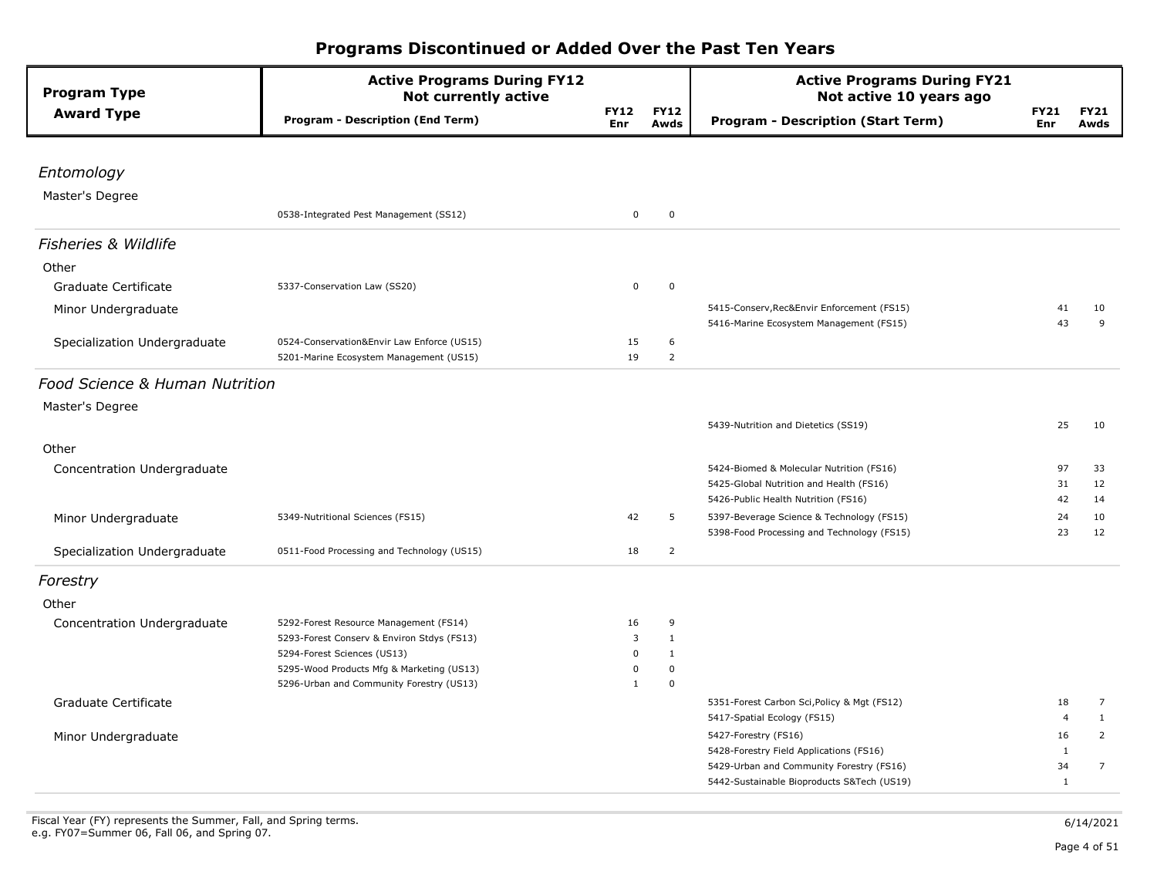| <b>Program Type</b>             | <b>Active Programs During FY12</b><br><b>Not currently active</b> |                    |                     | <b>Active Programs During FY21</b><br>Not active 10 years ago                       |                    |                     |  |
|---------------------------------|-------------------------------------------------------------------|--------------------|---------------------|-------------------------------------------------------------------------------------|--------------------|---------------------|--|
| <b>Award Type</b>               | <b>Program - Description (End Term)</b>                           | <b>FY12</b><br>Enr | <b>FY12</b><br>Awds | <b>Program - Description (Start Term)</b>                                           | <b>FY21</b><br>Enr | <b>FY21</b><br>Awds |  |
| Entomology                      |                                                                   |                    |                     |                                                                                     |                    |                     |  |
|                                 |                                                                   |                    |                     |                                                                                     |                    |                     |  |
| Master's Degree                 |                                                                   | $\mathbf 0$        | $\pmb{0}$           |                                                                                     |                    |                     |  |
|                                 | 0538-Integrated Pest Management (SS12)                            |                    |                     |                                                                                     |                    |                     |  |
| <b>Fisheries &amp; Wildlife</b> |                                                                   |                    |                     |                                                                                     |                    |                     |  |
| Other                           |                                                                   |                    |                     |                                                                                     |                    |                     |  |
| Graduate Certificate            | 5337-Conservation Law (SS20)                                      | $\mathbf 0$        | $\mathbf 0$         |                                                                                     |                    |                     |  |
| Minor Undergraduate             |                                                                   |                    |                     | 5415-Conserv, Rec&Envir Enforcement (FS15)                                          | 41                 | 10                  |  |
|                                 |                                                                   |                    |                     | 5416-Marine Ecosystem Management (FS15)                                             | 43                 | 9                   |  |
| Specialization Undergraduate    | 0524-Conservation&Envir Law Enforce (US15)                        | 15                 | 6                   |                                                                                     |                    |                     |  |
|                                 | 5201-Marine Ecosystem Management (US15)                           | 19                 | $\overline{2}$      |                                                                                     |                    |                     |  |
| Food Science & Human Nutrition  |                                                                   |                    |                     |                                                                                     |                    |                     |  |
| Master's Degree                 |                                                                   |                    |                     |                                                                                     |                    |                     |  |
|                                 |                                                                   |                    |                     | 5439-Nutrition and Dietetics (SS19)                                                 | 25                 | 10                  |  |
|                                 |                                                                   |                    |                     |                                                                                     |                    |                     |  |
| Other                           |                                                                   |                    |                     |                                                                                     |                    |                     |  |
| Concentration Undergraduate     |                                                                   |                    |                     | 5424-Biomed & Molecular Nutrition (FS16)<br>5425-Global Nutrition and Health (FS16) | 97<br>31           | 33<br>12            |  |
|                                 |                                                                   |                    |                     | 5426-Public Health Nutrition (FS16)                                                 | 42                 | 14                  |  |
| Minor Undergraduate             | 5349-Nutritional Sciences (FS15)                                  | 42                 | 5                   | 5397-Beverage Science & Technology (FS15)                                           | 24                 | 10                  |  |
|                                 |                                                                   |                    |                     | 5398-Food Processing and Technology (FS15)                                          | 23                 | 12                  |  |
| Specialization Undergraduate    | 0511-Food Processing and Technology (US15)                        | 18                 | $\overline{2}$      |                                                                                     |                    |                     |  |
| Forestry                        |                                                                   |                    |                     |                                                                                     |                    |                     |  |
| Other                           |                                                                   |                    |                     |                                                                                     |                    |                     |  |
| Concentration Undergraduate     | 5292-Forest Resource Management (FS14)                            | 16                 | 9                   |                                                                                     |                    |                     |  |
|                                 | 5293-Forest Conserv & Environ Stdys (FS13)                        | 3                  | $\mathbf{1}$        |                                                                                     |                    |                     |  |
|                                 | 5294-Forest Sciences (US13)                                       | $\mathbf 0$        | $\mathbf{1}$        |                                                                                     |                    |                     |  |
|                                 | 5295-Wood Products Mfg & Marketing (US13)                         | $\mathbf 0$        | $\mathbf 0$         |                                                                                     |                    |                     |  |
|                                 | 5296-Urban and Community Forestry (US13)                          | $\mathbf{1}$       | $\mathbf 0$         |                                                                                     |                    |                     |  |
| Graduate Certificate            |                                                                   |                    |                     | 5351-Forest Carbon Sci, Policy & Mgt (FS12)                                         | 18                 | $\overline{7}$      |  |
|                                 |                                                                   |                    |                     | 5417-Spatial Ecology (FS15)                                                         | 4                  | $\mathbf{1}$        |  |
| Minor Undergraduate             |                                                                   |                    |                     | 5427-Forestry (FS16)                                                                | 16                 | $\overline{2}$      |  |
|                                 |                                                                   |                    |                     | 5428-Forestry Field Applications (FS16)                                             | 1                  |                     |  |
|                                 |                                                                   |                    |                     | 5429-Urban and Community Forestry (FS16)                                            | 34<br>$\mathbf{1}$ | $\overline{7}$      |  |
|                                 |                                                                   |                    |                     | 5442-Sustainable Bioproducts S&Tech (US19)                                          |                    |                     |  |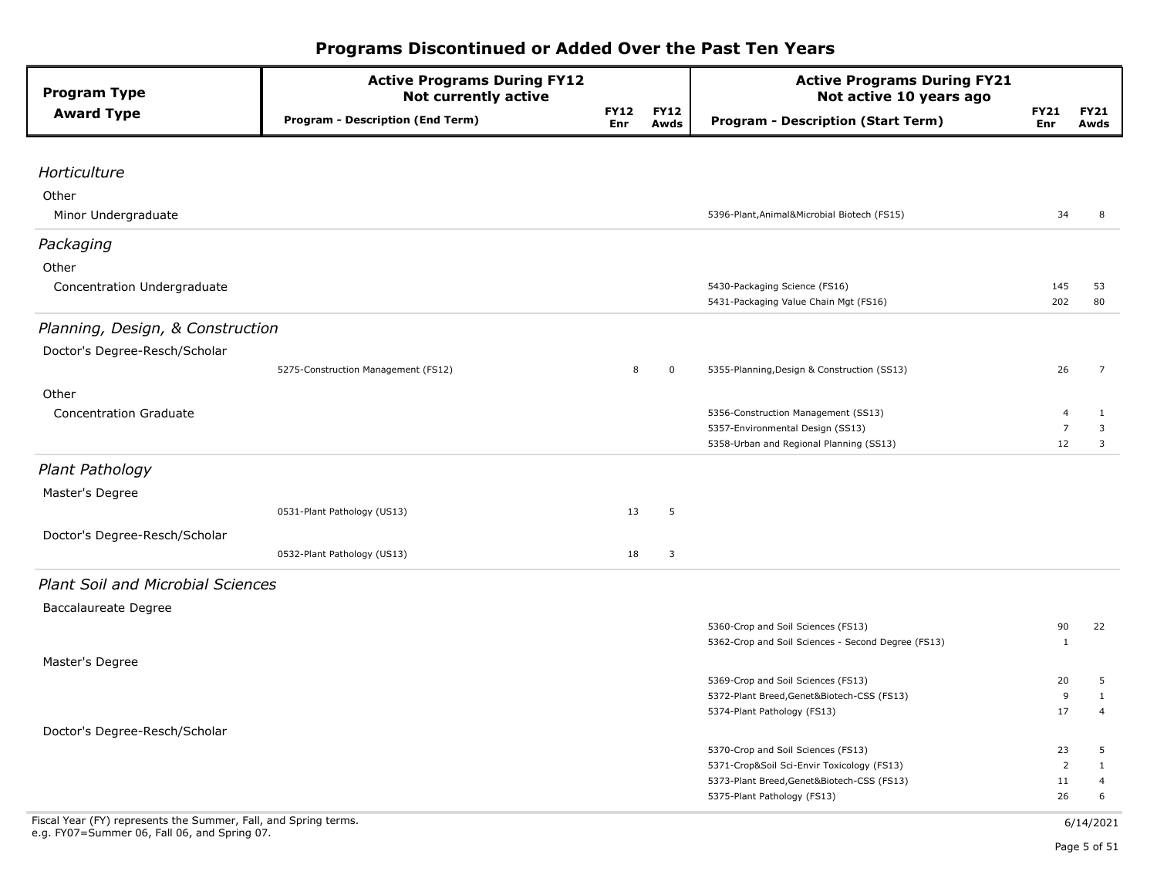| <b>Program Type</b>                      | <b>Active Programs During FY12</b><br><b>Not currently active</b> |                    |                     | <b>Active Programs During FY21</b><br>Not active 10 years ago                    |                      |                     |
|------------------------------------------|-------------------------------------------------------------------|--------------------|---------------------|----------------------------------------------------------------------------------|----------------------|---------------------|
| <b>Award Type</b>                        | <b>Program - Description (End Term)</b>                           | <b>FY12</b><br>Enr | <b>FY12</b><br>Awds | <b>Program - Description (Start Term)</b>                                        | <b>FY21</b><br>Enr   | <b>FY21</b><br>Awds |
|                                          |                                                                   |                    |                     |                                                                                  |                      |                     |
| Horticulture                             |                                                                   |                    |                     |                                                                                  |                      |                     |
| Other                                    |                                                                   |                    |                     |                                                                                  |                      |                     |
| Minor Undergraduate                      |                                                                   |                    |                     | 5396-Plant, Animal& Microbial Biotech (FS15)                                     | 34                   | 8                   |
| Packaging                                |                                                                   |                    |                     |                                                                                  |                      |                     |
| Other                                    |                                                                   |                    |                     |                                                                                  |                      |                     |
| Concentration Undergraduate              |                                                                   |                    |                     | 5430-Packaging Science (FS16)<br>5431-Packaging Value Chain Mgt (FS16)           | 145<br>202           | 53<br>80            |
| Planning, Design, & Construction         |                                                                   |                    |                     |                                                                                  |                      |                     |
| Doctor's Degree-Resch/Scholar            |                                                                   |                    |                     |                                                                                  |                      |                     |
|                                          | 5275-Construction Management (FS12)                               | 8                  | $\mathbf 0$         | 5355-Planning, Design & Construction (SS13)                                      | 26                   | $\overline{7}$      |
| Other                                    |                                                                   |                    |                     |                                                                                  |                      |                     |
| <b>Concentration Graduate</b>            |                                                                   |                    |                     | 5356-Construction Management (SS13)                                              | $\overline{4}$       | 1                   |
|                                          |                                                                   |                    |                     | 5357-Environmental Design (SS13)<br>5358-Urban and Regional Planning (SS13)      | $\overline{7}$<br>12 | 3<br>3              |
|                                          |                                                                   |                    |                     |                                                                                  |                      |                     |
| Plant Pathology                          |                                                                   |                    |                     |                                                                                  |                      |                     |
| Master's Degree                          |                                                                   |                    |                     |                                                                                  |                      |                     |
|                                          | 0531-Plant Pathology (US13)                                       | 13                 | 5                   |                                                                                  |                      |                     |
| Doctor's Degree-Resch/Scholar            |                                                                   |                    |                     |                                                                                  |                      |                     |
|                                          | 0532-Plant Pathology (US13)                                       | 18                 | 3                   |                                                                                  |                      |                     |
| <b>Plant Soil and Microbial Sciences</b> |                                                                   |                    |                     |                                                                                  |                      |                     |
| Baccalaureate Degree                     |                                                                   |                    |                     |                                                                                  |                      |                     |
|                                          |                                                                   |                    |                     | 5360-Crop and Soil Sciences (FS13)                                               | 90                   | 22                  |
| Master's Degree                          |                                                                   |                    |                     | 5362-Crop and Soil Sciences - Second Degree (FS13)                               | 1                    |                     |
|                                          |                                                                   |                    |                     | 5369-Crop and Soil Sciences (FS13)                                               | 20                   | 5                   |
|                                          |                                                                   |                    |                     | 5372-Plant Breed, Genet&Biotech-CSS (FS13)                                       | 9                    | $\mathbf{1}$        |
|                                          |                                                                   |                    |                     | 5374-Plant Pathology (FS13)                                                      | 17                   | $\overline{4}$      |
| Doctor's Degree-Resch/Scholar            |                                                                   |                    |                     |                                                                                  |                      |                     |
|                                          |                                                                   |                    |                     | 5370-Crop and Soil Sciences (FS13)<br>5371-Crop&Soil Sci-Envir Toxicology (FS13) | 23<br>2              | 5<br>$\mathbf{1}$   |
|                                          |                                                                   |                    |                     | 5373-Plant Breed, Genet&Biotech-CSS (FS13)                                       | 11                   | $\overline{4}$      |
|                                          |                                                                   |                    |                     | 5375-Plant Pathology (FS13)                                                      | 26                   | 6                   |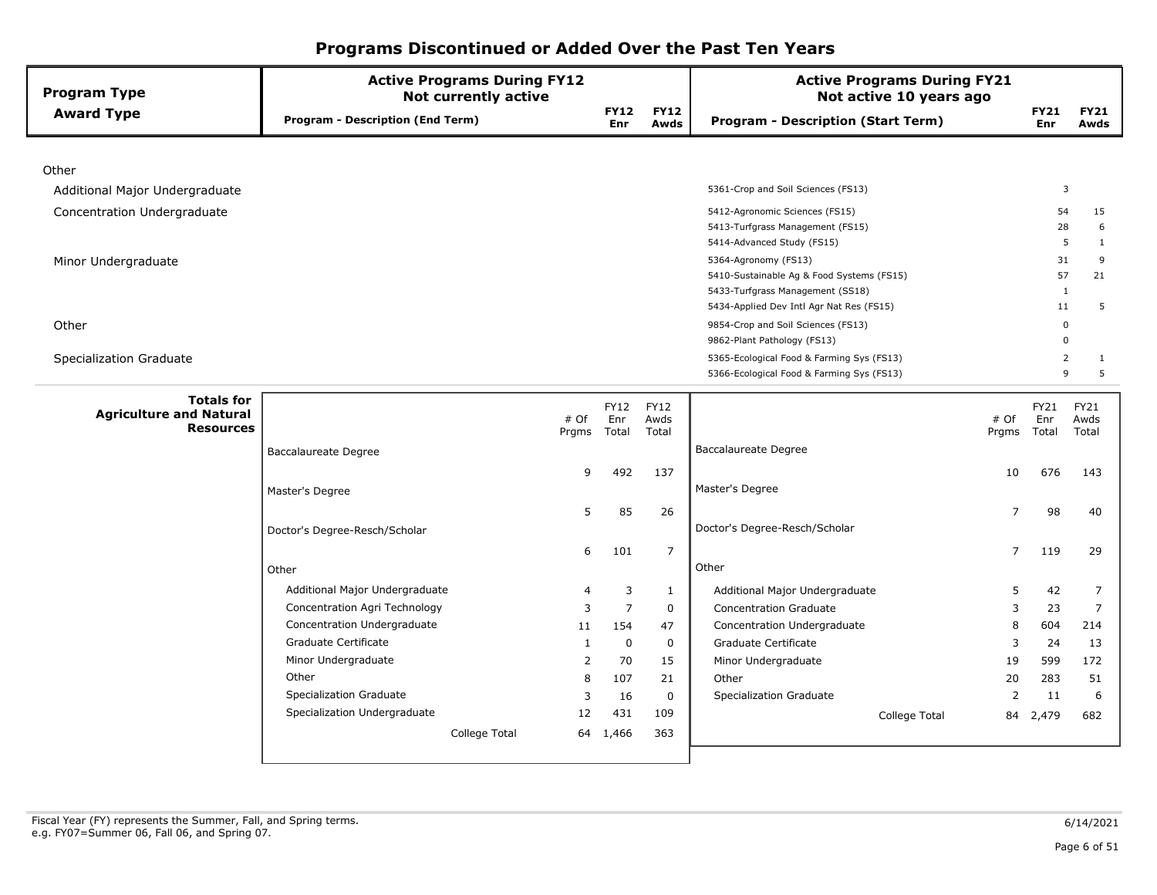| <b>Program Type</b>                                                     | <b>Active Programs During FY12</b><br><b>Not currently active</b> |               |                           |                       | <b>Active Programs During FY21</b><br>Not active 10 years ago                                                                                     |                |                                |                              |
|-------------------------------------------------------------------------|-------------------------------------------------------------------|---------------|---------------------------|-----------------------|---------------------------------------------------------------------------------------------------------------------------------------------------|----------------|--------------------------------|------------------------------|
| <b>Award Type</b>                                                       | <b>Program - Description (End Term)</b>                           |               | <b>FY12</b><br><b>Enr</b> | <b>FY12</b><br>Awds   | <b>Program - Description (Start Term)</b>                                                                                                         |                | <b>FY21</b><br>Enr             | <b>FY21</b><br>Awds          |
|                                                                         |                                                                   |               |                           |                       |                                                                                                                                                   |                |                                |                              |
| Other                                                                   |                                                                   |               |                           |                       |                                                                                                                                                   |                |                                |                              |
| Additional Major Undergraduate                                          |                                                                   |               |                           |                       | 5361-Crop and Soil Sciences (FS13)                                                                                                                |                | $\overline{3}$                 |                              |
| Concentration Undergraduate                                             |                                                                   |               |                           |                       | 5412-Agronomic Sciences (FS15)<br>5413-Turfgrass Management (FS15)<br>5414-Advanced Study (FS15)                                                  |                | 54<br>28<br>5                  | 15<br>6<br>$\mathbf{1}$      |
| Minor Undergraduate                                                     |                                                                   |               |                           |                       | 5364-Agronomy (FS13)<br>5410-Sustainable Ag & Food Systems (FS15)<br>5433-Turfgrass Management (SS18)<br>5434-Applied Dev Intl Agr Nat Res (FS15) |                | 31<br>57<br>$\mathbf{1}$<br>11 | 9<br>21<br>5                 |
| Other                                                                   |                                                                   |               |                           |                       | 9854-Crop and Soil Sciences (FS13)<br>9862-Plant Pathology (FS13)                                                                                 |                | $\mathbf 0$<br>0               |                              |
| Specialization Graduate                                                 |                                                                   |               |                           |                       | 5365-Ecological Food & Farming Sys (FS13)<br>5366-Ecological Food & Farming Sys (FS13)                                                            |                | $\overline{2}$<br>9            | 1<br>5                       |
| <b>Totals for</b><br><b>Agriculture and Natural</b><br><b>Resources</b> |                                                                   | # Of<br>Prgms | FY12<br>Enr<br>Total      | FY12<br>Awds<br>Total |                                                                                                                                                   | # Of<br>Prgms  | FY21<br>Enr<br>Total           | <b>FY21</b><br>Awds<br>Total |
|                                                                         | Baccalaureate Degree                                              |               |                           |                       | Baccalaureate Degree                                                                                                                              |                |                                |                              |
|                                                                         |                                                                   | 9             | 492                       | 137                   |                                                                                                                                                   | 10             | 676                            | 143                          |
|                                                                         | Master's Degree                                                   |               |                           |                       | Master's Degree                                                                                                                                   |                |                                |                              |
|                                                                         | Doctor's Degree-Resch/Scholar                                     | 5             | 85                        | 26                    | Doctor's Degree-Resch/Scholar                                                                                                                     | $\overline{7}$ | 98                             | 40                           |
|                                                                         |                                                                   | 6             | 101                       | $\overline{7}$        |                                                                                                                                                   | 7              | 119                            | 29                           |
|                                                                         | Other                                                             |               |                           |                       | Other                                                                                                                                             |                |                                |                              |
|                                                                         | Additional Major Undergraduate                                    | 4             | 3                         | 1                     | Additional Major Undergraduate                                                                                                                    | 5              | 42                             | 7                            |
|                                                                         | Concentration Agri Technology                                     | 3             | $\overline{7}$            | $\mathbf 0$           | <b>Concentration Graduate</b>                                                                                                                     | 3              | 23                             | $\overline{7}$               |
|                                                                         | Concentration Undergraduate                                       | 11            | 154                       | 47                    | Concentration Undergraduate                                                                                                                       | 8              | 604                            | 214                          |
|                                                                         | Graduate Certificate                                              | 1             | 0                         | 0                     | Graduate Certificate                                                                                                                              | 3              | 24                             | 13                           |
|                                                                         | Minor Undergraduate                                               | 2             | 70                        | 15                    | Minor Undergraduate                                                                                                                               | 19             | 599                            | 172                          |
|                                                                         | Other                                                             | 8             | 107                       | 21                    | Other                                                                                                                                             | 20             | 283                            | 51                           |
|                                                                         | <b>Specialization Graduate</b>                                    | 3             | 16                        | $\Omega$              | Specialization Graduate                                                                                                                           | $\overline{2}$ | 11                             | 6                            |
|                                                                         | Specialization Undergraduate                                      | 12            | 431                       | 109                   | College Total                                                                                                                                     | 84             | 2,479                          | 682                          |
|                                                                         | College Total                                                     |               | 64 1,466                  | 363                   |                                                                                                                                                   |                |                                |                              |
|                                                                         |                                                                   |               |                           |                       |                                                                                                                                                   |                |                                |                              |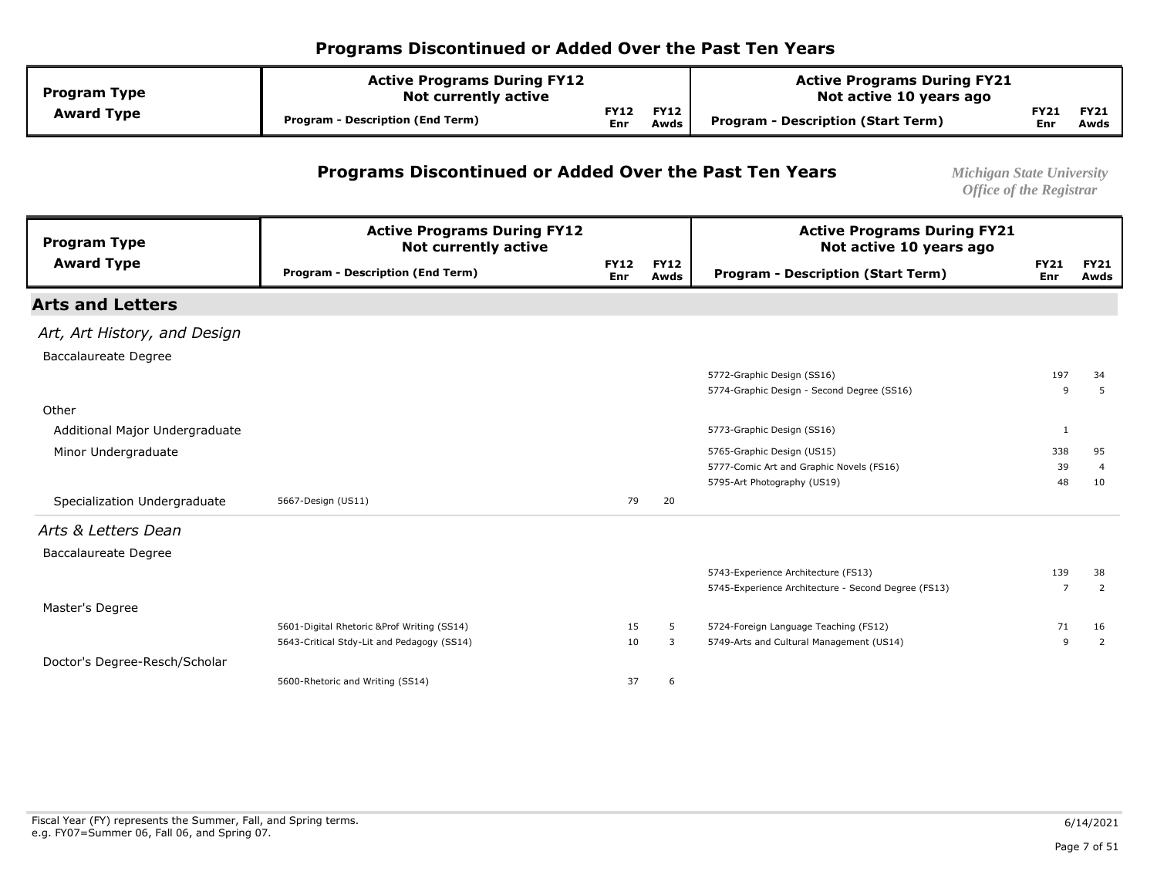| <b>Active Programs During FY12</b><br><b>Program Type</b><br><b>Not currently active</b> |                                         |                           |                     | <b>Active Programs During FY21</b><br>Not active 10 years ago |             |                     |
|------------------------------------------------------------------------------------------|-----------------------------------------|---------------------------|---------------------|---------------------------------------------------------------|-------------|---------------------|
| <b>Award Type</b>                                                                        | <b>Program - Description (End Term)</b> | <b>FY12</b><br><b>Enr</b> | <b>FY12</b><br>Awds | Program - Description (Start Term)                            | FY21<br>Enr | <b>FY21</b><br>Awds |

#### **Programs Discontinued or Added Over the Past Ten Years** *Michigan State University*

| <b>Program Type</b>            | <b>Active Programs During FY12</b><br><b>Not currently active</b> |                    |                     | <b>Active Programs During FY21</b><br>Not active 10 years ago |                    |                     |
|--------------------------------|-------------------------------------------------------------------|--------------------|---------------------|---------------------------------------------------------------|--------------------|---------------------|
| <b>Award Type</b>              | <b>Program - Description (End Term)</b>                           | <b>FY12</b><br>Enr | <b>FY12</b><br>Awds | <b>Program - Description (Start Term)</b>                     | <b>FY21</b><br>Enr | <b>FY21</b><br>Awds |
| <b>Arts and Letters</b>        |                                                                   |                    |                     |                                                               |                    |                     |
| Art, Art History, and Design   |                                                                   |                    |                     |                                                               |                    |                     |
| <b>Baccalaureate Degree</b>    |                                                                   |                    |                     |                                                               |                    |                     |
|                                |                                                                   |                    |                     | 5772-Graphic Design (SS16)                                    | 197                | 34                  |
|                                |                                                                   |                    |                     | 5774-Graphic Design - Second Degree (SS16)                    | 9                  | -5                  |
| Other                          |                                                                   |                    |                     |                                                               |                    |                     |
| Additional Major Undergraduate |                                                                   |                    |                     | 5773-Graphic Design (SS16)                                    | $\mathbf{1}$       |                     |
| Minor Undergraduate            |                                                                   |                    |                     | 5765-Graphic Design (US15)                                    | 338                | 95                  |
|                                |                                                                   |                    |                     | 5777-Comic Art and Graphic Novels (FS16)                      | 39                 | $\overline{4}$      |
|                                |                                                                   |                    |                     | 5795-Art Photography (US19)                                   | 48                 | 10                  |
| Specialization Undergraduate   | 5667-Design (US11)                                                | 79                 | 20                  |                                                               |                    |                     |
| Arts & Letters Dean            |                                                                   |                    |                     |                                                               |                    |                     |
| <b>Baccalaureate Degree</b>    |                                                                   |                    |                     |                                                               |                    |                     |
|                                |                                                                   |                    |                     | 5743-Experience Architecture (FS13)                           | 139                | 38                  |
|                                |                                                                   |                    |                     | 5745-Experience Architecture - Second Degree (FS13)           | $\overline{ }$     | 2                   |
| Master's Degree                |                                                                   |                    |                     |                                                               |                    |                     |
|                                | 5601-Digital Rhetoric &Prof Writing (SS14)                        | 15                 | 5                   | 5724-Foreign Language Teaching (FS12)                         | 71                 | 16                  |
|                                | 5643-Critical Stdy-Lit and Pedagogy (SS14)                        | 10                 | 3                   | 5749-Arts and Cultural Management (US14)                      | 9                  | $\overline{2}$      |
| Doctor's Degree-Resch/Scholar  |                                                                   |                    |                     |                                                               |                    |                     |
|                                | 5600-Rhetoric and Writing (SS14)                                  | 37                 | 6                   |                                                               |                    |                     |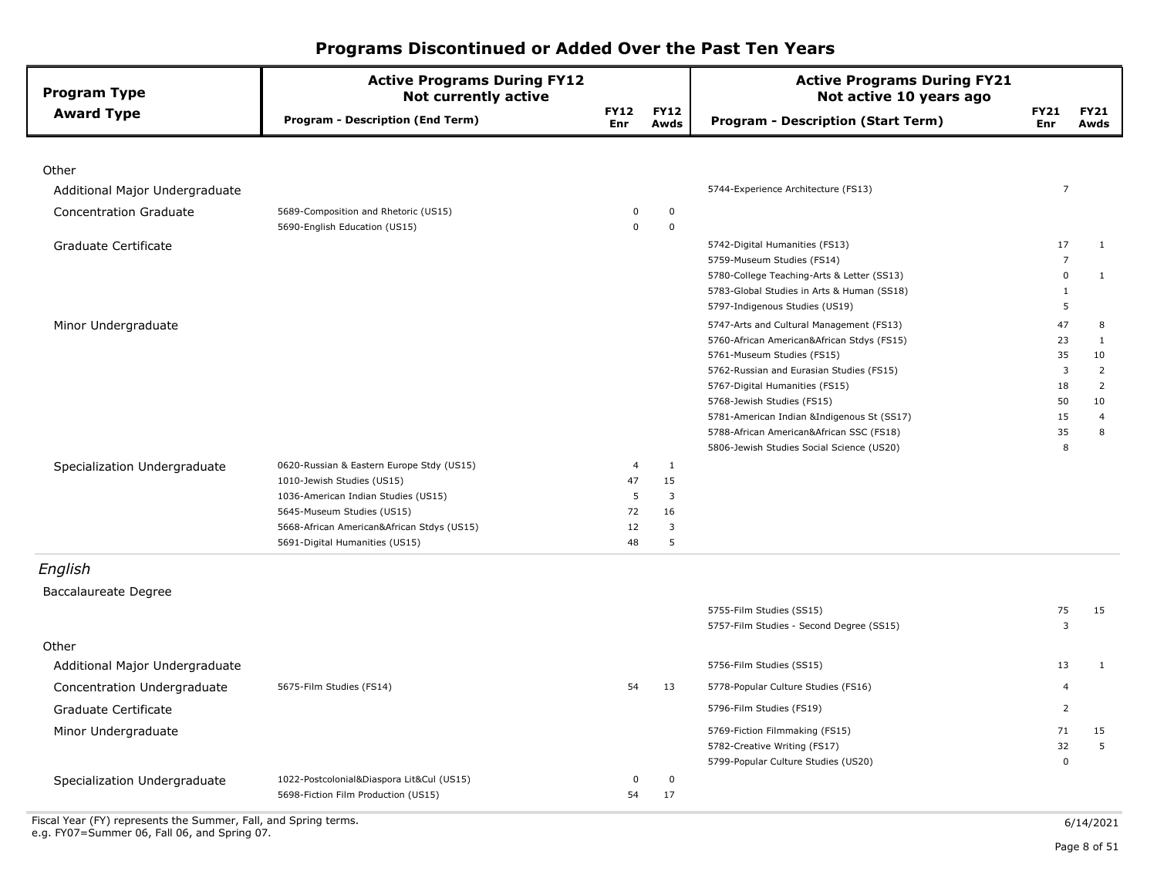| <b>Program Type</b>            | <b>Active Programs During FY12</b><br><b>Not currently active</b>            |                           |                     | <b>Active Programs During FY21</b><br>Not active 10 years ago          |                      |                      |
|--------------------------------|------------------------------------------------------------------------------|---------------------------|---------------------|------------------------------------------------------------------------|----------------------|----------------------|
| <b>Award Type</b>              | <b>Program - Description (End Term)</b>                                      | <b>FY12</b><br><b>Enr</b> | <b>FY12</b><br>Awds | <b>Program - Description (Start Term)</b>                              | <b>FY21</b><br>Enr   | <b>FY21</b><br>Awds  |
|                                |                                                                              |                           |                     |                                                                        |                      |                      |
| Other                          |                                                                              |                           |                     |                                                                        |                      |                      |
| Additional Major Undergraduate |                                                                              |                           |                     | 5744-Experience Architecture (FS13)                                    | $\overline{7}$       |                      |
| <b>Concentration Graduate</b>  | 5689-Composition and Rhetoric (US15)<br>5690-English Education (US15)        | 0<br>0                    | 0<br>$\mathbf 0$    |                                                                        |                      |                      |
| Graduate Certificate           |                                                                              |                           |                     | 5742-Digital Humanities (FS13)                                         | 17                   | $\mathbf{1}$         |
|                                |                                                                              |                           |                     | 5759-Museum Studies (FS14)                                             | $\overline{7}$       |                      |
|                                |                                                                              |                           |                     | 5780-College Teaching-Arts & Letter (SS13)                             | $\mathbf 0$          | 1                    |
|                                |                                                                              |                           |                     | 5783-Global Studies in Arts & Human (SS18)                             | 1                    |                      |
|                                |                                                                              |                           |                     | 5797-Indigenous Studies (US19)                                         | 5                    |                      |
| Minor Undergraduate            |                                                                              |                           |                     | 5747-Arts and Cultural Management (FS13)                               | 47                   | 8                    |
|                                |                                                                              |                           |                     | 5760-African American&African Stdys (FS15)                             | 23                   | $\mathbf{1}$         |
|                                |                                                                              |                           |                     | 5761-Museum Studies (FS15)<br>5762-Russian and Eurasian Studies (FS15) | 35<br>$\overline{3}$ | 10<br>$\overline{2}$ |
|                                |                                                                              |                           |                     | 5767-Digital Humanities (FS15)                                         | 18                   | $\overline{2}$       |
|                                |                                                                              |                           |                     | 5768-Jewish Studies (FS15)                                             | 50                   | 10                   |
|                                |                                                                              |                           |                     | 5781-American Indian &Indigenous St (SS17)                             | 15                   | $\overline{4}$       |
|                                |                                                                              |                           |                     | 5788-African American&African SSC (FS18)                               | 35                   | 8                    |
|                                |                                                                              |                           |                     | 5806-Jewish Studies Social Science (US20)                              | 8                    |                      |
| Specialization Undergraduate   | 0620-Russian & Eastern Europe Stdy (US15)                                    | $\overline{4}$            | $\mathbf{1}$        |                                                                        |                      |                      |
|                                | 1010-Jewish Studies (US15)                                                   | 47                        | 15                  |                                                                        |                      |                      |
|                                | 1036-American Indian Studies (US15)                                          | 5                         | $\overline{3}$      |                                                                        |                      |                      |
|                                | 5645-Museum Studies (US15)                                                   | 72                        | 16                  |                                                                        |                      |                      |
|                                | 5668-African American&African Stdys (US15)<br>5691-Digital Humanities (US15) | 12<br>48                  | 3<br>5              |                                                                        |                      |                      |
| English                        |                                                                              |                           |                     |                                                                        |                      |                      |
|                                |                                                                              |                           |                     |                                                                        |                      |                      |
| Baccalaureate Degree           |                                                                              |                           |                     |                                                                        |                      |                      |
|                                |                                                                              |                           |                     | 5755-Film Studies (SS15)                                               | 75<br>3              | 15                   |
|                                |                                                                              |                           |                     | 5757-Film Studies - Second Degree (SS15)                               |                      |                      |
| Other                          |                                                                              |                           |                     |                                                                        |                      |                      |
| Additional Major Undergraduate |                                                                              |                           |                     | 5756-Film Studies (SS15)                                               | 13                   | $\mathbf{1}$         |
| Concentration Undergraduate    | 5675-Film Studies (FS14)                                                     | 54                        | 13                  | 5778-Popular Culture Studies (FS16)                                    | $\overline{4}$       |                      |
| Graduate Certificate           |                                                                              |                           |                     | 5796-Film Studies (FS19)                                               | 2                    |                      |
| Minor Undergraduate            |                                                                              |                           |                     | 5769-Fiction Filmmaking (FS15)                                         | 71                   | 15                   |
|                                |                                                                              |                           |                     | 5782-Creative Writing (FS17)                                           | 32                   | 5                    |
|                                |                                                                              |                           |                     | 5799-Popular Culture Studies (US20)                                    | $\mathbf 0$          |                      |
| Specialization Undergraduate   | 1022-Postcolonial&Diaspora Lit&Cul (US15)                                    | 0                         | $\mathbf 0$         |                                                                        |                      |                      |
|                                | 5698-Fiction Film Production (US15)                                          | 54                        | 17                  |                                                                        |                      |                      |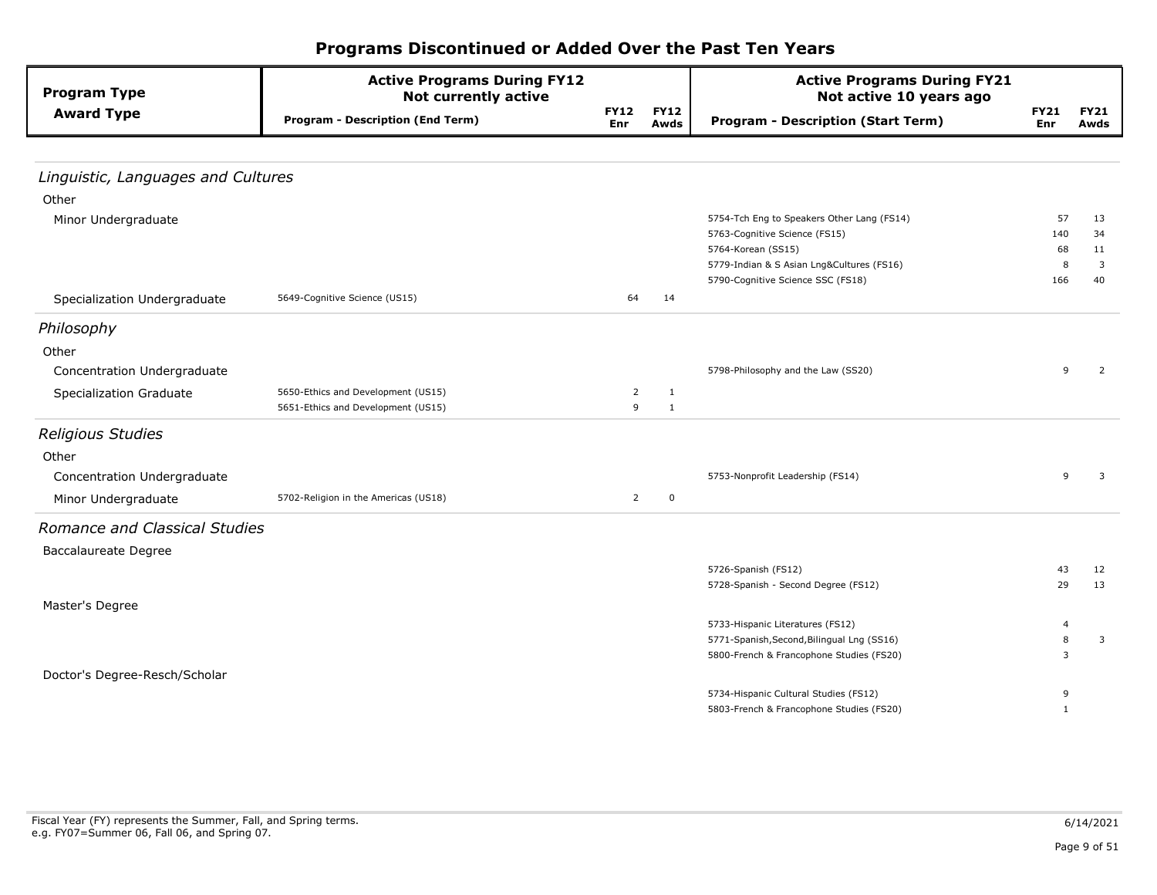| Programs Discontinued or Added Over the Past Ten Years |  |  |  |  |
|--------------------------------------------------------|--|--|--|--|
|--------------------------------------------------------|--|--|--|--|

| <b>Program Type</b>                | <b>Active Programs During FY12</b><br><b>Not currently active</b> |                                                                                                                                                                                                                                                                                                                                                                                                                                                                                                                                                                                                       | <b>Active Programs During FY21</b><br>Not active 10 years ago |              |          |
|------------------------------------|-------------------------------------------------------------------|-------------------------------------------------------------------------------------------------------------------------------------------------------------------------------------------------------------------------------------------------------------------------------------------------------------------------------------------------------------------------------------------------------------------------------------------------------------------------------------------------------------------------------------------------------------------------------------------------------|---------------------------------------------------------------|--------------|----------|
| <b>Award Type</b>                  | <b>Program - Description (End Term)</b>                           | <b>FY12</b><br><b>FY12</b><br><b>FY21</b><br><b>Program - Description (Start Term)</b><br>Enr<br>Awds<br>Enr<br>57<br>5754-Tch Eng to Speakers Other Lang (FS14)<br>5763-Cognitive Science (FS15)<br>140<br>5764-Korean (SS15)<br>68<br>5779-Indian & S Asian Lng&Cultures (FS16)<br>8<br>5790-Cognitive Science SSC (FS18)<br>166<br>64<br>14<br>5798-Philosophy and the Law (SS20)<br>9<br>$\overline{2}$<br>$\mathbf{1}$<br>9<br>$\mathbf{1}$<br>5753-Nonprofit Leadership (FS14)<br>$\mathbf{Q}$<br>$\overline{2}$<br>0<br>5726-Spanish (FS12)<br>43<br>5728-Spanish - Second Degree (FS12)<br>29 | <b>FY21</b><br>Awds                                           |              |          |
|                                    |                                                                   |                                                                                                                                                                                                                                                                                                                                                                                                                                                                                                                                                                                                       |                                                               |              |          |
| Linguistic, Languages and Cultures |                                                                   |                                                                                                                                                                                                                                                                                                                                                                                                                                                                                                                                                                                                       |                                                               |              |          |
| Other                              |                                                                   |                                                                                                                                                                                                                                                                                                                                                                                                                                                                                                                                                                                                       |                                                               |              |          |
| Minor Undergraduate                |                                                                   |                                                                                                                                                                                                                                                                                                                                                                                                                                                                                                                                                                                                       |                                                               |              | 13       |
|                                    |                                                                   |                                                                                                                                                                                                                                                                                                                                                                                                                                                                                                                                                                                                       |                                                               |              | 34       |
|                                    |                                                                   |                                                                                                                                                                                                                                                                                                                                                                                                                                                                                                                                                                                                       |                                                               |              | 11       |
|                                    |                                                                   |                                                                                                                                                                                                                                                                                                                                                                                                                                                                                                                                                                                                       |                                                               |              | 3        |
|                                    |                                                                   |                                                                                                                                                                                                                                                                                                                                                                                                                                                                                                                                                                                                       |                                                               |              | 40       |
| Specialization Undergraduate       | 5649-Cognitive Science (US15)                                     |                                                                                                                                                                                                                                                                                                                                                                                                                                                                                                                                                                                                       |                                                               |              |          |
| Philosophy                         |                                                                   |                                                                                                                                                                                                                                                                                                                                                                                                                                                                                                                                                                                                       |                                                               |              |          |
| Other                              |                                                                   |                                                                                                                                                                                                                                                                                                                                                                                                                                                                                                                                                                                                       |                                                               |              |          |
| Concentration Undergraduate        |                                                                   |                                                                                                                                                                                                                                                                                                                                                                                                                                                                                                                                                                                                       |                                                               |              | 2        |
| <b>Specialization Graduate</b>     | 5650-Ethics and Development (US15)                                |                                                                                                                                                                                                                                                                                                                                                                                                                                                                                                                                                                                                       |                                                               |              |          |
|                                    | 5651-Ethics and Development (US15)                                |                                                                                                                                                                                                                                                                                                                                                                                                                                                                                                                                                                                                       |                                                               |              |          |
| <b>Religious Studies</b>           |                                                                   |                                                                                                                                                                                                                                                                                                                                                                                                                                                                                                                                                                                                       |                                                               |              |          |
| Other                              |                                                                   |                                                                                                                                                                                                                                                                                                                                                                                                                                                                                                                                                                                                       |                                                               |              |          |
| Concentration Undergraduate        |                                                                   |                                                                                                                                                                                                                                                                                                                                                                                                                                                                                                                                                                                                       |                                                               |              | 3        |
| Minor Undergraduate                | 5702-Religion in the Americas (US18)                              |                                                                                                                                                                                                                                                                                                                                                                                                                                                                                                                                                                                                       |                                                               |              |          |
| Romance and Classical Studies      |                                                                   |                                                                                                                                                                                                                                                                                                                                                                                                                                                                                                                                                                                                       |                                                               |              |          |
|                                    |                                                                   |                                                                                                                                                                                                                                                                                                                                                                                                                                                                                                                                                                                                       |                                                               |              |          |
| <b>Baccalaureate Degree</b>        |                                                                   |                                                                                                                                                                                                                                                                                                                                                                                                                                                                                                                                                                                                       |                                                               |              |          |
|                                    |                                                                   |                                                                                                                                                                                                                                                                                                                                                                                                                                                                                                                                                                                                       |                                                               |              | 12<br>13 |
| Master's Degree                    |                                                                   |                                                                                                                                                                                                                                                                                                                                                                                                                                                                                                                                                                                                       |                                                               |              |          |
|                                    |                                                                   |                                                                                                                                                                                                                                                                                                                                                                                                                                                                                                                                                                                                       | 5733-Hispanic Literatures (FS12)                              | 4            |          |
|                                    |                                                                   |                                                                                                                                                                                                                                                                                                                                                                                                                                                                                                                                                                                                       | 5771-Spanish, Second, Bilingual Lng (SS16)                    | 8            | 3        |
|                                    |                                                                   |                                                                                                                                                                                                                                                                                                                                                                                                                                                                                                                                                                                                       | 5800-French & Francophone Studies (FS20)                      | 3            |          |
| Doctor's Degree-Resch/Scholar      |                                                                   |                                                                                                                                                                                                                                                                                                                                                                                                                                                                                                                                                                                                       |                                                               |              |          |
|                                    |                                                                   |                                                                                                                                                                                                                                                                                                                                                                                                                                                                                                                                                                                                       | 5734-Hispanic Cultural Studies (FS12)                         | 9            |          |
|                                    |                                                                   |                                                                                                                                                                                                                                                                                                                                                                                                                                                                                                                                                                                                       | 5803-French & Francophone Studies (FS20)                      | $\mathbf{1}$ |          |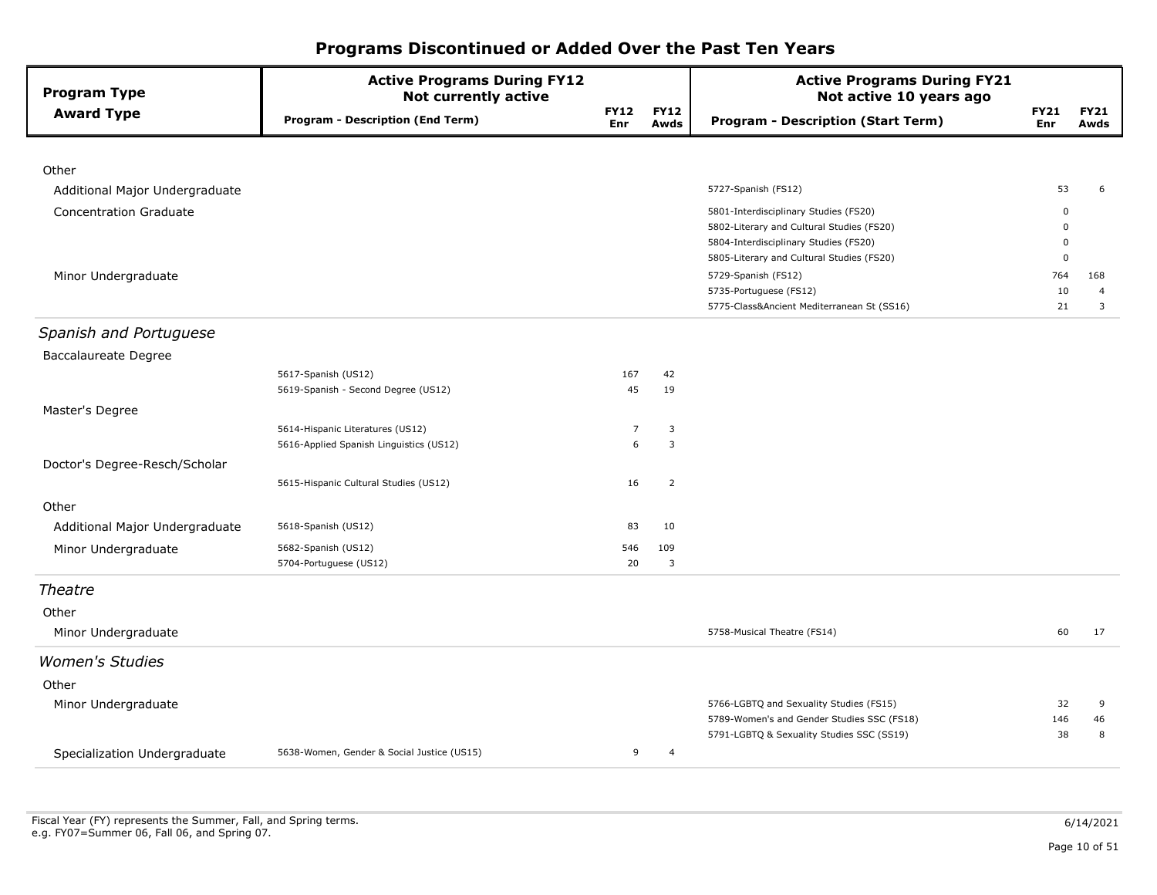| <b>Program Type</b>            | <b>Active Programs During FY12</b><br><b>Not currently active</b> |                    |                     | <b>Active Programs During FY21</b><br>Not active 10 years ago                      |                         |                     |
|--------------------------------|-------------------------------------------------------------------|--------------------|---------------------|------------------------------------------------------------------------------------|-------------------------|---------------------|
| <b>Award Type</b>              | <b>Program - Description (End Term)</b>                           | <b>FY12</b><br>Enr | <b>FY12</b><br>Awds | <b>Program - Description (Start Term)</b>                                          | <b>FY21</b><br>Enr      | <b>FY21</b><br>Awds |
|                                |                                                                   |                    |                     |                                                                                    |                         |                     |
| Other                          |                                                                   |                    |                     |                                                                                    |                         |                     |
| Additional Major Undergraduate |                                                                   |                    |                     | 5727-Spanish (FS12)                                                                | 53                      | 6                   |
| <b>Concentration Graduate</b>  |                                                                   |                    |                     | 5801-Interdisciplinary Studies (FS20)                                              | $\Omega$                |                     |
|                                |                                                                   |                    |                     | 5802-Literary and Cultural Studies (FS20)<br>5804-Interdisciplinary Studies (FS20) | $\Omega$<br>$\mathbf 0$ |                     |
|                                |                                                                   |                    |                     | 5805-Literary and Cultural Studies (FS20)                                          | 0                       |                     |
| Minor Undergraduate            |                                                                   |                    |                     | 5729-Spanish (FS12)                                                                | 764                     | 168                 |
|                                |                                                                   |                    |                     | 5735-Portuguese (FS12)                                                             | 10                      | $\overline{4}$      |
|                                |                                                                   |                    |                     | 5775-Class&Ancient Mediterranean St (SS16)                                         | 21                      | 3                   |
| Spanish and Portuguese         |                                                                   |                    |                     |                                                                                    |                         |                     |
| <b>Baccalaureate Degree</b>    |                                                                   |                    |                     |                                                                                    |                         |                     |
|                                | 5617-Spanish (US12)                                               | 167                | 42                  |                                                                                    |                         |                     |
|                                | 5619-Spanish - Second Degree (US12)                               | 45                 | 19                  |                                                                                    |                         |                     |
| Master's Degree                |                                                                   |                    |                     |                                                                                    |                         |                     |
|                                | 5614-Hispanic Literatures (US12)                                  | 7                  | 3                   |                                                                                    |                         |                     |
|                                | 5616-Applied Spanish Linguistics (US12)                           | 6                  | 3                   |                                                                                    |                         |                     |
| Doctor's Degree-Resch/Scholar  |                                                                   |                    |                     |                                                                                    |                         |                     |
|                                | 5615-Hispanic Cultural Studies (US12)                             | 16                 | $\overline{2}$      |                                                                                    |                         |                     |
| Other                          |                                                                   |                    |                     |                                                                                    |                         |                     |
| Additional Major Undergraduate | 5618-Spanish (US12)                                               | 83                 | 10                  |                                                                                    |                         |                     |
| Minor Undergraduate            | 5682-Spanish (US12)                                               | 546                | 109                 |                                                                                    |                         |                     |
|                                | 5704-Portuguese (US12)                                            | 20                 | 3                   |                                                                                    |                         |                     |
| Theatre                        |                                                                   |                    |                     |                                                                                    |                         |                     |
| Other                          |                                                                   |                    |                     |                                                                                    |                         |                     |
| Minor Undergraduate            |                                                                   |                    |                     | 5758-Musical Theatre (FS14)                                                        | 60                      | 17                  |
| <b>Women's Studies</b>         |                                                                   |                    |                     |                                                                                    |                         |                     |
| Other                          |                                                                   |                    |                     |                                                                                    |                         |                     |
| Minor Undergraduate            |                                                                   |                    |                     | 5766-LGBTQ and Sexuality Studies (FS15)                                            | 32                      | 9                   |
|                                |                                                                   |                    |                     | 5789-Women's and Gender Studies SSC (FS18)                                         | 146                     | 46                  |
|                                |                                                                   |                    |                     | 5791-LGBTQ & Sexuality Studies SSC (SS19)                                          | 38                      | 8                   |
| Specialization Undergraduate   | 5638-Women, Gender & Social Justice (US15)                        | 9                  | $\overline{4}$      |                                                                                    |                         |                     |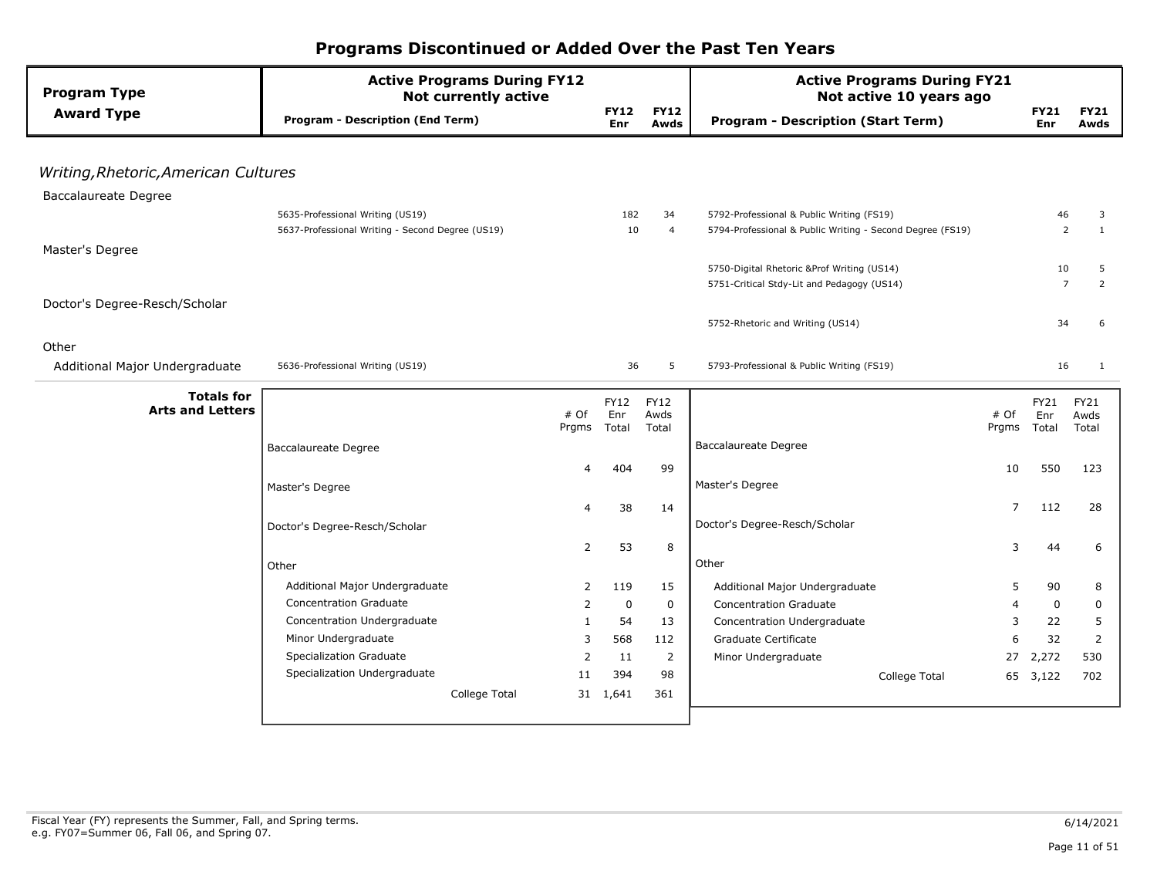| <b>Program Type</b>                  | <b>Active Programs During FY12</b><br><b>Not currently active</b> |              |                    |                     | <b>Active Programs During FY21</b><br>Not active 10 years ago |       |                    |                     |
|--------------------------------------|-------------------------------------------------------------------|--------------|--------------------|---------------------|---------------------------------------------------------------|-------|--------------------|---------------------|
| <b>Award Type</b>                    | <b>Program - Description (End Term)</b>                           |              | <b>FY12</b><br>Enr | <b>FY12</b><br>Awds | <b>Program - Description (Start Term)</b>                     |       | <b>FY21</b><br>Enr | <b>FY21</b><br>Awds |
|                                      |                                                                   |              |                    |                     |                                                               |       |                    |                     |
| Writing, Rhetoric, American Cultures |                                                                   |              |                    |                     |                                                               |       |                    |                     |
| <b>Baccalaureate Degree</b>          |                                                                   |              |                    |                     |                                                               |       |                    |                     |
|                                      | 5635-Professional Writing (US19)                                  |              | 182                | 34                  | 5792-Professional & Public Writing (FS19)                     |       | 46                 | 3                   |
|                                      | 5637-Professional Writing - Second Degree (US19)                  |              | 10                 | $\overline{4}$      | 5794-Professional & Public Writing - Second Degree (FS19)     |       | $\overline{2}$     | $\mathbf{1}$        |
| Master's Degree                      |                                                                   |              |                    |                     |                                                               |       |                    |                     |
|                                      |                                                                   |              |                    |                     | 5750-Digital Rhetoric &Prof Writing (US14)                    |       | 10                 | 5                   |
|                                      |                                                                   |              |                    |                     | 5751-Critical Stdy-Lit and Pedagogy (US14)                    |       | $\overline{7}$     | $\overline{2}$      |
| Doctor's Degree-Resch/Scholar        |                                                                   |              |                    |                     |                                                               |       |                    |                     |
|                                      |                                                                   |              |                    |                     | 5752-Rhetoric and Writing (US14)                              |       | 34                 | 6                   |
| Other                                |                                                                   |              |                    |                     |                                                               |       |                    |                     |
| Additional Major Undergraduate       | 5636-Professional Writing (US19)                                  |              | 36                 | 5                   | 5793-Professional & Public Writing (FS19)                     |       | 16                 | 1                   |
| <b>Totals for</b>                    |                                                                   |              |                    |                     |                                                               |       |                    |                     |
| <b>Arts and Letters</b>              |                                                                   | # Of         | <b>FY12</b><br>Enr | <b>FY12</b><br>Awds |                                                               | # Of  | <b>FY21</b><br>Enr | <b>FY21</b><br>Awds |
|                                      |                                                                   | Prgms        | Total              | Total               |                                                               | Prgms | Total              | Total               |
|                                      | Baccalaureate Degree                                              |              |                    |                     | <b>Baccalaureate Degree</b>                                   |       |                    |                     |
|                                      |                                                                   | 4            | 404                | 99                  |                                                               | 10    | 550                | 123                 |
|                                      | Master's Degree                                                   |              |                    |                     | Master's Degree                                               |       |                    |                     |
|                                      |                                                                   | 4            | 38                 | 14                  |                                                               | 7     | 112                | 28                  |
|                                      | Doctor's Degree-Resch/Scholar                                     |              |                    |                     | Doctor's Degree-Resch/Scholar                                 |       |                    |                     |
|                                      |                                                                   | 2            | 53                 | 8                   |                                                               | 3     | 44                 | 6                   |
|                                      | Other                                                             |              |                    |                     | Other                                                         |       |                    |                     |
|                                      | Additional Major Undergraduate                                    | 2            | 119                | 15                  | Additional Major Undergraduate                                | 5     | 90                 | 8                   |
|                                      | <b>Concentration Graduate</b>                                     | 2            | $\mathbf 0$        | $\mathbf 0$         | <b>Concentration Graduate</b>                                 | 4     | $\mathbf 0$        | 0                   |
|                                      | Concentration Undergraduate                                       | $\mathbf{1}$ | 54                 | 13                  | Concentration Undergraduate                                   | 3     | 22                 | 5                   |
|                                      | Minor Undergraduate                                               | 3            | 568                | 112                 | Graduate Certificate                                          | 6     | 32                 | 2                   |
|                                      | Specialization Graduate                                           | 2            | 11                 | 2                   | Minor Undergraduate                                           | 27    | 2,272              | 530                 |
|                                      | Specialization Undergraduate                                      | 11           | 394                | 98                  | College Total                                                 |       | 65 3,122           | 702                 |
|                                      | College Total                                                     |              | 31 1,641           | 361                 |                                                               |       |                    |                     |
|                                      |                                                                   |              |                    |                     |                                                               |       |                    |                     |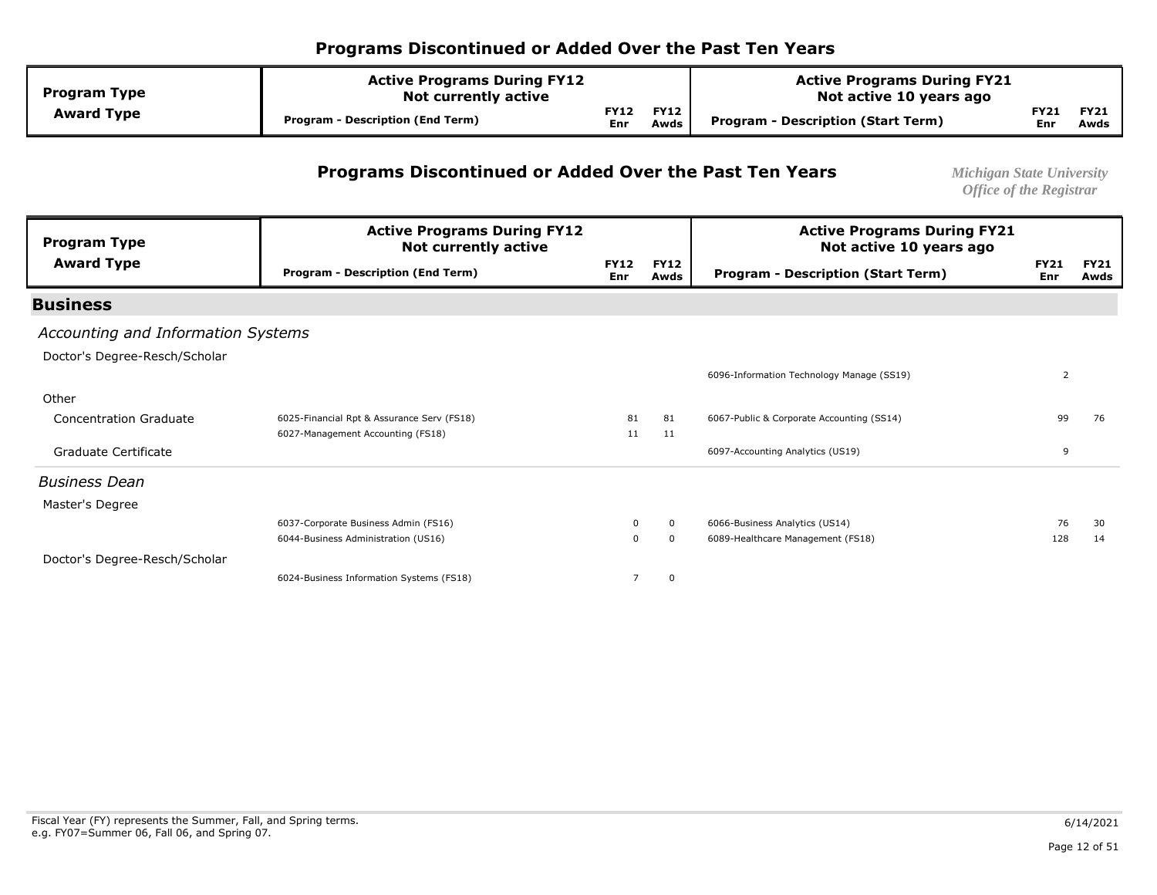| <b>Program Type</b> | <b>Active Programs During FY12</b><br><b>Not currently active</b> |                           |                     | <b>Active Programs During FY21</b><br>Not active 10 years ago |                    |                     |
|---------------------|-------------------------------------------------------------------|---------------------------|---------------------|---------------------------------------------------------------|--------------------|---------------------|
| <b>Award Type</b>   | <b>Program - Description (End Term)</b>                           | <b>FY12</b><br><b>Enr</b> | <b>FY12</b><br>Awds | Program - Description (Start Term)                            | <b>FY21</b><br>Enr | <b>FY21</b><br>Awds |

#### **Programs Discontinued or Added Over the Past Ten Years** *Michigan State University*

| <b>Program Type</b>                | <b>Active Programs During FY12</b><br><b>Not currently active</b> |                    |                     | <b>Active Programs During FY21</b><br>Not active 10 years ago |                    |                     |
|------------------------------------|-------------------------------------------------------------------|--------------------|---------------------|---------------------------------------------------------------|--------------------|---------------------|
| <b>Award Type</b>                  | <b>Program - Description (End Term)</b>                           | <b>FY12</b><br>Enr | <b>FY12</b><br>Awds | <b>Program - Description (Start Term)</b>                     | <b>FY21</b><br>Enr | <b>FY21</b><br>Awds |
| <b>Business</b>                    |                                                                   |                    |                     |                                                               |                    |                     |
| Accounting and Information Systems |                                                                   |                    |                     |                                                               |                    |                     |
| Doctor's Degree-Resch/Scholar      |                                                                   |                    |                     |                                                               |                    |                     |
|                                    |                                                                   |                    |                     | 6096-Information Technology Manage (SS19)                     | $\overline{2}$     |                     |
| Other                              |                                                                   |                    |                     |                                                               |                    |                     |
| <b>Concentration Graduate</b>      | 6025-Financial Rpt & Assurance Serv (FS18)                        | 81                 | 81                  | 6067-Public & Corporate Accounting (SS14)                     | 99                 | 76                  |
|                                    | 6027-Management Accounting (FS18)                                 | 11                 | 11                  |                                                               |                    |                     |
| Graduate Certificate               |                                                                   |                    |                     | 6097-Accounting Analytics (US19)                              | 9                  |                     |
| <b>Business Dean</b>               |                                                                   |                    |                     |                                                               |                    |                     |
| Master's Degree                    |                                                                   |                    |                     |                                                               |                    |                     |
|                                    | 6037-Corporate Business Admin (FS16)                              | 0                  | $\mathbf{0}$        | 6066-Business Analytics (US14)                                | 76                 | 30                  |
|                                    | 6044-Business Administration (US16)                               | 0                  | $\mathbf 0$         | 6089-Healthcare Management (FS18)                             | 128                | 14                  |
| Doctor's Degree-Resch/Scholar      | 6024-Business Information Systems (FS18)                          | $\overline{7}$     | 0                   |                                                               |                    |                     |
|                                    |                                                                   |                    |                     |                                                               |                    |                     |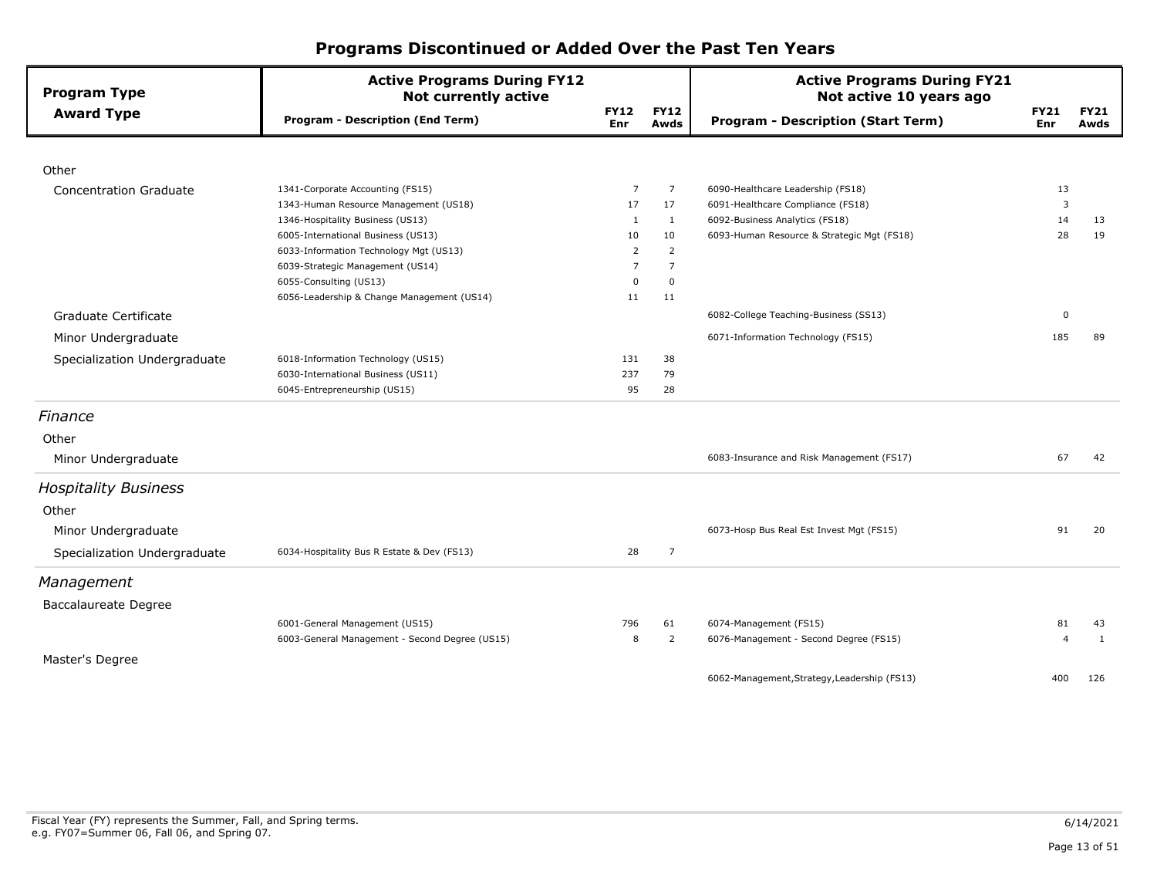| <b>Program Type</b>           | <b>Active Programs During FY12</b><br><b>Not currently active</b> |                    |                     | <b>Active Programs During FY21</b><br>Not active 10 years ago |                    |                     |
|-------------------------------|-------------------------------------------------------------------|--------------------|---------------------|---------------------------------------------------------------|--------------------|---------------------|
| <b>Award Type</b>             | <b>Program - Description (End Term)</b>                           | <b>FY12</b><br>Enr | <b>FY12</b><br>Awds | <b>Program - Description (Start Term)</b>                     | <b>FY21</b><br>Enr | <b>FY21</b><br>Awds |
|                               |                                                                   |                    |                     |                                                               |                    |                     |
| Other                         |                                                                   |                    |                     |                                                               |                    |                     |
| <b>Concentration Graduate</b> | 1341-Corporate Accounting (FS15)                                  | $\overline{7}$     | $\overline{7}$      | 6090-Healthcare Leadership (FS18)                             | 13                 |                     |
|                               | 1343-Human Resource Management (US18)                             | 17                 | 17                  | 6091-Healthcare Compliance (FS18)                             | 3                  |                     |
|                               | 1346-Hospitality Business (US13)                                  | 1                  | 1                   | 6092-Business Analytics (FS18)                                | 14                 | 13                  |
|                               | 6005-International Business (US13)                                | 10                 | 10                  | 6093-Human Resource & Strategic Mgt (FS18)                    | 28                 | 19                  |
|                               | 6033-Information Technology Mgt (US13)                            | 2                  | $\overline{2}$      |                                                               |                    |                     |
|                               | 6039-Strategic Management (US14)                                  | 7                  | $\overline{7}$      |                                                               |                    |                     |
|                               | 6055-Consulting (US13)                                            | 0                  | $\mathbf 0$         |                                                               |                    |                     |
|                               | 6056-Leadership & Change Management (US14)                        | 11                 | 11                  |                                                               |                    |                     |
| Graduate Certificate          |                                                                   |                    |                     | 6082-College Teaching-Business (SS13)                         | 0                  |                     |
| Minor Undergraduate           |                                                                   |                    |                     | 6071-Information Technology (FS15)                            | 185                | 89                  |
| Specialization Undergraduate  | 6018-Information Technology (US15)                                | 131                | 38                  |                                                               |                    |                     |
|                               | 6030-International Business (US11)                                | 237                | 79                  |                                                               |                    |                     |
|                               | 6045-Entrepreneurship (US15)                                      | 95                 | 28                  |                                                               |                    |                     |
| Finance                       |                                                                   |                    |                     |                                                               |                    |                     |
| Other                         |                                                                   |                    |                     |                                                               |                    |                     |
| Minor Undergraduate           |                                                                   |                    |                     | 6083-Insurance and Risk Management (FS17)                     | 67                 | 42                  |
| <b>Hospitality Business</b>   |                                                                   |                    |                     |                                                               |                    |                     |
| Other                         |                                                                   |                    |                     |                                                               |                    |                     |
| Minor Undergraduate           |                                                                   |                    |                     | 6073-Hosp Bus Real Est Invest Mgt (FS15)                      | 91                 | 20                  |
| Specialization Undergraduate  | 6034-Hospitality Bus R Estate & Dev (FS13)                        | 28                 | $\overline{7}$      |                                                               |                    |                     |
| Management                    |                                                                   |                    |                     |                                                               |                    |                     |
|                               |                                                                   |                    |                     |                                                               |                    |                     |
| <b>Baccalaureate Degree</b>   |                                                                   |                    |                     |                                                               |                    |                     |
|                               | 6001-General Management (US15)                                    | 796                | 61                  | 6074-Management (FS15)                                        | 81                 | 43                  |
|                               | 6003-General Management - Second Degree (US15)                    | 8                  | $\overline{2}$      | 6076-Management - Second Degree (FS15)                        | $\overline{4}$     | 1                   |
| Master's Degree               |                                                                   |                    |                     |                                                               |                    |                     |
|                               |                                                                   |                    |                     | 6062-Management, Strategy, Leadership (FS13)                  | 400                | 126                 |
|                               |                                                                   |                    |                     |                                                               |                    |                     |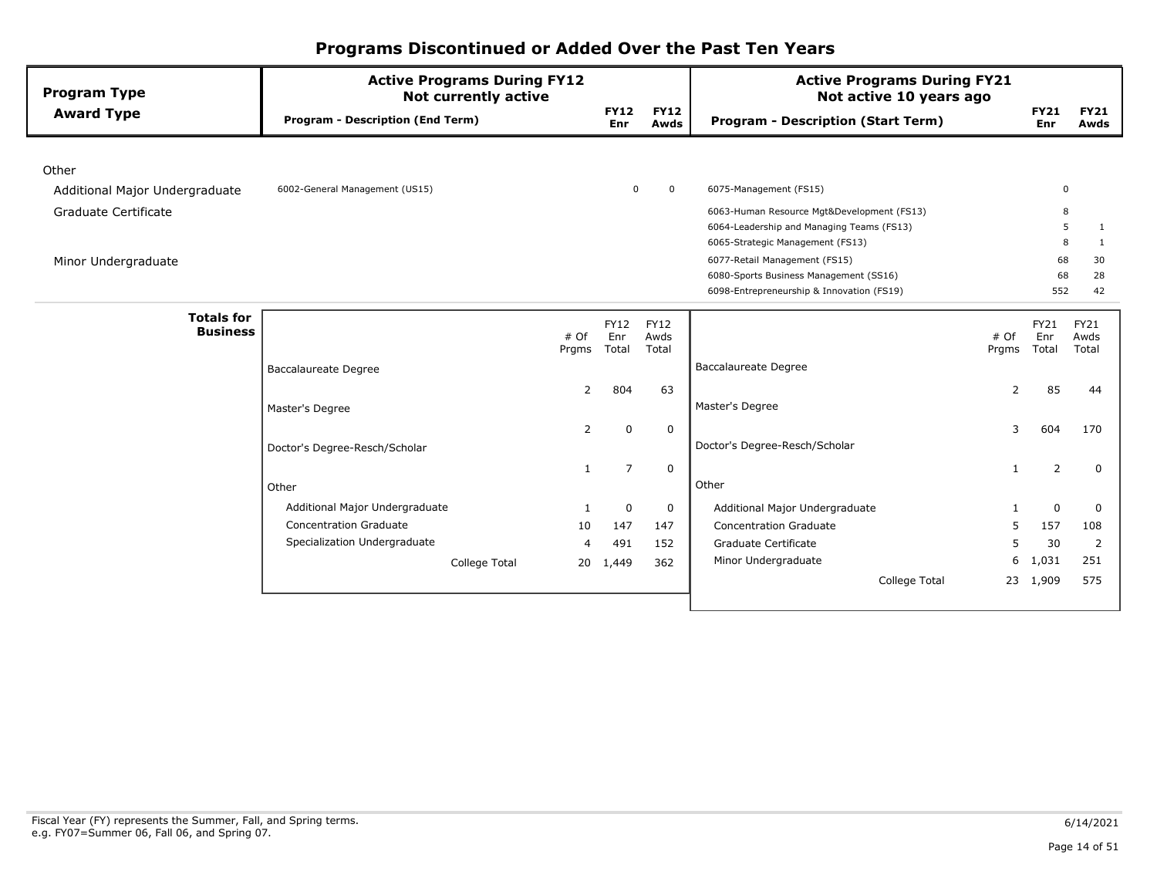| <b>Program Type</b>                  | <b>Active Programs During FY12</b><br><b>Not currently active</b> |                |                    |                     | <b>Active Programs During FY21</b><br>Not active 10 years ago |       |                    |                     |
|--------------------------------------|-------------------------------------------------------------------|----------------|--------------------|---------------------|---------------------------------------------------------------|-------|--------------------|---------------------|
| <b>Award Type</b>                    | <b>Program - Description (End Term)</b>                           |                | <b>FY12</b><br>Enr | <b>FY12</b><br>Awds | <b>Program - Description (Start Term)</b>                     |       | <b>FY21</b><br>Enr | <b>FY21</b><br>Awds |
|                                      |                                                                   |                |                    |                     |                                                               |       |                    |                     |
| Other                                |                                                                   |                |                    |                     |                                                               |       |                    |                     |
| Additional Major Undergraduate       | 6002-General Management (US15)                                    |                | 0                  | $\mathbf 0$         | 6075-Management (FS15)                                        |       | 0                  |                     |
| Graduate Certificate                 |                                                                   |                |                    |                     | 6063-Human Resource Mgt&Development (FS13)                    |       | 8                  |                     |
|                                      |                                                                   |                |                    |                     | 6064-Leadership and Managing Teams (FS13)                     |       | 5                  | 1                   |
|                                      |                                                                   |                |                    |                     | 6065-Strategic Management (FS13)                              |       | 8                  | 1                   |
| Minor Undergraduate                  |                                                                   |                |                    |                     | 6077-Retail Management (FS15)                                 |       | 68                 | 30                  |
|                                      |                                                                   |                |                    |                     | 6080-Sports Business Management (SS16)                        |       | 68                 | 28                  |
|                                      |                                                                   |                |                    |                     | 6098-Entrepreneurship & Innovation (FS19)                     |       | 552                | 42                  |
| <b>Totals for</b><br><b>Business</b> | # Of                                                              |                | <b>FY12</b><br>Enr | <b>FY12</b><br>Awds |                                                               | # Of  | FY21<br>Enr        | <b>FY21</b><br>Awds |
|                                      | Prgms                                                             |                | Total              | Total               |                                                               | Prgms | Total              | Total               |
|                                      | <b>Baccalaureate Degree</b>                                       |                |                    |                     | <b>Baccalaureate Degree</b>                                   |       |                    |                     |
|                                      |                                                                   | 2              | 804                | 63                  |                                                               | 2     | 85                 | 44                  |
|                                      | Master's Degree                                                   |                |                    |                     | Master's Degree                                               |       |                    |                     |
|                                      |                                                                   | $\overline{2}$ | $\mathbf 0$        | $\mathbf 0$         |                                                               | 3     | 604                | 170                 |
|                                      | Doctor's Degree-Resch/Scholar                                     |                |                    |                     | Doctor's Degree-Resch/Scholar                                 |       |                    |                     |
|                                      |                                                                   | 1              | $\overline{7}$     | $\mathbf 0$         |                                                               | 1     | 2                  | 0                   |
|                                      | Other                                                             |                |                    |                     | Other                                                         |       |                    |                     |
|                                      | Additional Major Undergraduate                                    |                | $\mathbf 0$        | $\mathbf 0$         | Additional Major Undergraduate                                | 1     | 0                  | 0                   |
|                                      | <b>Concentration Graduate</b>                                     | 10             | 147                | 147                 | Concentration Graduate                                        | 5     | 157                | 108                 |
|                                      | Specialization Undergraduate                                      | 4              | 491                | 152                 | Graduate Certificate                                          | 5     | 30                 | 2                   |
|                                      | College Total                                                     | 20             | 1,449              | 362                 | Minor Undergraduate                                           | 6     | 1,031              | 251                 |
|                                      |                                                                   |                |                    |                     | College Total                                                 |       | 23 1,909           | 575                 |
|                                      |                                                                   |                |                    |                     |                                                               |       |                    |                     |
|                                      |                                                                   |                |                    |                     |                                                               |       |                    |                     |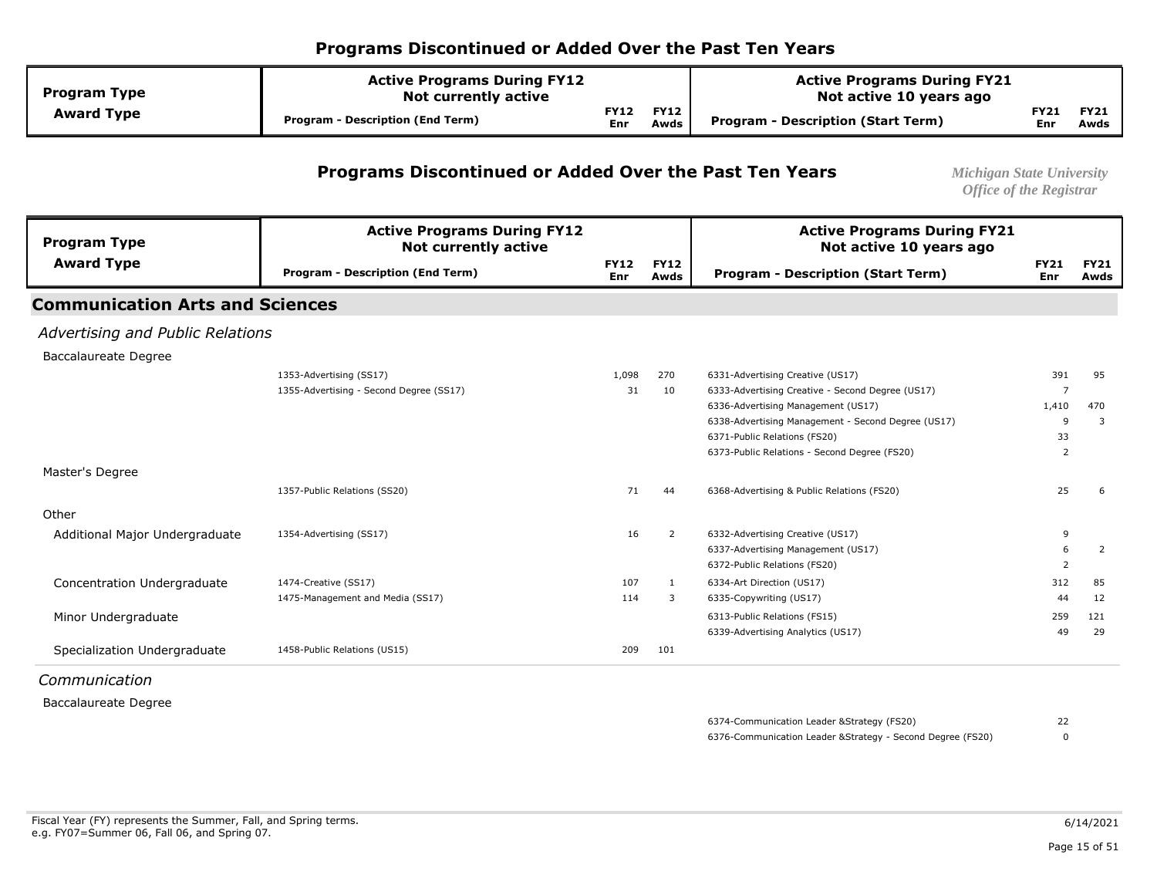| <b>Program Type</b> | <b>Active Programs During FY12</b><br><b>Not currently active</b> |                    |                     | <b>Active Programs During FY21</b><br>Not active 10 years ago |             |                     |
|---------------------|-------------------------------------------------------------------|--------------------|---------------------|---------------------------------------------------------------|-------------|---------------------|
| <b>Award Type</b>   | <b>Program - Description (End Term)</b>                           | <b>FY12</b><br>Enr | <b>FY12</b><br>Awds | <b>Program - Description (Start Term)</b>                     | FY21<br>Enr | <b>FY21</b><br>Awds |

#### **Programs Discontinued or Added Over the Past Ten Years** *Michigan State University*

*Office of the Registrar* 

| <b>Program Type</b>                    | <b>Active Programs During FY12</b><br><b>Not currently active</b> |                    |                     | <b>Active Programs During FY21</b><br>Not active 10 years ago |                    |                     |
|----------------------------------------|-------------------------------------------------------------------|--------------------|---------------------|---------------------------------------------------------------|--------------------|---------------------|
| <b>Award Type</b>                      | <b>Program - Description (End Term)</b>                           | <b>FY12</b><br>Enr | <b>FY12</b><br>Awds | <b>Program - Description (Start Term)</b>                     | <b>FY21</b><br>Enr | <b>FY21</b><br>Awds |
| <b>Communication Arts and Sciences</b> |                                                                   |                    |                     |                                                               |                    |                     |
| Advertising and Public Relations       |                                                                   |                    |                     |                                                               |                    |                     |
| <b>Baccalaureate Degree</b>            |                                                                   |                    |                     |                                                               |                    |                     |
|                                        | 1353-Advertising (SS17)                                           | 1,098              | 270                 | 6331-Advertising Creative (US17)                              | 391                | 95                  |
|                                        | 1355-Advertising - Second Degree (SS17)                           | 31                 | 10                  | 6333-Advertising Creative - Second Degree (US17)              | 7                  |                     |
|                                        |                                                                   |                    |                     | 6336-Advertising Management (US17)                            | 1,410              | 470                 |
|                                        |                                                                   |                    |                     | 6338-Advertising Management - Second Degree (US17)            | 9                  | 3                   |
|                                        |                                                                   |                    |                     | 6371-Public Relations (FS20)                                  | 33                 |                     |
|                                        |                                                                   |                    |                     | 6373-Public Relations - Second Degree (FS20)                  | 2                  |                     |
| Master's Degree                        |                                                                   |                    |                     |                                                               |                    |                     |
|                                        | 1357-Public Relations (SS20)                                      | 71                 | 44                  | 6368-Advertising & Public Relations (FS20)                    | 25                 | 6                   |
| Other                                  |                                                                   |                    |                     |                                                               |                    |                     |
| Additional Major Undergraduate         | 1354-Advertising (SS17)                                           | 16                 | 2                   | 6332-Advertising Creative (US17)                              | 9                  |                     |
|                                        |                                                                   |                    |                     | 6337-Advertising Management (US17)                            | 6                  | 2                   |
|                                        |                                                                   |                    |                     | 6372-Public Relations (FS20)                                  | 2                  |                     |
| Concentration Undergraduate            | 1474-Creative (SS17)                                              | 107                | 1                   | 6334-Art Direction (US17)                                     | 312                | 85                  |
|                                        | 1475-Management and Media (SS17)                                  | 114                | 3                   | 6335-Copywriting (US17)                                       | 44                 | 12                  |
| Minor Undergraduate                    |                                                                   |                    |                     | 6313-Public Relations (FS15)                                  | 259                | 121                 |
|                                        |                                                                   |                    |                     | 6339-Advertising Analytics (US17)                             | 49                 | 29                  |
| Specialization Undergraduate           | 1458-Public Relations (US15)                                      | 209                | 101                 |                                                               |                    |                     |
| Constantinople of the set of the set   |                                                                   |                    |                     |                                                               |                    |                     |

*Communication* 

Baccalaureate Degree

 6376-Communication Leader &Strategy - Second Degree (FS20) 6374-Communication Leader &Strategy (FS20) 22 0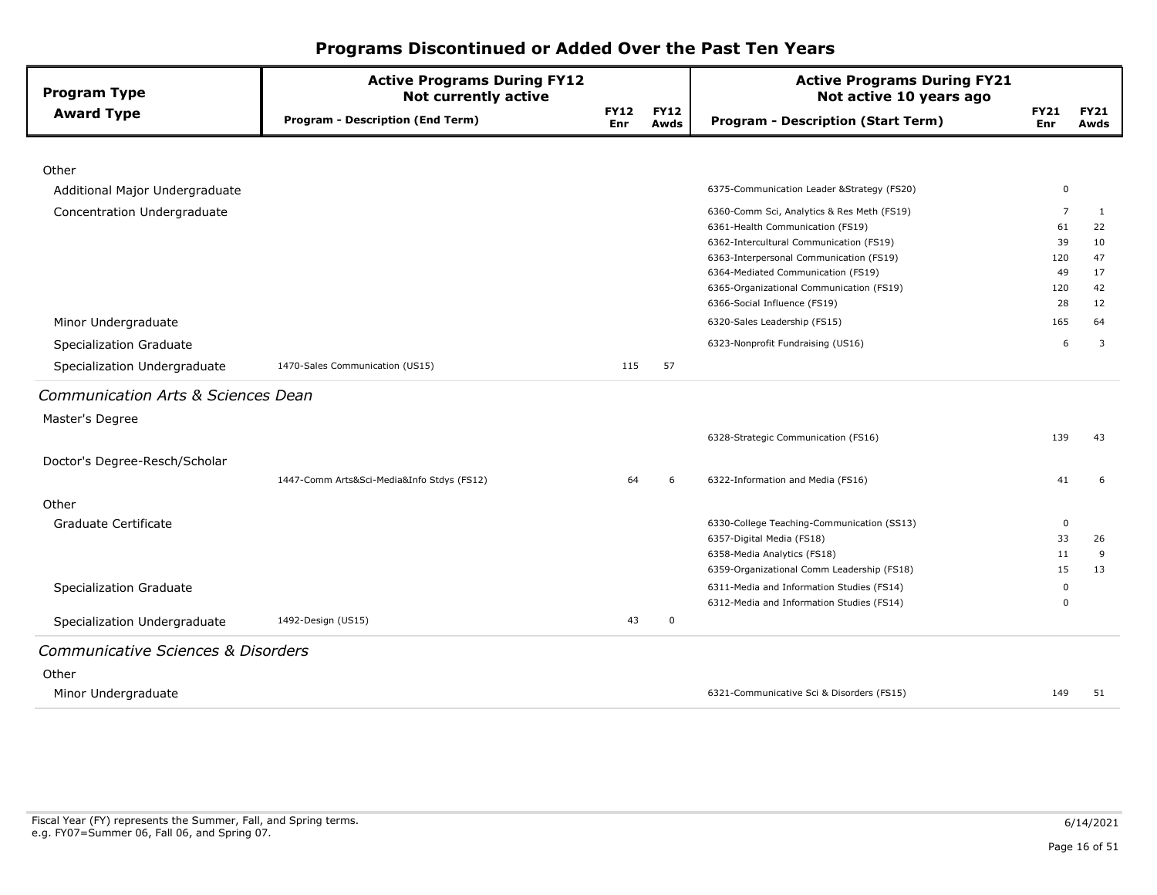| <b>Program Type</b>                | <b>Active Programs During FY12</b><br><b>Not currently active</b> |                    |                     | <b>Active Programs During FY21</b><br>Not active 10 years ago                  |                    |                     |
|------------------------------------|-------------------------------------------------------------------|--------------------|---------------------|--------------------------------------------------------------------------------|--------------------|---------------------|
| <b>Award Type</b>                  | <b>Program - Description (End Term)</b>                           | <b>FY12</b><br>Enr | <b>FY12</b><br>Awds | <b>Program - Description (Start Term)</b>                                      | <b>FY21</b><br>Enr | <b>FY21</b><br>Awds |
|                                    |                                                                   |                    |                     |                                                                                |                    |                     |
| Other                              |                                                                   |                    |                     |                                                                                |                    |                     |
| Additional Major Undergraduate     |                                                                   |                    |                     | 6375-Communication Leader & Strategy (FS20)                                    | 0                  |                     |
| Concentration Undergraduate        |                                                                   |                    |                     | 6360-Comm Sci, Analytics & Res Meth (FS19)                                     | $\overline{7}$     | 1                   |
|                                    |                                                                   |                    |                     | 6361-Health Communication (FS19)                                               | 61                 | 22                  |
|                                    |                                                                   |                    |                     | 6362-Intercultural Communication (FS19)                                        | 39                 | 10                  |
|                                    |                                                                   |                    |                     | 6363-Interpersonal Communication (FS19)                                        | 120                | 47                  |
|                                    |                                                                   |                    |                     | 6364-Mediated Communication (FS19)<br>6365-Organizational Communication (FS19) | 49<br>120          | 17<br>42            |
|                                    |                                                                   |                    |                     | 6366-Social Influence (FS19)                                                   | 28                 | 12                  |
| Minor Undergraduate                |                                                                   |                    |                     | 6320-Sales Leadership (FS15)                                                   | 165                | 64                  |
| Specialization Graduate            |                                                                   |                    |                     | 6323-Nonprofit Fundraising (US16)                                              | 6                  | 3                   |
| Specialization Undergraduate       | 1470-Sales Communication (US15)                                   | 115                | 57                  |                                                                                |                    |                     |
| Communication Arts & Sciences Dean |                                                                   |                    |                     |                                                                                |                    |                     |
| Master's Degree                    |                                                                   |                    |                     |                                                                                |                    |                     |
|                                    |                                                                   |                    |                     | 6328-Strategic Communication (FS16)                                            | 139                | 43                  |
| Doctor's Degree-Resch/Scholar      |                                                                   |                    |                     |                                                                                |                    |                     |
|                                    | 1447-Comm Arts&Sci-Media&Info Stdys (FS12)                        | 64                 | 6                   | 6322-Information and Media (FS16)                                              | 41                 | 6                   |
| Other                              |                                                                   |                    |                     |                                                                                |                    |                     |
| Graduate Certificate               |                                                                   |                    |                     | 6330-College Teaching-Communication (SS13)                                     | 0                  |                     |
|                                    |                                                                   |                    |                     | 6357-Digital Media (FS18)                                                      | 33                 | 26                  |
|                                    |                                                                   |                    |                     | 6358-Media Analytics (FS18)                                                    | 11                 | 9                   |
|                                    |                                                                   |                    |                     | 6359-Organizational Comm Leadership (FS18)                                     | 15                 | 13                  |
| Specialization Graduate            |                                                                   |                    |                     | 6311-Media and Information Studies (FS14)                                      | $\Omega$           |                     |
|                                    |                                                                   |                    |                     | 6312-Media and Information Studies (FS14)                                      | $\Omega$           |                     |
| Specialization Undergraduate       | 1492-Design (US15)                                                | 43                 | 0                   |                                                                                |                    |                     |
| Communicative Sciences & Disorders |                                                                   |                    |                     |                                                                                |                    |                     |
| Other                              |                                                                   |                    |                     |                                                                                |                    |                     |
| Minor Undergraduate                |                                                                   |                    |                     | 6321-Communicative Sci & Disorders (FS15)                                      | 149                | 51                  |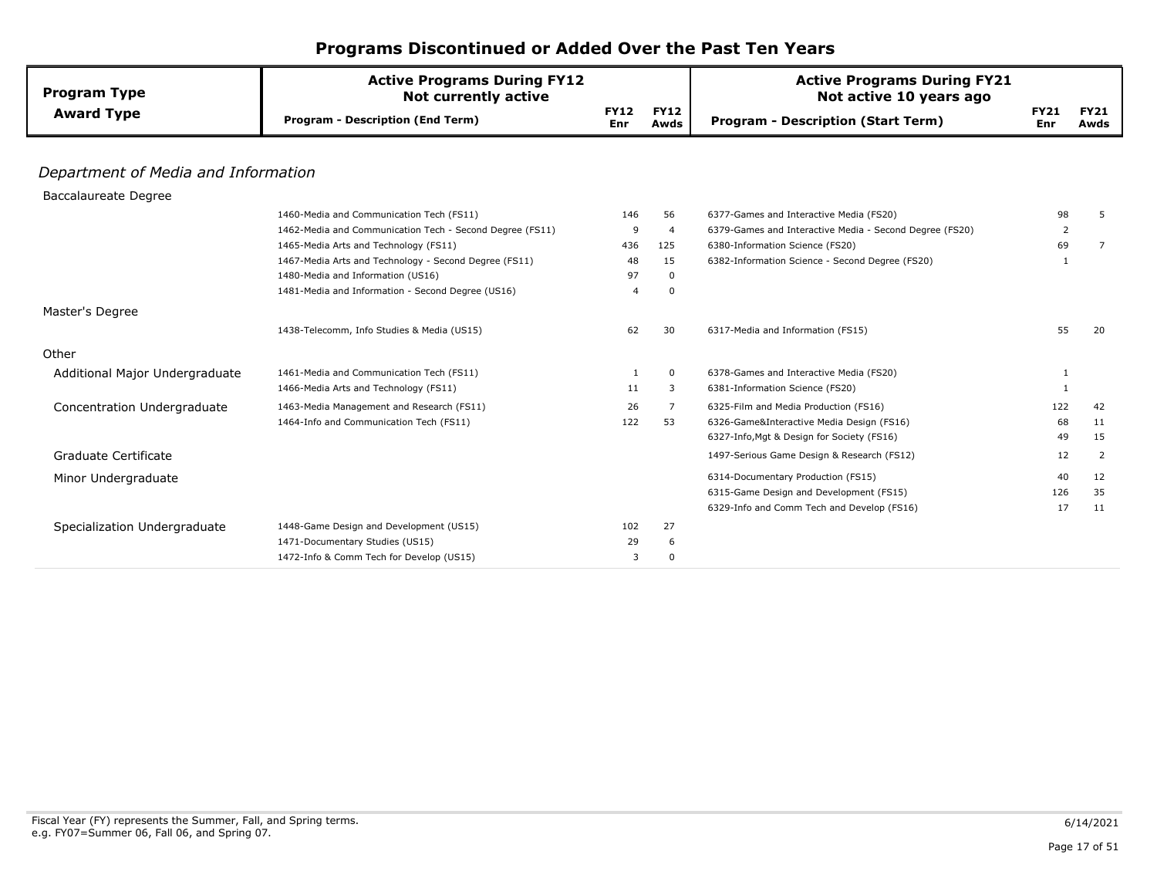| <b>Program Type</b>                 | <b>Active Programs During FY12</b><br><b>Not currently active</b> |                    |                     | <b>Active Programs During FY21</b><br>Not active 10 years ago |                    |                     |
|-------------------------------------|-------------------------------------------------------------------|--------------------|---------------------|---------------------------------------------------------------|--------------------|---------------------|
| <b>Award Type</b>                   | <b>Program - Description (End Term)</b>                           | <b>FY12</b><br>Enr | <b>FY12</b><br>Awds | <b>Program - Description (Start Term)</b>                     | <b>FY21</b><br>Enr | <b>FY21</b><br>Awds |
|                                     |                                                                   |                    |                     |                                                               |                    |                     |
| Department of Media and Information |                                                                   |                    |                     |                                                               |                    |                     |
| Baccalaureate Degree                |                                                                   |                    |                     |                                                               |                    |                     |
|                                     | 1460-Media and Communication Tech (FS11)                          | 146                | 56                  | 6377-Games and Interactive Media (FS20)                       | 98                 | 5                   |
|                                     | 1462-Media and Communication Tech - Second Degree (FS11)          | 9                  | $\overline{4}$      | 6379-Games and Interactive Media - Second Degree (FS20)       | 2                  |                     |
|                                     | 1465-Media Arts and Technology (FS11)                             | 436                | 125                 | 6380-Information Science (FS20)                               | 69                 | 7                   |
|                                     | 1467-Media Arts and Technology - Second Degree (FS11)             | 48                 | 15                  | 6382-Information Science - Second Degree (FS20)               | $\mathbf{1}$       |                     |
|                                     | 1480-Media and Information (US16)                                 | 97                 | $\mathbf 0$         |                                                               |                    |                     |
|                                     | 1481-Media and Information - Second Degree (US16)                 | $\overline{4}$     | 0                   |                                                               |                    |                     |
| Master's Degree                     |                                                                   |                    |                     |                                                               |                    |                     |
|                                     | 1438-Telecomm, Info Studies & Media (US15)                        | 62                 | 30                  | 6317-Media and Information (FS15)                             | 55                 | 20                  |
| Other                               |                                                                   |                    |                     |                                                               |                    |                     |
| Additional Major Undergraduate      | 1461-Media and Communication Tech (FS11)                          | 1                  | $\mathbf 0$         | 6378-Games and Interactive Media (FS20)                       | 1                  |                     |
|                                     | 1466-Media Arts and Technology (FS11)                             | 11                 | $\overline{3}$      | 6381-Information Science (FS20)                               | $\mathbf{1}$       |                     |
| Concentration Undergraduate         | 1463-Media Management and Research (FS11)                         | 26                 | 7                   | 6325-Film and Media Production (FS16)                         | 122                | 42                  |
|                                     | 1464-Info and Communication Tech (FS11)                           | 122                | 53                  | 6326-Game&Interactive Media Design (FS16)                     | 68                 | 11                  |
|                                     |                                                                   |                    |                     | 6327-Info, Mgt & Design for Society (FS16)                    | 49                 | 15                  |
| Graduate Certificate                |                                                                   |                    |                     | 1497-Serious Game Design & Research (FS12)                    | 12                 | 2                   |
| Minor Undergraduate                 |                                                                   |                    |                     | 6314-Documentary Production (FS15)                            | 40                 | 12                  |
|                                     |                                                                   |                    |                     | 6315-Game Design and Development (FS15)                       | 126                | 35                  |
|                                     |                                                                   |                    |                     | 6329-Info and Comm Tech and Develop (FS16)                    | 17                 | 11                  |
| Specialization Undergraduate        | 1448-Game Design and Development (US15)                           | 102                | 27                  |                                                               |                    |                     |
|                                     | 1471-Documentary Studies (US15)                                   | 29                 | 6                   |                                                               |                    |                     |
|                                     | 1472-Info & Comm Tech for Develop (US15)                          | 3                  | $\Omega$            |                                                               |                    |                     |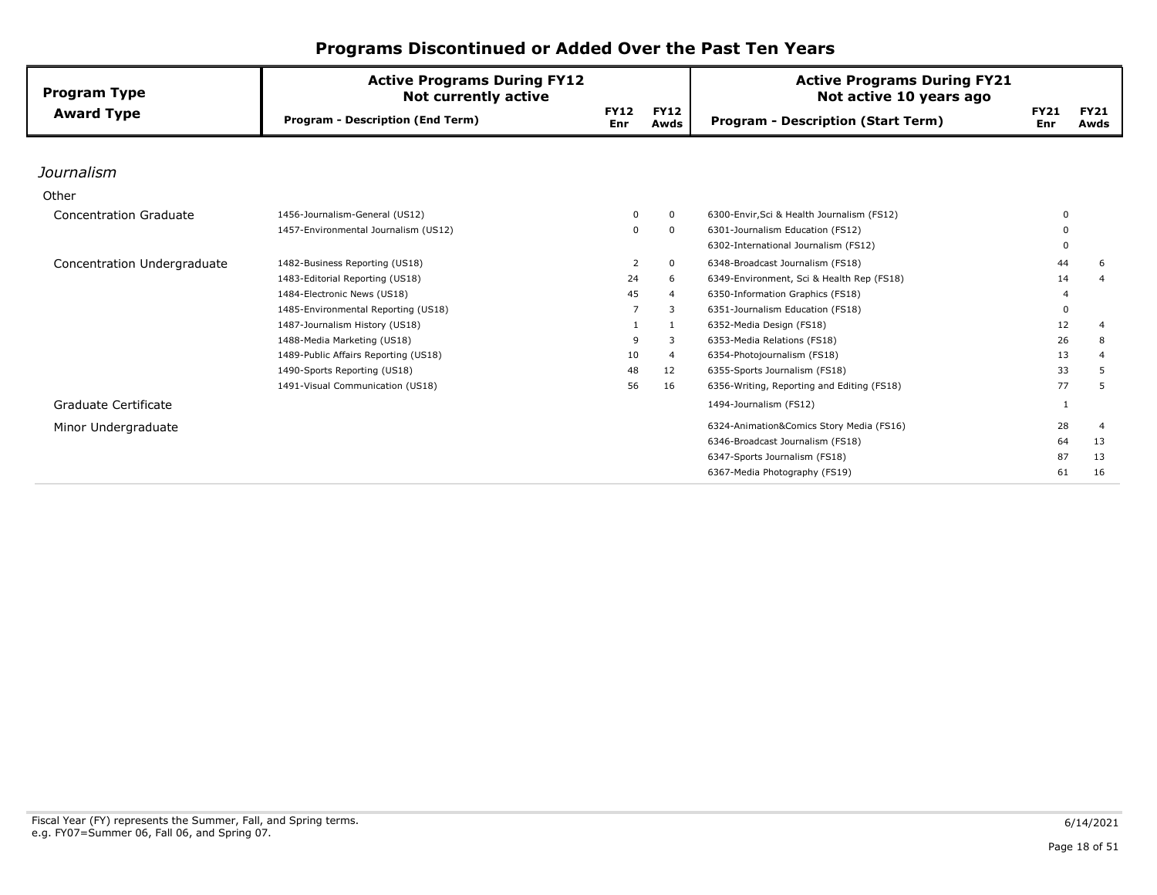| <b>Program Type</b>           | <b>Active Programs During FY12</b><br><b>Not currently active</b> |                           |                     | <b>Active Programs During FY21</b><br>Not active 10 years ago |                    |                     |
|-------------------------------|-------------------------------------------------------------------|---------------------------|---------------------|---------------------------------------------------------------|--------------------|---------------------|
| <b>Award Type</b>             | <b>Program - Description (End Term)</b>                           | <b>FY12</b><br><b>Enr</b> | <b>FY12</b><br>Awds | <b>Program - Description (Start Term)</b>                     | <b>FY21</b><br>Enr | <b>FY21</b><br>Awds |
|                               |                                                                   |                           |                     |                                                               |                    |                     |
| Journalism                    |                                                                   |                           |                     |                                                               |                    |                     |
| Other                         |                                                                   |                           |                     |                                                               |                    |                     |
| <b>Concentration Graduate</b> | 1456-Journalism-General (US12)                                    |                           | $\Omega$            | 6300-Envir, Sci & Health Journalism (FS12)                    | $\Omega$           |                     |
|                               | 1457-Environmental Journalism (US12)                              | 0                         | $\mathbf 0$         | 6301-Journalism Education (FS12)                              |                    |                     |
|                               |                                                                   |                           |                     | 6302-International Journalism (FS12)                          | $\Omega$           |                     |
| Concentration Undergraduate   | 1482-Business Reporting (US18)                                    | $\overline{2}$            | $\mathbf 0$         | 6348-Broadcast Journalism (FS18)                              | 44                 | 6                   |
|                               | 1483-Editorial Reporting (US18)                                   | 24                        | 6                   | 6349-Environment, Sci & Health Rep (FS18)                     | 14                 | 4                   |
|                               | 1484-Electronic News (US18)                                       | 45                        | 4                   | 6350-Information Graphics (FS18)                              |                    |                     |
|                               | 1485-Environmental Reporting (US18)                               |                           | 3                   | 6351-Journalism Education (FS18)                              | $\Omega$           |                     |
|                               | 1487-Journalism History (US18)                                    |                           | 1                   | 6352-Media Design (FS18)                                      | 12                 | $\overline{4}$      |
|                               | 1488-Media Marketing (US18)                                       | 9                         | 3                   | 6353-Media Relations (FS18)                                   | 26                 | 8                   |
|                               | 1489-Public Affairs Reporting (US18)                              | 10                        | $\overline{4}$      | 6354-Photojournalism (FS18)                                   | 13                 | 4                   |
|                               | 1490-Sports Reporting (US18)                                      | 48                        | 12                  | 6355-Sports Journalism (FS18)                                 | 33                 | 5                   |
|                               | 1491-Visual Communication (US18)                                  | 56                        | 16                  | 6356-Writing, Reporting and Editing (FS18)                    | 77                 | 5                   |
| Graduate Certificate          |                                                                   |                           |                     | 1494-Journalism (FS12)                                        |                    |                     |
| Minor Undergraduate           |                                                                   |                           |                     | 6324-Animation&Comics Story Media (FS16)                      | 28                 | $\overline{a}$      |
|                               |                                                                   |                           |                     | 6346-Broadcast Journalism (FS18)                              | 64                 | 13                  |
|                               |                                                                   |                           |                     | 6347-Sports Journalism (FS18)                                 | 87                 | 13                  |
|                               |                                                                   |                           |                     | 6367-Media Photography (FS19)                                 | 61                 | 16                  |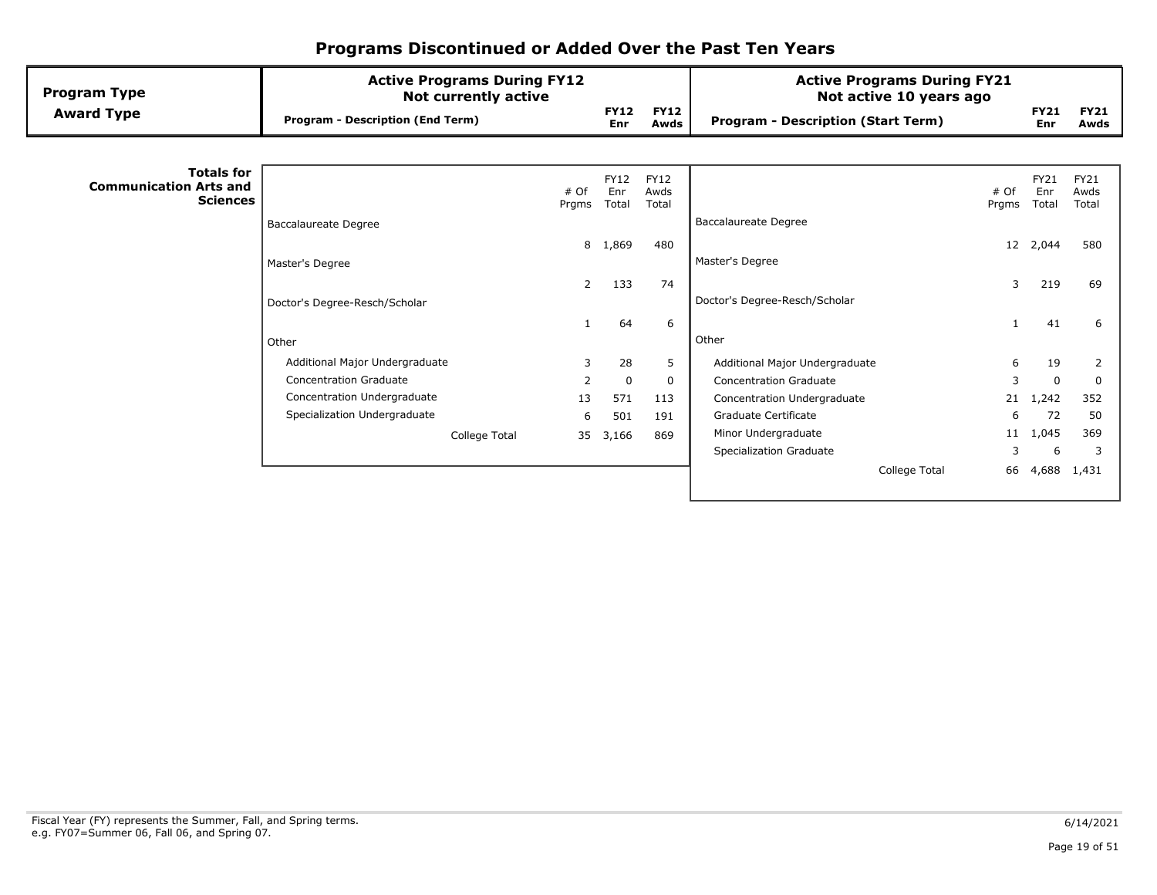| <b>Program Type</b>                                                   | <b>Active Programs During FY12</b><br><b>Not currently active</b> |               |                             |                              | <b>Active Programs During FY21</b><br>Not active 10 years ago |               |                      |                              |
|-----------------------------------------------------------------------|-------------------------------------------------------------------|---------------|-----------------------------|------------------------------|---------------------------------------------------------------|---------------|----------------------|------------------------------|
| <b>Award Type</b>                                                     | <b>Program - Description (End Term)</b>                           |               | <b>FY12</b><br>Enr          | <b>FY12</b><br>Awds          | <b>Program - Description (Start Term)</b>                     |               | <b>FY21</b><br>Enr   | <b>FY21</b><br>Awds          |
|                                                                       |                                                                   |               |                             |                              |                                                               |               |                      |                              |
| <b>Totals for</b><br><b>Communication Arts and</b><br><b>Sciences</b> |                                                                   | # Of<br>Prgms | <b>FY12</b><br>Enr<br>Total | <b>FY12</b><br>Awds<br>Total |                                                               | # Of<br>Prgms | FY21<br>Enr<br>Total | <b>FY21</b><br>Awds<br>Total |
|                                                                       | <b>Baccalaureate Degree</b>                                       |               |                             |                              | <b>Baccalaureate Degree</b>                                   |               |                      |                              |
|                                                                       |                                                                   | 8             | 1,869                       | 480                          |                                                               |               | 12 2,044             | 580                          |
|                                                                       | Master's Degree                                                   |               |                             |                              | Master's Degree                                               |               |                      |                              |
|                                                                       |                                                                   | 2             | 133                         | 74                           |                                                               | 3             | 219                  | 69                           |
|                                                                       | Doctor's Degree-Resch/Scholar                                     |               |                             |                              | Doctor's Degree-Resch/Scholar                                 |               |                      |                              |
|                                                                       |                                                                   |               | 64                          | 6                            |                                                               |               | 41                   | 6                            |
|                                                                       | Other                                                             |               |                             |                              | Other                                                         |               |                      |                              |
|                                                                       | Additional Major Undergraduate                                    | 3             | 28                          | 5                            | Additional Major Undergraduate                                | 6             | 19                   | 2                            |
|                                                                       | <b>Concentration Graduate</b>                                     | 2             | $\mathbf 0$                 | 0                            | <b>Concentration Graduate</b>                                 | 3             | $\Omega$             | $\mathbf 0$                  |
|                                                                       | Concentration Undergraduate                                       | 13            | 571                         | 113                          | Concentration Undergraduate                                   | 21            | 1,242                | 352                          |
|                                                                       | Specialization Undergraduate                                      | 6             | 501                         | 191                          | Graduate Certificate                                          | 6             | 72                   | 50                           |
|                                                                       | College Total                                                     | 35            | 3,166                       | 869                          | Minor Undergraduate                                           | 11            | 1,045                | 369                          |
|                                                                       |                                                                   |               |                             |                              | Specialization Graduate                                       | 3             | 6                    | 3                            |
|                                                                       |                                                                   |               |                             |                              | College Total                                                 | 66            | 4,688                | 1,431                        |
|                                                                       |                                                                   |               |                             |                              |                                                               |               |                      |                              |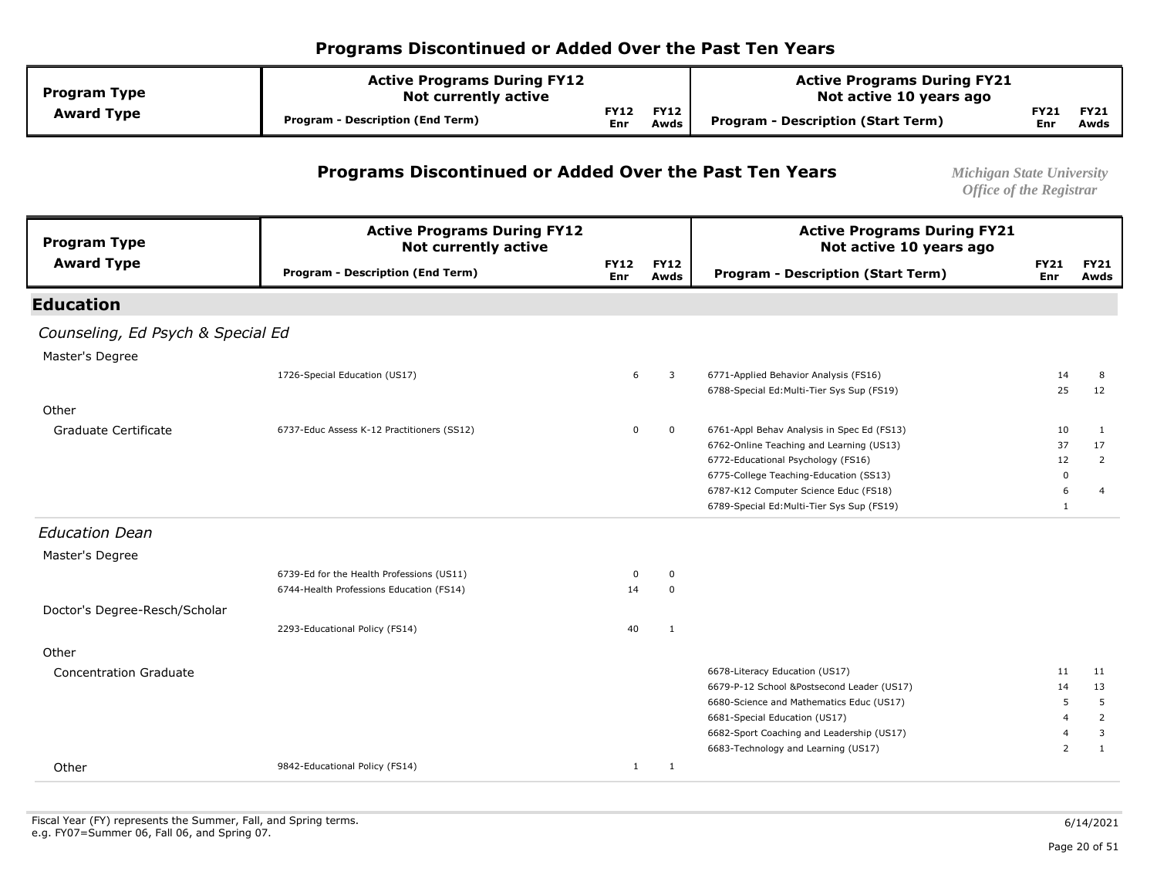| <b>Program Type</b> | <b>Active Programs During FY12</b><br><b>Not currently active</b> |                    |                     | <b>Active Programs During FY21</b><br>Not active 10 years ago |             |                     |  |
|---------------------|-------------------------------------------------------------------|--------------------|---------------------|---------------------------------------------------------------|-------------|---------------------|--|
| <b>Award Type</b>   | <b>Program - Description (End Term)</b>                           | <b>FY12</b><br>Enr | <b>FY12</b><br>Awds | Program - Description (Start Term)                            | FY21<br>Enr | <b>FY21</b><br>Awds |  |

#### **Programs Discontinued or Added Over the Past Ten Years** *Michigan State University*

| <b>Program Type</b>               | <b>Active Programs During FY12</b><br><b>Not currently active</b> |                    |                     | <b>Active Programs During FY21</b><br>Not active 10 years ago |                    |                     |
|-----------------------------------|-------------------------------------------------------------------|--------------------|---------------------|---------------------------------------------------------------|--------------------|---------------------|
| <b>Award Type</b>                 | <b>Program - Description (End Term)</b>                           | <b>FY12</b><br>Enr | <b>FY12</b><br>Awds | <b>Program - Description (Start Term)</b>                     | <b>FY21</b><br>Enr | <b>FY21</b><br>Awds |
| <b>Education</b>                  |                                                                   |                    |                     |                                                               |                    |                     |
| Counseling, Ed Psych & Special Ed |                                                                   |                    |                     |                                                               |                    |                     |
| Master's Degree                   |                                                                   |                    |                     |                                                               |                    |                     |
|                                   | 1726-Special Education (US17)                                     | 6                  | 3                   | 6771-Applied Behavior Analysis (FS16)                         | 14                 | 8                   |
|                                   |                                                                   |                    |                     | 6788-Special Ed:Multi-Tier Sys Sup (FS19)                     | 25                 | 12                  |
| Other                             |                                                                   |                    |                     |                                                               |                    |                     |
| Graduate Certificate              | 6737-Educ Assess K-12 Practitioners (SS12)                        | 0                  | $\mathbf 0$         | 6761-Appl Behav Analysis in Spec Ed (FS13)                    | 10                 | 1                   |
|                                   |                                                                   |                    |                     | 6762-Online Teaching and Learning (US13)                      | 37                 | 17                  |
|                                   |                                                                   |                    |                     | 6772-Educational Psychology (FS16)                            | 12                 | 2                   |
|                                   |                                                                   |                    |                     | 6775-College Teaching-Education (SS13)                        | $\Omega$           |                     |
|                                   |                                                                   |                    |                     | 6787-K12 Computer Science Educ (FS18)                         | 6                  | 4                   |
|                                   |                                                                   |                    |                     | 6789-Special Ed:Multi-Tier Sys Sup (FS19)                     | $\mathbf{1}$       |                     |
| <b>Education Dean</b>             |                                                                   |                    |                     |                                                               |                    |                     |
| Master's Degree                   |                                                                   |                    |                     |                                                               |                    |                     |
|                                   | 6739-Ed for the Health Professions (US11)                         | 0                  | $\mathbf 0$         |                                                               |                    |                     |
|                                   | 6744-Health Professions Education (FS14)                          | 14                 | $\mathbf 0$         |                                                               |                    |                     |
| Doctor's Degree-Resch/Scholar     |                                                                   |                    |                     |                                                               |                    |                     |
|                                   | 2293-Educational Policy (FS14)                                    | 40                 | 1                   |                                                               |                    |                     |
| Other                             |                                                                   |                    |                     |                                                               |                    |                     |
| <b>Concentration Graduate</b>     |                                                                   |                    |                     | 6678-Literacy Education (US17)                                | 11                 | 11                  |
|                                   |                                                                   |                    |                     | 6679-P-12 School &Postsecond Leader (US17)                    | 14                 | 13                  |
|                                   |                                                                   |                    |                     | 6680-Science and Mathematics Educ (US17)                      | 5                  | 5                   |
|                                   |                                                                   |                    |                     | 6681-Special Education (US17)                                 | 4                  | 2                   |
|                                   |                                                                   |                    |                     | 6682-Sport Coaching and Leadership (US17)                     | 4                  | 3                   |
|                                   |                                                                   |                    |                     | 6683-Technology and Learning (US17)                           | $\overline{2}$     | $\mathbf{1}$        |
| Other                             | 9842-Educational Policy (FS14)                                    | $\mathbf{1}$       | 1                   |                                                               |                    |                     |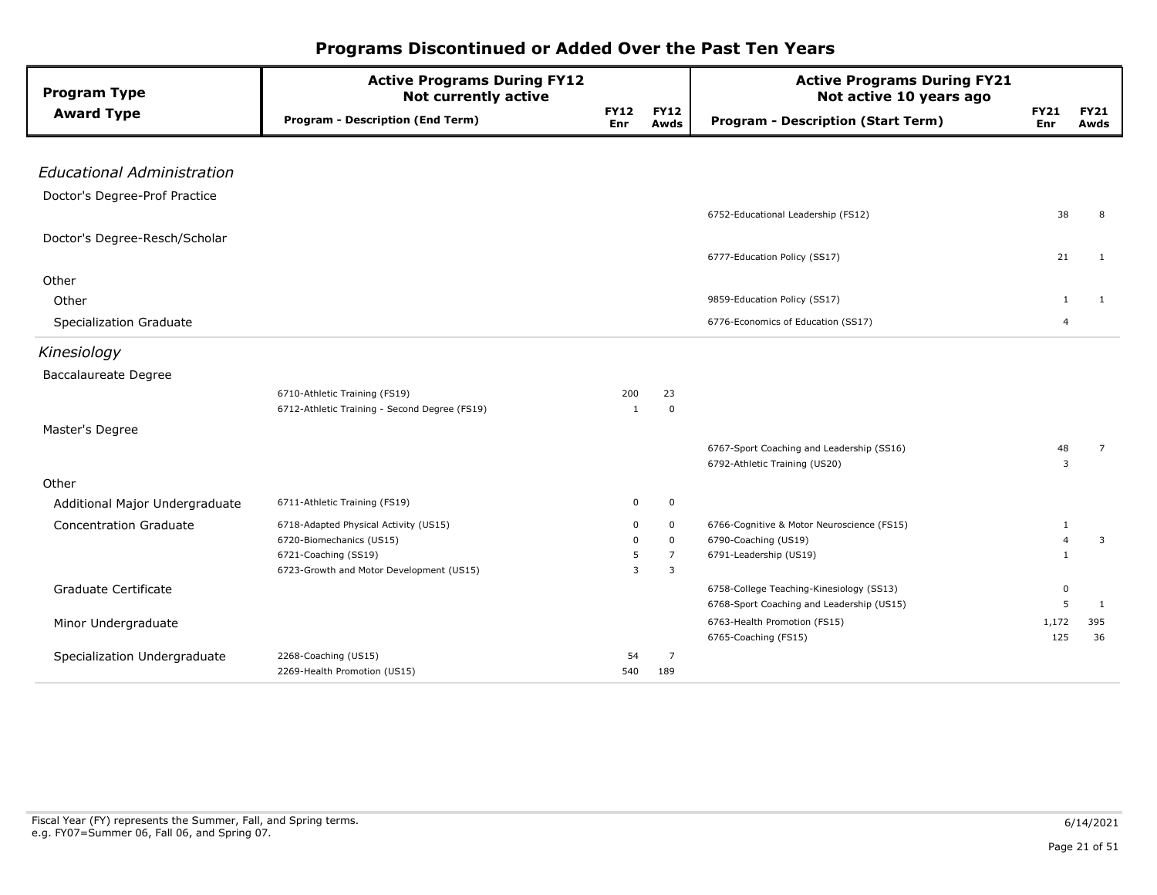| <b>Program Type</b>               | <b>Active Programs During FY12</b><br><b>Not currently active</b> |                    |                     | <b>Active Programs During FY21</b><br>Not active 10 years ago              |                           |                     |
|-----------------------------------|-------------------------------------------------------------------|--------------------|---------------------|----------------------------------------------------------------------------|---------------------------|---------------------|
| <b>Award Type</b>                 | <b>Program - Description (End Term)</b>                           | <b>FY12</b><br>Enr | <b>FY12</b><br>Awds | <b>Program - Description (Start Term)</b>                                  | <b>FY21</b><br><b>Enr</b> | <b>FY21</b><br>Awds |
|                                   |                                                                   |                    |                     |                                                                            |                           |                     |
| <b>Educational Administration</b> |                                                                   |                    |                     |                                                                            |                           |                     |
| Doctor's Degree-Prof Practice     |                                                                   |                    |                     |                                                                            |                           |                     |
|                                   |                                                                   |                    |                     | 6752-Educational Leadership (FS12)                                         | 38                        | 8                   |
| Doctor's Degree-Resch/Scholar     |                                                                   |                    |                     |                                                                            |                           |                     |
|                                   |                                                                   |                    |                     | 6777-Education Policy (SS17)                                               | 21                        | 1                   |
| Other                             |                                                                   |                    |                     |                                                                            |                           |                     |
| Other                             |                                                                   |                    |                     | 9859-Education Policy (SS17)                                               | $\mathbf{1}$              | 1                   |
| Specialization Graduate           |                                                                   |                    |                     | 6776-Economics of Education (SS17)                                         | 4                         |                     |
| Kinesiology                       |                                                                   |                    |                     |                                                                            |                           |                     |
| <b>Baccalaureate Degree</b>       |                                                                   |                    |                     |                                                                            |                           |                     |
|                                   | 6710-Athletic Training (FS19)                                     | 200                | 23                  |                                                                            |                           |                     |
|                                   | 6712-Athletic Training - Second Degree (FS19)                     | $\mathbf{1}$       | 0                   |                                                                            |                           |                     |
| Master's Degree                   |                                                                   |                    |                     |                                                                            |                           |                     |
|                                   |                                                                   |                    |                     | 6767-Sport Coaching and Leadership (SS16)<br>6792-Athletic Training (US20) | 48<br>3                   | $\overline{7}$      |
| Other                             |                                                                   |                    |                     |                                                                            |                           |                     |
| Additional Major Undergraduate    | 6711-Athletic Training (FS19)                                     | 0                  | 0                   |                                                                            |                           |                     |
| <b>Concentration Graduate</b>     | 6718-Adapted Physical Activity (US15)                             | 0                  | 0                   | 6766-Cognitive & Motor Neuroscience (FS15)                                 | 1                         |                     |
|                                   | 6720-Biomechanics (US15)                                          | 0                  | $\mathbf 0$         | 6790-Coaching (US19)                                                       | $\overline{4}$            | 3                   |
|                                   | 6721-Coaching (SS19)                                              | 5                  | $\overline{7}$      | 6791-Leadership (US19)                                                     | $\overline{1}$            |                     |
|                                   | 6723-Growth and Motor Development (US15)                          | 3                  | 3                   |                                                                            |                           |                     |
| Graduate Certificate              |                                                                   |                    |                     | 6758-College Teaching-Kinesiology (SS13)                                   | $\mathbf 0$               |                     |
|                                   |                                                                   |                    |                     | 6768-Sport Coaching and Leadership (US15)                                  | 5                         | 1                   |
| Minor Undergraduate               |                                                                   |                    |                     | 6763-Health Promotion (FS15)<br>6765-Coaching (FS15)                       | 1,172<br>125              | 395<br>36           |
| Specialization Undergraduate      | 2268-Coaching (US15)                                              | 54                 | 7                   |                                                                            |                           |                     |
|                                   | 2269-Health Promotion (US15)                                      | 540                | 189                 |                                                                            |                           |                     |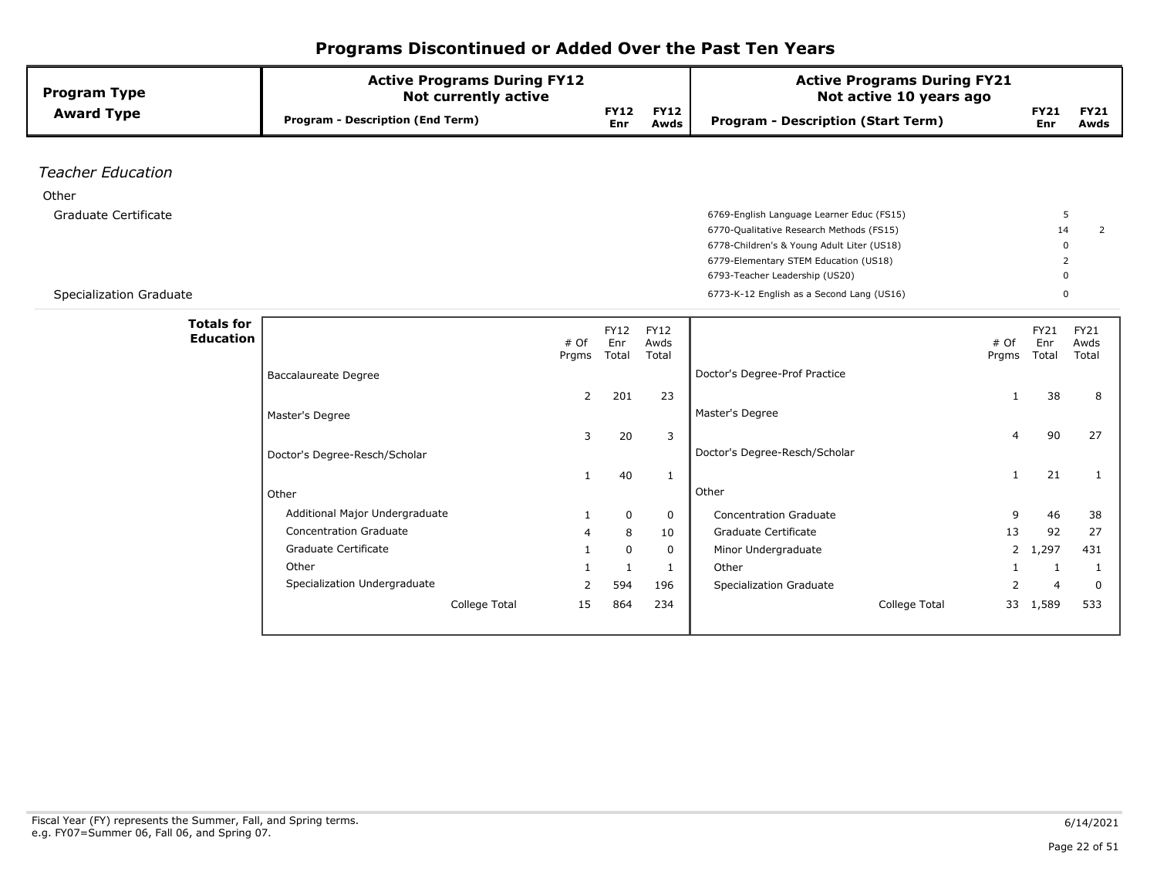| <b>Program Type</b>      | <b>Active Programs During FY12</b><br><b>Not currently active</b> |                       |    |                     | <b>Active Programs During FY21</b><br>Not active 10 years ago |                    |                     |
|--------------------------|-------------------------------------------------------------------|-----------------------|----|---------------------|---------------------------------------------------------------|--------------------|---------------------|
| <b>Award Type</b>        | <b>Program - Description (End Term)</b>                           | <b>FY12</b><br>Enr    |    | <b>FY12</b><br>Awds | <b>Program - Description (Start Term)</b>                     | <b>FY21</b><br>Enr | <b>FY21</b><br>Awds |
|                          |                                                                   |                       |    |                     |                                                               |                    |                     |
| <b>Teacher Education</b> |                                                                   |                       |    |                     |                                                               |                    |                     |
| Other                    |                                                                   |                       |    |                     |                                                               |                    |                     |
| Graduate Certificate     |                                                                   |                       |    |                     | 6769-English Language Learner Educ (FS15)                     |                    | 5                   |
|                          |                                                                   |                       |    |                     | 6770-Qualitative Research Methods (FS15)                      |                    | 14<br>2             |
|                          |                                                                   |                       |    |                     | 6778-Children's & Young Adult Liter (US18)                    |                    | $\Omega$            |
|                          |                                                                   |                       |    |                     | 6779-Elementary STEM Education (US18)                         |                    | $\overline{2}$      |
|                          |                                                                   |                       |    |                     | 6793-Teacher Leadership (US20)                                |                    | n                   |
| Specialization Graduate  |                                                                   |                       |    |                     | 6773-K-12 English as a Second Lang (US16)                     |                    | $\Omega$            |
| <b>Totals for</b>        |                                                                   |                       |    |                     |                                                               |                    |                     |
| <b>Education</b>         |                                                                   | <b>FY12</b>           |    | <b>FY12</b>         |                                                               | FY21               | FY21                |
|                          | # Of<br>Prgms                                                     | Enr<br>Total          |    | Awds<br>Total       | # Of<br>Prgms                                                 | Enr<br>Total       | Awds<br>Total       |
|                          | <b>Baccalaureate Degree</b>                                       |                       |    |                     | Doctor's Degree-Prof Practice                                 |                    |                     |
|                          |                                                                   |                       |    |                     |                                                               |                    |                     |
|                          |                                                                   | $\overline{2}$<br>201 |    | 23                  | $\mathbf{1}$                                                  | 38                 | 8                   |
|                          | Master's Degree                                                   |                       |    |                     | Master's Degree                                               |                    |                     |
|                          |                                                                   | 3                     | 20 | 3                   | 4                                                             | 90                 | 27                  |
|                          | Doctor's Degree-Resch/Scholar                                     |                       |    |                     | Doctor's Degree-Resch/Scholar                                 |                    |                     |
|                          | $\mathbf{1}$                                                      |                       | 40 | $\mathbf{1}$        | $\mathbf{1}$                                                  | 21                 | 1                   |
|                          | Other                                                             |                       |    |                     | Other                                                         |                    |                     |
|                          | Additional Major Undergraduate                                    |                       |    |                     |                                                               |                    |                     |
|                          | 1<br><b>Concentration Graduate</b>                                |                       | 0  | $\mathbf 0$         | <b>Concentration Graduate</b><br>9                            | 46                 | 38                  |
|                          | 4                                                                 |                       | 8  | 10                  | Graduate Certificate<br>13                                    | 92                 | 27                  |
|                          | Graduate Certificate<br>1                                         |                       | 0  | 0                   | Minor Undergraduate<br>$\mathbf{2}$                           | 1,297              | 431                 |
|                          | Other                                                             |                       | 1  | 1                   | Other<br>1                                                    | 1                  | -1                  |
|                          | Specialization Undergraduate<br>2                                 | 594                   |    | 196                 | Specialization Graduate<br>$\overline{2}$                     | $\overline{4}$     | $\Omega$            |
|                          | College Total<br>15                                               | 864                   |    | 234                 | College Total<br>33                                           | 1,589              | 533                 |
|                          |                                                                   |                       |    |                     |                                                               |                    |                     |
|                          |                                                                   |                       |    |                     |                                                               |                    |                     |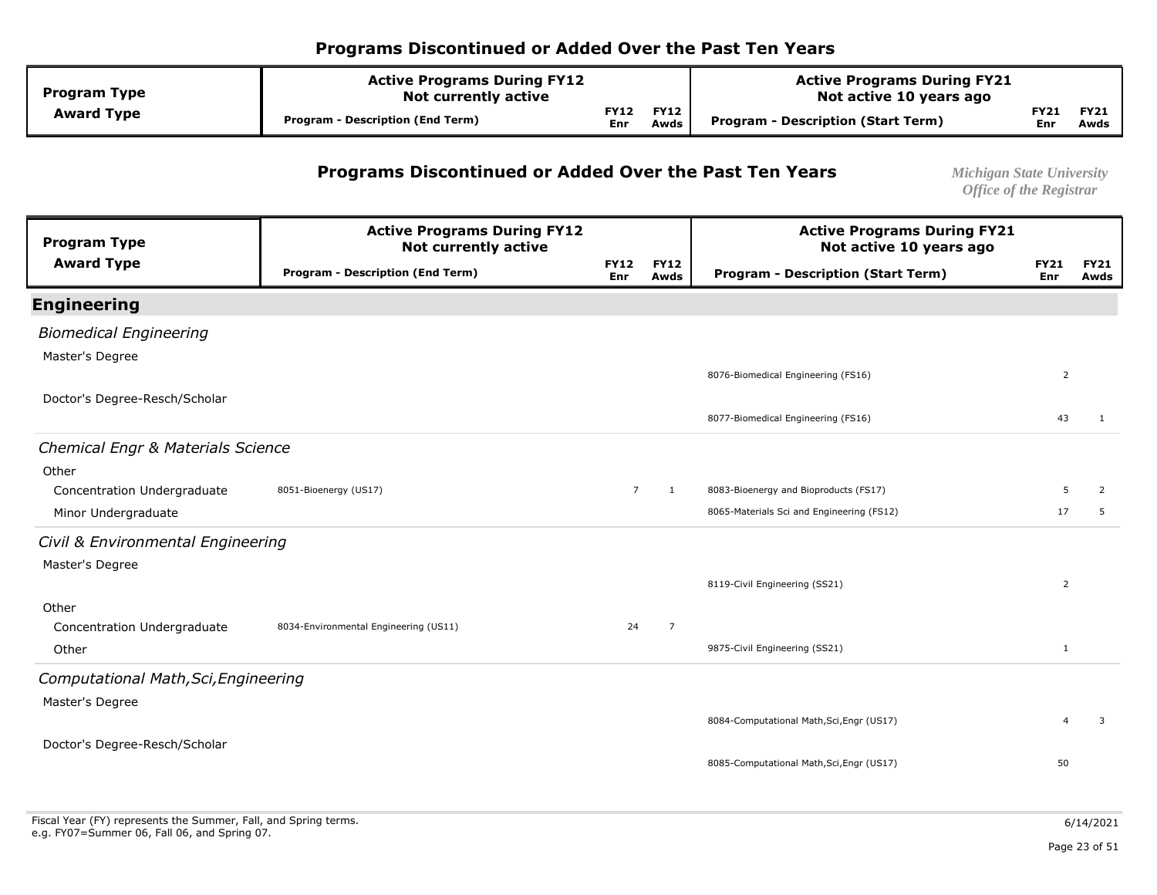| <b>Program Type</b> | <b>Active Programs During FY12</b><br><b>Not currently active</b> |                    |                     | <b>Active Programs During FY21</b><br>Not active 10 years ago |                    |                     |  |
|---------------------|-------------------------------------------------------------------|--------------------|---------------------|---------------------------------------------------------------|--------------------|---------------------|--|
| <b>Award Type</b>   | Program - Description (End Term)                                  | <b>FY12</b><br>Enr | <b>FY12</b><br>Awds | Program - Description (Start Term)                            | FY21<br><b>Enr</b> | <b>FY21</b><br>Awds |  |

#### **Programs Discontinued or Added Over the Past Ten Years** *Michigan State University*

| <b>Program Type</b>                                | <b>Active Programs During FY12</b><br><b>Not currently active</b> |                           |                     | <b>Active Programs During FY21</b><br>Not active 10 years ago |                    |                     |
|----------------------------------------------------|-------------------------------------------------------------------|---------------------------|---------------------|---------------------------------------------------------------|--------------------|---------------------|
| <b>Award Type</b>                                  | <b>Program - Description (End Term)</b>                           | <b>FY12</b><br><b>Enr</b> | <b>FY12</b><br>Awds | <b>Program - Description (Start Term)</b>                     | <b>FY21</b><br>Enr | <b>FY21</b><br>Awds |
| <b>Engineering</b>                                 |                                                                   |                           |                     |                                                               |                    |                     |
| <b>Biomedical Engineering</b>                      |                                                                   |                           |                     |                                                               |                    |                     |
| Master's Degree                                    |                                                                   |                           |                     |                                                               |                    |                     |
|                                                    |                                                                   |                           |                     | 8076-Biomedical Engineering (FS16)                            | $\overline{2}$     |                     |
| Doctor's Degree-Resch/Scholar                      |                                                                   |                           |                     | 8077-Biomedical Engineering (FS16)                            | 43                 | 1                   |
|                                                    |                                                                   |                           |                     |                                                               |                    |                     |
| Chemical Engr & Materials Science                  |                                                                   |                           |                     |                                                               |                    |                     |
| Other                                              | 8051-Bioenergy (US17)                                             | $\overline{7}$            |                     | 8083-Bioenergy and Bioproducts (FS17)                         | 5                  |                     |
| Concentration Undergraduate<br>Minor Undergraduate |                                                                   |                           | $\mathbf{1}$        | 8065-Materials Sci and Engineering (FS12)                     | 17                 | 2<br>5              |
|                                                    |                                                                   |                           |                     |                                                               |                    |                     |
| Civil & Environmental Engineering                  |                                                                   |                           |                     |                                                               |                    |                     |
| Master's Degree                                    |                                                                   |                           |                     | 8119-Civil Engineering (SS21)                                 | $\overline{2}$     |                     |
|                                                    |                                                                   |                           |                     |                                                               |                    |                     |
| Other<br>Concentration Undergraduate               | 8034-Environmental Engineering (US11)                             | 24                        | $\overline{7}$      |                                                               |                    |                     |
| Other                                              |                                                                   |                           |                     | 9875-Civil Engineering (SS21)                                 | $\mathbf{1}$       |                     |
| Computational Math, Sci, Engineering               |                                                                   |                           |                     |                                                               |                    |                     |
| Master's Degree                                    |                                                                   |                           |                     |                                                               |                    |                     |
|                                                    |                                                                   |                           |                     | 8084-Computational Math, Sci, Engr (US17)                     | 4                  | 3                   |
| Doctor's Degree-Resch/Scholar                      |                                                                   |                           |                     |                                                               |                    |                     |
|                                                    |                                                                   |                           |                     | 8085-Computational Math, Sci, Engr (US17)                     | 50                 |                     |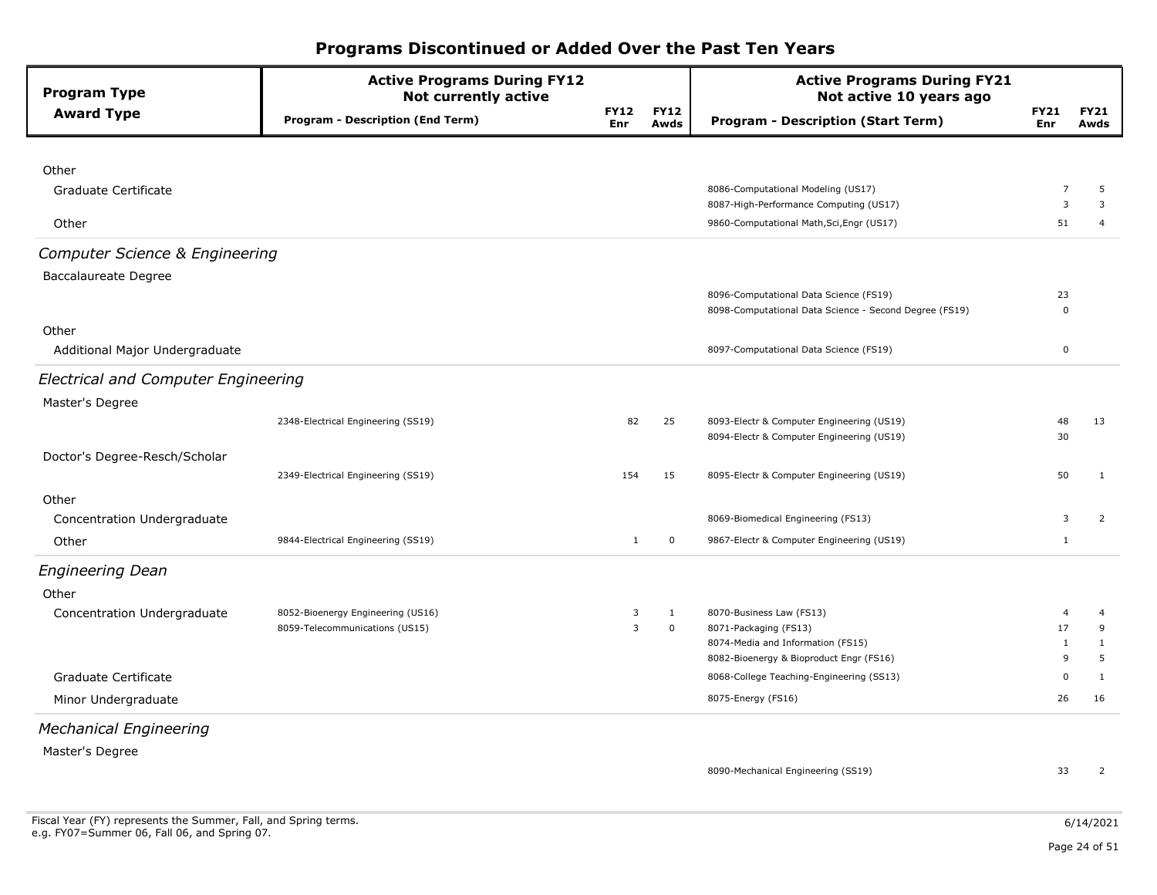| <b>Program Type</b>                        | <b>Active Programs During FY12</b><br><b>Not currently active</b> |                           |                     | <b>Active Programs During FY21</b><br>Not active 10 years ago |                    |                     |
|--------------------------------------------|-------------------------------------------------------------------|---------------------------|---------------------|---------------------------------------------------------------|--------------------|---------------------|
| <b>Award Type</b>                          | <b>Program - Description (End Term)</b>                           | <b>FY12</b><br><b>Enr</b> | <b>FY12</b><br>Awds | <b>Program - Description (Start Term)</b>                     | <b>FY21</b><br>Enr | <b>FY21</b><br>Awds |
|                                            |                                                                   |                           |                     |                                                               |                    |                     |
| Other                                      |                                                                   |                           |                     |                                                               |                    |                     |
| Graduate Certificate                       |                                                                   |                           |                     | 8086-Computational Modeling (US17)                            | $\overline{7}$     | 5                   |
|                                            |                                                                   |                           |                     | 8087-High-Performance Computing (US17)                        | 3                  | 3                   |
| Other                                      |                                                                   |                           |                     | 9860-Computational Math, Sci, Engr (US17)                     | 51                 | 4                   |
| <b>Computer Science &amp; Engineering</b>  |                                                                   |                           |                     |                                                               |                    |                     |
| <b>Baccalaureate Degree</b>                |                                                                   |                           |                     |                                                               |                    |                     |
|                                            |                                                                   |                           |                     | 8096-Computational Data Science (FS19)                        | 23                 |                     |
|                                            |                                                                   |                           |                     | 8098-Computational Data Science - Second Degree (FS19)        | $\Omega$           |                     |
| Other                                      |                                                                   |                           |                     |                                                               |                    |                     |
| Additional Major Undergraduate             |                                                                   |                           |                     | 8097-Computational Data Science (FS19)                        | $\mathbf 0$        |                     |
| <b>Electrical and Computer Engineering</b> |                                                                   |                           |                     |                                                               |                    |                     |
| Master's Degree                            |                                                                   |                           |                     |                                                               |                    |                     |
|                                            | 2348-Electrical Engineering (SS19)                                | 82                        | 25                  | 8093-Electr & Computer Engineering (US19)                     | 48                 | 13                  |
|                                            |                                                                   |                           |                     | 8094-Electr & Computer Engineering (US19)                     | 30                 |                     |
| Doctor's Degree-Resch/Scholar              |                                                                   |                           |                     |                                                               |                    |                     |
|                                            | 2349-Electrical Engineering (SS19)                                | 154                       | 15                  | 8095-Electr & Computer Engineering (US19)                     | 50                 | $\mathbf{1}$        |
| Other                                      |                                                                   |                           |                     |                                                               |                    |                     |
| Concentration Undergraduate                |                                                                   |                           |                     | 8069-Biomedical Engineering (FS13)                            | 3                  | 2                   |
| Other                                      | 9844-Electrical Engineering (SS19)                                | $\mathbf{1}$              | 0                   | 9867-Electr & Computer Engineering (US19)                     | $\mathbf{1}$       |                     |
| <b>Engineering Dean</b>                    |                                                                   |                           |                     |                                                               |                    |                     |
| Other                                      |                                                                   |                           |                     |                                                               |                    |                     |
| Concentration Undergraduate                | 8052-Bioenergy Engineering (US16)                                 | 3                         | 1                   | 8070-Business Law (FS13)                                      | 4                  | 4                   |
|                                            | 8059-Telecommunications (US15)                                    | $\overline{3}$            | $\mathbf 0$         | 8071-Packaging (FS13)                                         | 17                 | 9                   |
|                                            |                                                                   |                           |                     | 8074-Media and Information (FS15)                             | $\mathbf{1}$       | $\mathbf{1}$        |
|                                            |                                                                   |                           |                     | 8082-Bioenergy & Bioproduct Engr (FS16)                       | 9                  | 5                   |
| Graduate Certificate                       |                                                                   |                           |                     | 8068-College Teaching-Engineering (SS13)                      | 0                  | $\mathbf{1}$        |
| Minor Undergraduate                        |                                                                   |                           |                     | 8075-Energy (FS16)                                            | 26                 | 16                  |
| <b>Mechanical Engineering</b>              |                                                                   |                           |                     |                                                               |                    |                     |
| Master's Degree                            |                                                                   |                           |                     |                                                               |                    |                     |
|                                            |                                                                   |                           |                     | 8090-Mechanical Engineering (SS19)                            | 33                 | $\overline{2}$      |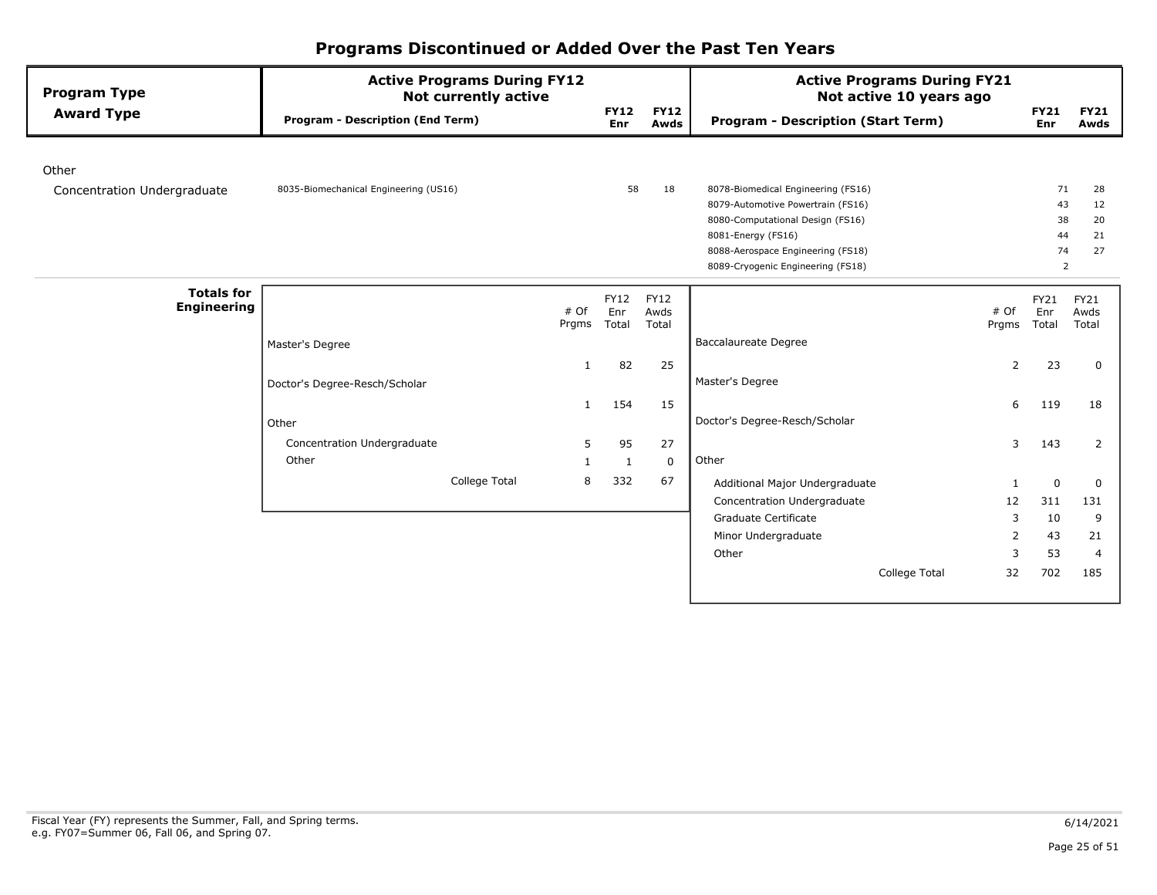| <b>Program Type</b>                     | <b>Active Programs During FY12</b><br><b>Not currently active</b> |              |                    |                     | <b>Active Programs During FY21</b><br>Not active 10 years ago |       |                    |                     |
|-----------------------------------------|-------------------------------------------------------------------|--------------|--------------------|---------------------|---------------------------------------------------------------|-------|--------------------|---------------------|
| <b>Award Type</b>                       | <b>Program - Description (End Term)</b>                           |              | <b>FY12</b><br>Enr | <b>FY12</b><br>Awds | <b>Program - Description (Start Term)</b>                     |       | <b>FY21</b><br>Enr | <b>FY21</b><br>Awds |
| Other                                   |                                                                   |              |                    |                     |                                                               |       |                    |                     |
| Concentration Undergraduate             | 8035-Biomechanical Engineering (US16)                             |              | 58                 | 18                  | 8078-Biomedical Engineering (FS16)                            |       | 71                 | 28                  |
|                                         |                                                                   |              |                    |                     | 8079-Automotive Powertrain (FS16)                             |       | 43                 | 12                  |
|                                         |                                                                   |              |                    |                     | 8080-Computational Design (FS16)                              |       | 38                 | 20                  |
|                                         |                                                                   |              |                    |                     | 8081-Energy (FS16)                                            |       | 44                 | 21                  |
|                                         |                                                                   |              |                    |                     | 8088-Aerospace Engineering (FS18)                             |       | 74                 | 27                  |
|                                         |                                                                   |              |                    |                     | 8089-Cryogenic Engineering (FS18)                             |       | 2                  |                     |
| <b>Totals for</b><br><b>Engineering</b> |                                                                   | # Of         | <b>FY12</b><br>Enr | <b>FY12</b><br>Awds |                                                               | # Of  | FY21<br>Enr        | FY21<br>Awds        |
|                                         |                                                                   | Prgms        | Total              | Total               |                                                               | Prgms | Total              | Total               |
|                                         | Master's Degree                                                   |              |                    |                     | <b>Baccalaureate Degree</b>                                   |       |                    |                     |
|                                         |                                                                   | -1           | 82                 | 25                  |                                                               | 2     | 23                 | 0                   |
|                                         | Doctor's Degree-Resch/Scholar                                     |              |                    |                     | Master's Degree                                               |       |                    |                     |
|                                         |                                                                   | $\mathbf{1}$ | 154                | 15                  |                                                               | 6     | 119                | 18                  |
|                                         | Other                                                             |              |                    |                     | Doctor's Degree-Resch/Scholar                                 |       |                    |                     |
|                                         | Concentration Undergraduate                                       | 5            | 95                 | 27                  |                                                               | 3     | 143                | $\overline{2}$      |
|                                         | Other                                                             | -1           | $\mathbf{1}$       | $\mathbf 0$         | Other                                                         |       |                    |                     |
|                                         | College Total                                                     | 8            | 332                | 67                  | Additional Major Undergraduate                                | -1    | 0                  | 0                   |
|                                         |                                                                   |              |                    |                     | Concentration Undergraduate                                   | 12    | 311                | 131                 |
|                                         |                                                                   |              |                    |                     | Graduate Certificate                                          | 3     | 10                 | 9                   |
|                                         |                                                                   |              |                    |                     | Minor Undergraduate                                           | 2     | 43                 | 21                  |
|                                         |                                                                   |              |                    |                     | Other                                                         | 3     | 53                 | 4                   |
|                                         |                                                                   |              |                    |                     | College Total                                                 | 32    | 702                | 185                 |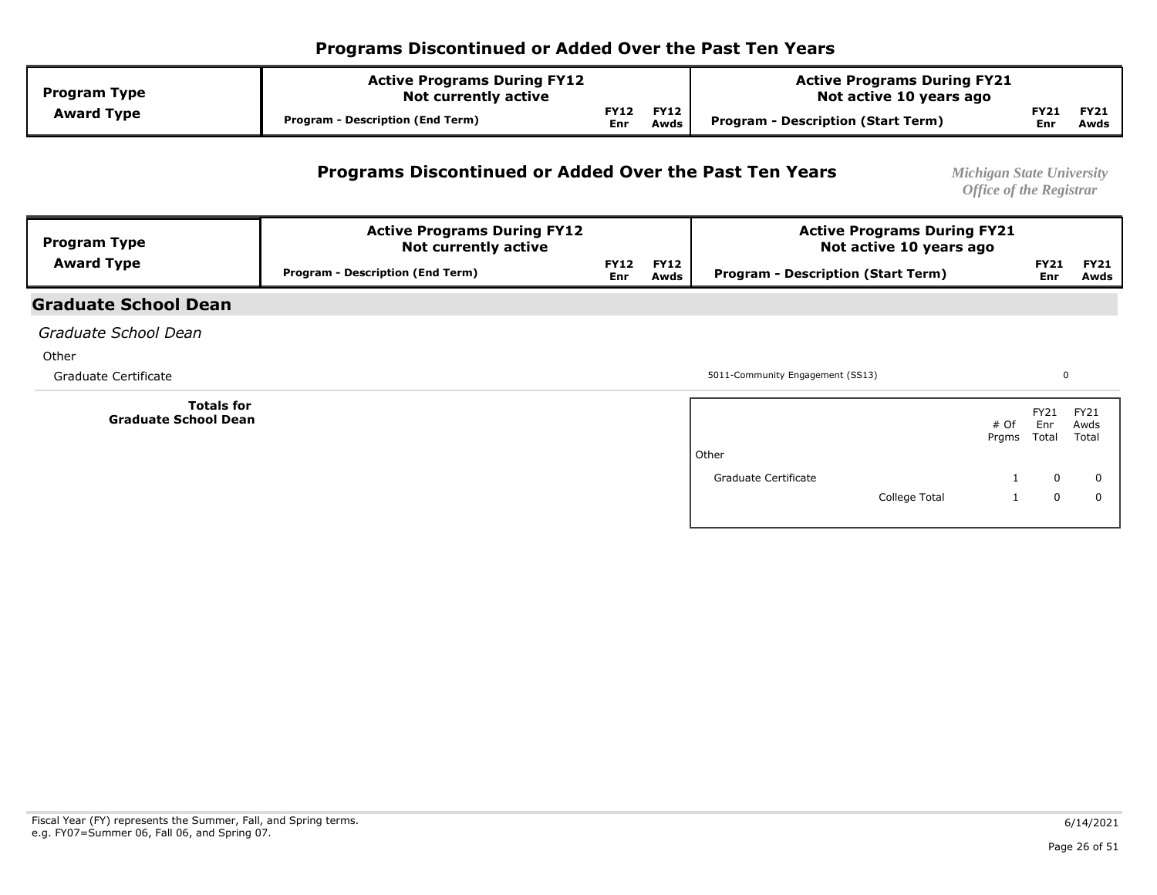| <b>Program Type</b> | <b>Active Programs During FY12</b><br><b>Not currently active</b> |                    |                     | <b>Active Programs During FY21</b><br>Not active 10 years ago |             |                     |  |
|---------------------|-------------------------------------------------------------------|--------------------|---------------------|---------------------------------------------------------------|-------------|---------------------|--|
| <b>Award Type</b>   | <b>Program - Description (End Term)</b>                           | <b>FY12</b><br>Enr | <b>FY12</b><br>Awds | <b>Program - Description (Start Term)</b>                     | FY21<br>Enr | <b>FY21</b><br>Awds |  |

#### **Programs Discontinued or Added Over the Past Ten Years** *Michigan State University*

*Office of the Registrar* 

| <b>Program Type</b> | <b>Active Programs During FY12</b><br><b>Not currently active</b> |             |                     | <b>Active Programs During FY21</b><br>Not active 10 years ago |             |                     |  |
|---------------------|-------------------------------------------------------------------|-------------|---------------------|---------------------------------------------------------------|-------------|---------------------|--|
| <b>Award Type</b>   | Program - Description (End Term)                                  | FY12<br>Enr | <b>FY12</b><br>Awds | Program - Description (Start Term)                            | FY21<br>Enr | <b>FY21</b><br>Awds |  |

#### **Graduate School Dean**

*Graduate School Dean* 

**Other** 

 **Totals for Graduate School Dean** 

Graduate Certificate **5011-Community Engagement** (SS13)

0

|                      |               | # Of<br>Prgms | FY21<br>Enr<br>Total | FY21<br>Awds<br>Total |
|----------------------|---------------|---------------|----------------------|-----------------------|
| Other                |               |               |                      |                       |
| Graduate Certificate |               | 1             | 0                    | 0                     |
|                      | College Total | 1             | 0                    | 0                     |
|                      |               |               |                      |                       |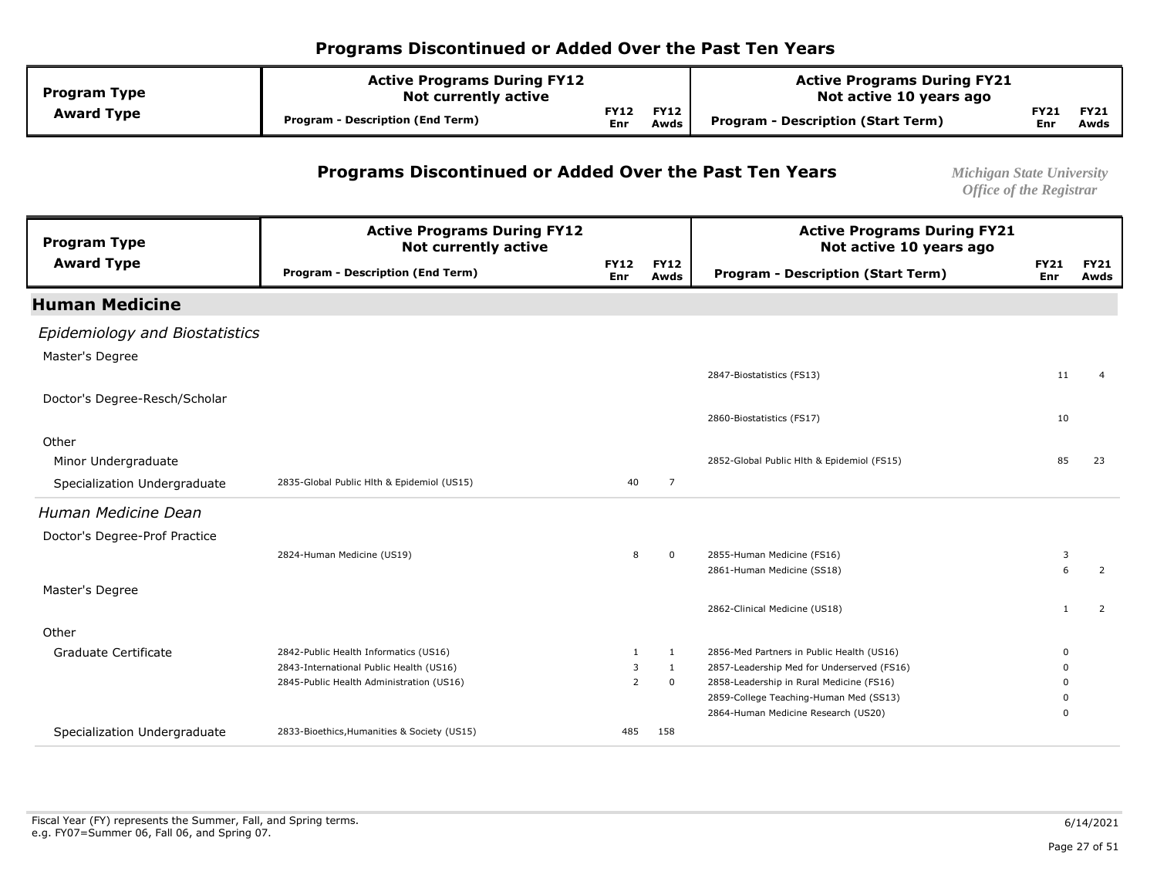| <b>Program Type</b> | <b>Active Programs During FY12</b><br><b>Not currently active</b> |                           |                     | <b>Active Programs During FY21</b><br>Not active 10 years ago |                    |                     |  |
|---------------------|-------------------------------------------------------------------|---------------------------|---------------------|---------------------------------------------------------------|--------------------|---------------------|--|
| <b>Award Type</b>   | <b>Program - Description (End Term)</b>                           | <b>FY12</b><br><b>Enr</b> | <b>FY12</b><br>Awds | Program - Description (Start Term)                            | FY21<br><b>Enr</b> | <b>FY21</b><br>Awds |  |

#### **Programs Discontinued or Added Over the Past Ten Years** *Michigan State University*

| <b>Program Type</b>            | <b>Active Programs During FY12</b><br><b>Not currently active</b> |                    |                     | <b>Active Programs During FY21</b><br>Not active 10 years ago                 |                    |                     |
|--------------------------------|-------------------------------------------------------------------|--------------------|---------------------|-------------------------------------------------------------------------------|--------------------|---------------------|
| <b>Award Type</b>              | <b>Program - Description (End Term)</b>                           | <b>FY12</b><br>Enr | <b>FY12</b><br>Awds | <b>Program - Description (Start Term)</b>                                     | <b>FY21</b><br>Enr | <b>FY21</b><br>Awds |
| <b>Human Medicine</b>          |                                                                   |                    |                     |                                                                               |                    |                     |
| Epidemiology and Biostatistics |                                                                   |                    |                     |                                                                               |                    |                     |
| Master's Degree                |                                                                   |                    |                     |                                                                               |                    |                     |
|                                |                                                                   |                    |                     | 2847-Biostatistics (FS13)                                                     | 11                 | -4                  |
| Doctor's Degree-Resch/Scholar  |                                                                   |                    |                     |                                                                               |                    |                     |
|                                |                                                                   |                    |                     | 2860-Biostatistics (FS17)                                                     | 10                 |                     |
| Other                          |                                                                   |                    |                     |                                                                               |                    |                     |
| Minor Undergraduate            |                                                                   |                    |                     | 2852-Global Public Hlth & Epidemiol (FS15)                                    | 85                 | 23                  |
| Specialization Undergraduate   | 2835-Global Public Hlth & Epidemiol (US15)                        | 40                 | $\overline{7}$      |                                                                               |                    |                     |
| Human Medicine Dean            |                                                                   |                    |                     |                                                                               |                    |                     |
| Doctor's Degree-Prof Practice  |                                                                   |                    |                     |                                                                               |                    |                     |
|                                | 2824-Human Medicine (US19)                                        | 8                  | 0                   | 2855-Human Medicine (FS16)                                                    | 3                  |                     |
|                                |                                                                   |                    |                     | 2861-Human Medicine (SS18)                                                    | 6                  | 2                   |
| Master's Degree                |                                                                   |                    |                     |                                                                               |                    |                     |
|                                |                                                                   |                    |                     | 2862-Clinical Medicine (US18)                                                 |                    | 2                   |
| Other                          |                                                                   |                    |                     |                                                                               |                    |                     |
| Graduate Certificate           | 2842-Public Health Informatics (US16)                             | 1                  | 1                   | 2856-Med Partners in Public Health (US16)                                     | $\Omega$           |                     |
|                                | 2843-International Public Health (US16)                           | 3                  | 1                   | 2857-Leadership Med for Underserved (FS16)                                    | $\Omega$           |                     |
|                                | 2845-Public Health Administration (US16)                          | 2                  | 0                   | 2858-Leadership in Rural Medicine (FS16)                                      |                    |                     |
|                                |                                                                   |                    |                     | 2859-College Teaching-Human Med (SS13)<br>2864-Human Medicine Research (US20) | $\Omega$           |                     |
| Specialization Undergraduate   | 2833-Bioethics, Humanities & Society (US15)                       | 485                | 158                 |                                                                               |                    |                     |
|                                |                                                                   |                    |                     |                                                                               |                    |                     |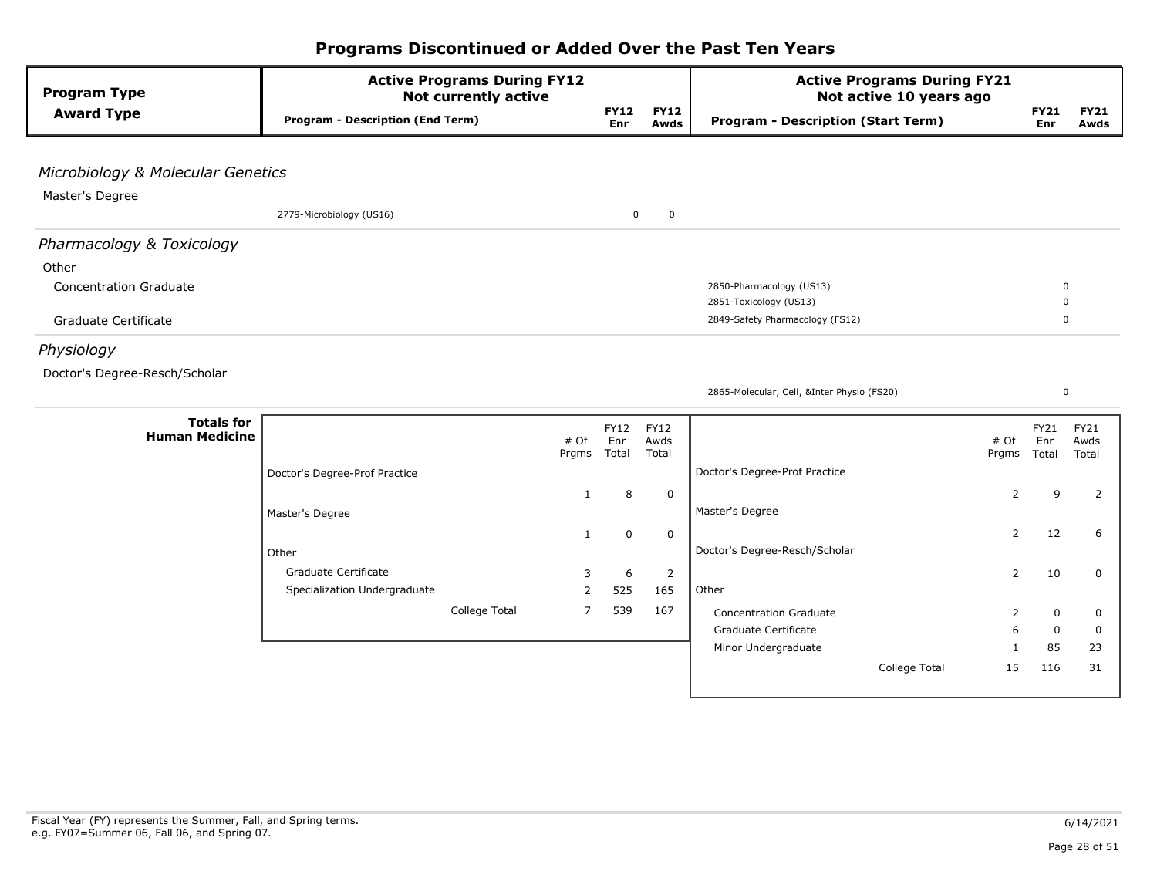| <b>Program Type</b>               | <b>Active Programs During FY12</b><br><b>Not currently active</b> |               |                           |                     | <b>Active Programs During FY21</b><br>Not active 10 years ago |                   |                         |                     |
|-----------------------------------|-------------------------------------------------------------------|---------------|---------------------------|---------------------|---------------------------------------------------------------|-------------------|-------------------------|---------------------|
| <b>Award Type</b>                 | <b>Program - Description (End Term)</b>                           |               | <b>FY12</b><br><b>Enr</b> | <b>FY12</b><br>Awds | <b>Program - Description (Start Term)</b>                     |                   | <b>FY21</b><br>Enr      | <b>FY21</b><br>Awds |
|                                   |                                                                   |               |                           |                     |                                                               |                   |                         |                     |
| Microbiology & Molecular Genetics |                                                                   |               |                           |                     |                                                               |                   |                         |                     |
| Master's Degree                   |                                                                   |               |                           |                     |                                                               |                   |                         |                     |
|                                   | 2779-Microbiology (US16)                                          |               | $\mathbf 0$               | $\mathbf 0$         |                                                               |                   |                         |                     |
| Pharmacology & Toxicology         |                                                                   |               |                           |                     |                                                               |                   |                         |                     |
| Other                             |                                                                   |               |                           |                     |                                                               |                   |                         |                     |
| <b>Concentration Graduate</b>     |                                                                   |               |                           |                     | 2850-Pharmacology (US13)                                      |                   | $\mathbf 0$             |                     |
| Graduate Certificate              |                                                                   |               |                           |                     | 2851-Toxicology (US13)<br>2849-Safety Pharmacology (FS12)     |                   | $\Omega$<br>$\mathbf 0$ |                     |
|                                   |                                                                   |               |                           |                     |                                                               |                   |                         |                     |
| Physiology                        |                                                                   |               |                           |                     |                                                               |                   |                         |                     |
| Doctor's Degree-Resch/Scholar     |                                                                   |               |                           |                     |                                                               |                   |                         |                     |
|                                   |                                                                   |               |                           |                     | 2865-Molecular, Cell, &Inter Physio (FS20)                    |                   | $\mathbf 0$             |                     |
| <b>Totals for</b>                 |                                                                   |               | <b>FY12</b>               | <b>FY12</b>         |                                                               |                   | FY21                    | <b>FY21</b>         |
| <b>Human Medicine</b>             |                                                                   | # Of<br>Prgms | Enr<br>Total              | Awds<br>Total       |                                                               | # Of<br>Prgms     | Enr<br>Total            | Awds<br>Total       |
|                                   | Doctor's Degree-Prof Practice                                     |               |                           |                     | Doctor's Degree-Prof Practice                                 |                   |                         |                     |
|                                   |                                                                   | $\mathbf{1}$  | 8                         | $\mathbf 0$         |                                                               | 2                 | 9                       | 2                   |
|                                   | Master's Degree                                                   |               |                           |                     | Master's Degree                                               |                   |                         |                     |
|                                   |                                                                   | $\mathbf{1}$  | $\mathbf 0$               | $\mathbf 0$         |                                                               | $\overline{2}$    | 12                      | 6                   |
|                                   | Other                                                             |               |                           |                     | Doctor's Degree-Resch/Scholar                                 |                   |                         |                     |
|                                   | Graduate Certificate                                              | 3             | 6                         | 2                   |                                                               | 2                 | 10                      | 0                   |
|                                   | Specialization Undergraduate                                      | 2             | 525                       | 165                 | Other                                                         |                   |                         |                     |
|                                   | College Total                                                     | 7             | 539                       | 167                 | <b>Concentration Graduate</b>                                 | 2                 | 0                       | 0                   |
|                                   |                                                                   |               |                           |                     | Graduate Certificate<br>Minor Undergraduate                   | 6<br>$\mathbf{1}$ | $\mathbf 0$<br>85       | 0<br>23             |
|                                   |                                                                   |               |                           |                     | College Total                                                 | 15                | 116                     | 31                  |
|                                   |                                                                   |               |                           |                     |                                                               |                   |                         |                     |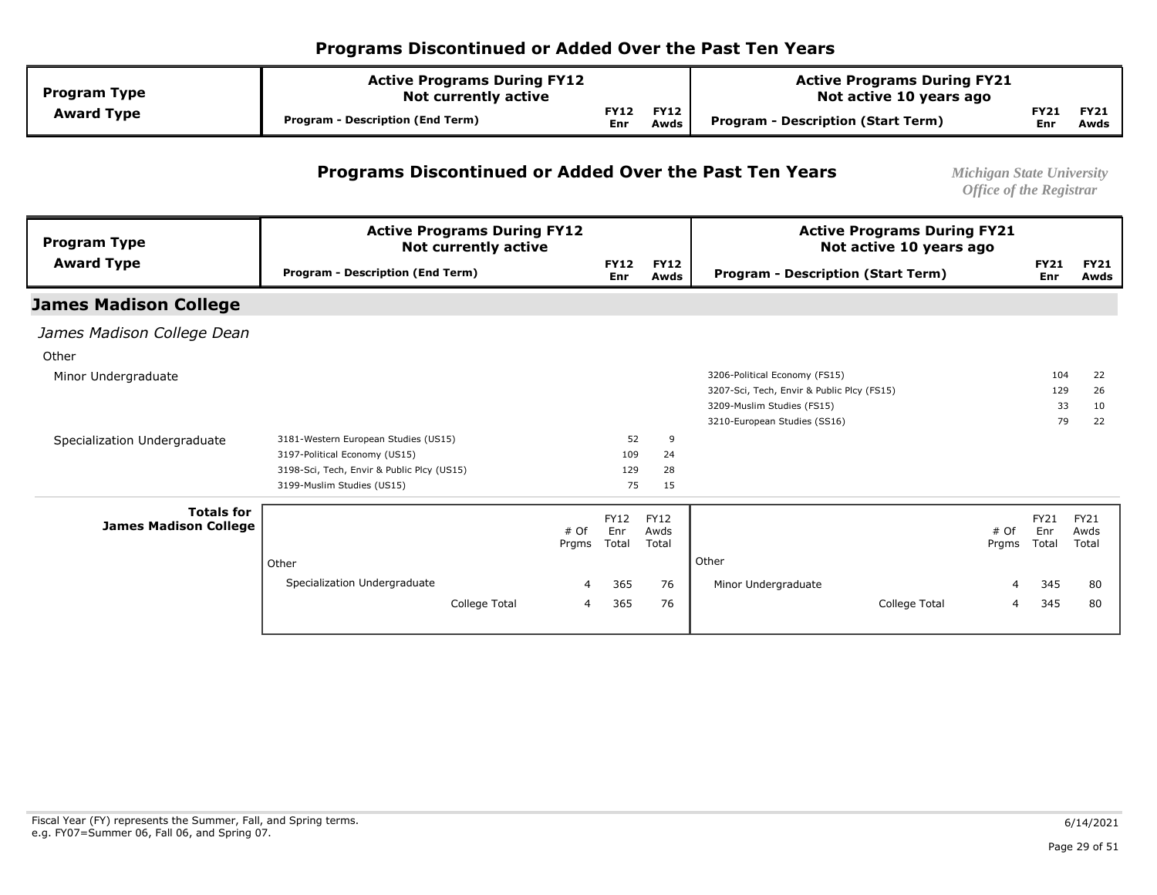| <b>Program Type</b> | <b>Active Programs During FY12</b><br><b>Not currently active</b> |             |                     | <b>Active Programs During FY21</b><br>Not active 10 years ago |             |                     |
|---------------------|-------------------------------------------------------------------|-------------|---------------------|---------------------------------------------------------------|-------------|---------------------|
| <b>Award Type</b>   | <b>Program - Description (End Term)</b>                           | FY12<br>Enr | <b>FY12</b><br>Awds | Program - Description (Start Term)                            | FY21<br>Enr | <b>FY21</b><br>Awds |

#### **Programs Discontinued or Added Over the Past Ten Years** *Michigan State University*

| <b>Program Type</b>                               | <b>Active Programs During FY12</b><br><b>Not currently active</b> |               |                             |                              | <b>Active Programs During FY21</b><br>Not active 10 years ago |                      |             |                       |
|---------------------------------------------------|-------------------------------------------------------------------|---------------|-----------------------------|------------------------------|---------------------------------------------------------------|----------------------|-------------|-----------------------|
| <b>Award Type</b>                                 | <b>Program - Description (End Term)</b>                           |               | <b>FY12</b><br>Enr          | <b>FY12</b><br>Awds          | <b>Program - Description (Start Term)</b>                     | Enr                  | <b>FY21</b> | <b>FY21</b><br>Awds   |
| <b>James Madison College</b>                      |                                                                   |               |                             |                              |                                                               |                      |             |                       |
| James Madison College Dean                        |                                                                   |               |                             |                              |                                                               |                      |             |                       |
| Other                                             |                                                                   |               |                             |                              |                                                               |                      |             |                       |
| Minor Undergraduate                               |                                                                   |               |                             |                              | 3206-Political Economy (FS15)                                 |                      | 104         | 22                    |
|                                                   |                                                                   |               |                             |                              | 3207-Sci, Tech, Envir & Public Plcy (FS15)                    |                      | 129         | 26                    |
|                                                   |                                                                   |               |                             |                              | 3209-Muslim Studies (FS15)                                    |                      | 33          | 10                    |
|                                                   |                                                                   |               |                             |                              | 3210-European Studies (SS16)                                  |                      | 79          | 22                    |
| Specialization Undergraduate                      | 3181-Western European Studies (US15)                              |               | 52                          | 9                            |                                                               |                      |             |                       |
|                                                   | 3197-Political Economy (US15)                                     |               | 109                         | 24                           |                                                               |                      |             |                       |
|                                                   | 3198-Sci, Tech, Envir & Public Plcy (US15)                        |               | 129                         | 28                           |                                                               |                      |             |                       |
|                                                   | 3199-Muslim Studies (US15)                                        |               | 75                          | 15                           |                                                               |                      |             |                       |
| <b>Totals for</b><br><b>James Madison College</b> |                                                                   | # Of<br>Prgms | <b>FY12</b><br>Enr<br>Total | <b>FY12</b><br>Awds<br>Total | # Of<br>Prgms                                                 | FY21<br>Enr<br>Total |             | FY21<br>Awds<br>Total |
|                                                   | Other                                                             |               |                             |                              | Other                                                         |                      |             |                       |
|                                                   | Specialization Undergraduate                                      | 4             | 365                         | 76                           | Minor Undergraduate                                           | $\overline{4}$       | 345         | 80                    |
|                                                   |                                                                   |               |                             |                              |                                                               |                      |             |                       |
|                                                   | College Total                                                     | 4             | 365                         | 76                           | College Total                                                 | 4                    | 345         | 80                    |
|                                                   |                                                                   |               |                             |                              |                                                               |                      |             |                       |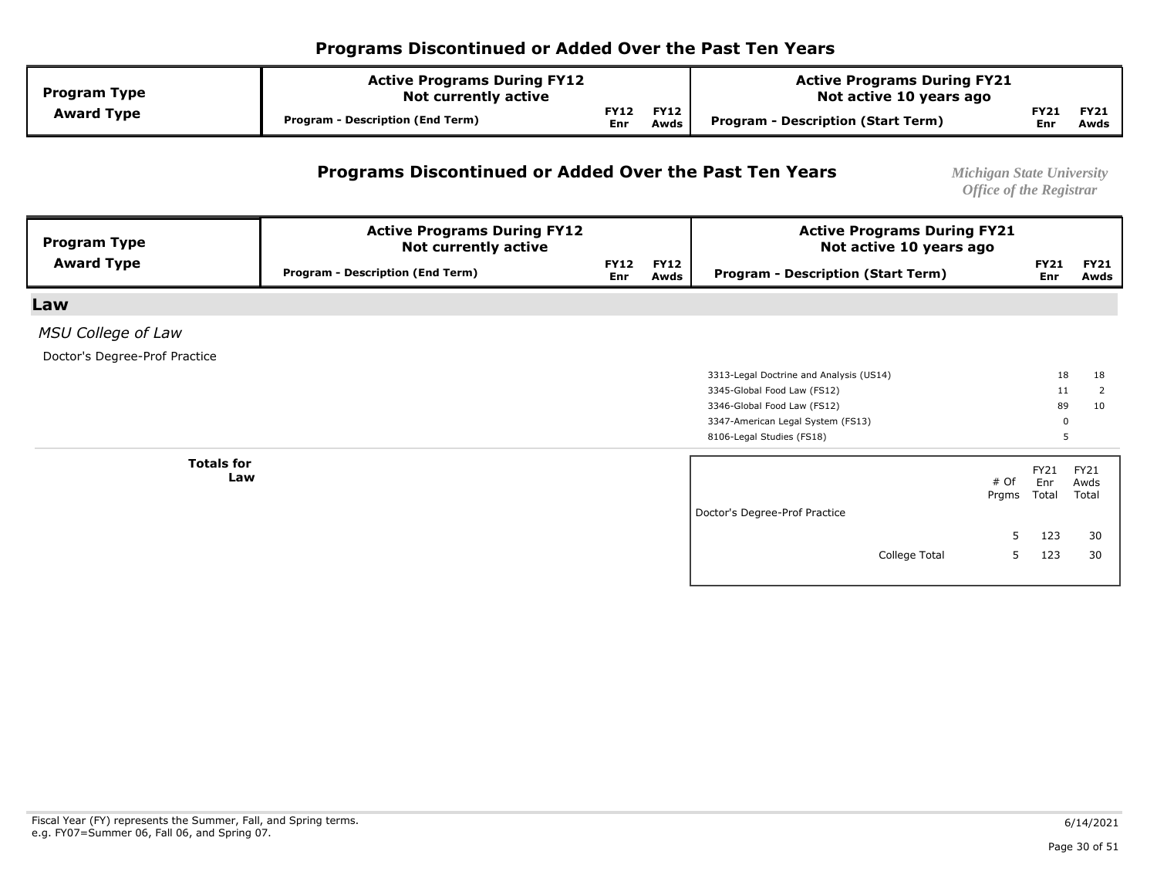| <b>Program Type</b> | <b>Active Programs During FY12</b><br><b>Not currently active</b> |                    |                     | <b>Active Programs During FY21</b><br>Not active 10 years ago |             |                     |
|---------------------|-------------------------------------------------------------------|--------------------|---------------------|---------------------------------------------------------------|-------------|---------------------|
| <b>Award Type</b>   | Program - Description (End Term)                                  | <b>FY12</b><br>Enr | <b>FY12</b><br>Awds | Program - Description (Start Term)                            | FY21<br>Enr | <b>FY21</b><br>Awds |

#### **Programs Discontinued or Added Over the Past Ten Years** *Michigan State University*

| <b>Program Type</b>           | <b>Active Programs During FY12</b><br><b>Not currently active</b> |                    |                     | <b>Active Programs During FY21</b><br>Not active 10 years ago |   |                      |                       |
|-------------------------------|-------------------------------------------------------------------|--------------------|---------------------|---------------------------------------------------------------|---|----------------------|-----------------------|
| <b>Award Type</b>             | <b>Program - Description (End Term)</b>                           | <b>FY12</b><br>Enr | <b>FY12</b><br>Awds | <b>Program - Description (Start Term)</b>                     |   | <b>FY21</b><br>Enr   | <b>FY21</b><br>Awds   |
| Law                           |                                                                   |                    |                     |                                                               |   |                      |                       |
| <b>MSU College of Law</b>     |                                                                   |                    |                     |                                                               |   |                      |                       |
| Doctor's Degree-Prof Practice |                                                                   |                    |                     |                                                               |   |                      |                       |
|                               |                                                                   |                    |                     | 3313-Legal Doctrine and Analysis (US14)                       |   | 18                   | 18                    |
|                               |                                                                   |                    |                     | 3345-Global Food Law (FS12)                                   |   | 11                   | 2                     |
|                               |                                                                   |                    |                     | 3346-Global Food Law (FS12)                                   |   | 89                   | 10                    |
|                               |                                                                   |                    |                     | 3347-American Legal System (FS13)                             |   | 0                    |                       |
|                               |                                                                   |                    |                     | 8106-Legal Studies (FS18)                                     |   | 5                    |                       |
| <b>Totals for</b><br>Law      |                                                                   |                    |                     | # Of<br>Prgms                                                 |   | FY21<br>Enr<br>Total | FY21<br>Awds<br>Total |
|                               |                                                                   |                    |                     | Doctor's Degree-Prof Practice                                 |   |                      |                       |
|                               |                                                                   |                    |                     |                                                               | 5 | 123                  | 30                    |
|                               |                                                                   |                    |                     | College Total                                                 | 5 | 123                  | 30                    |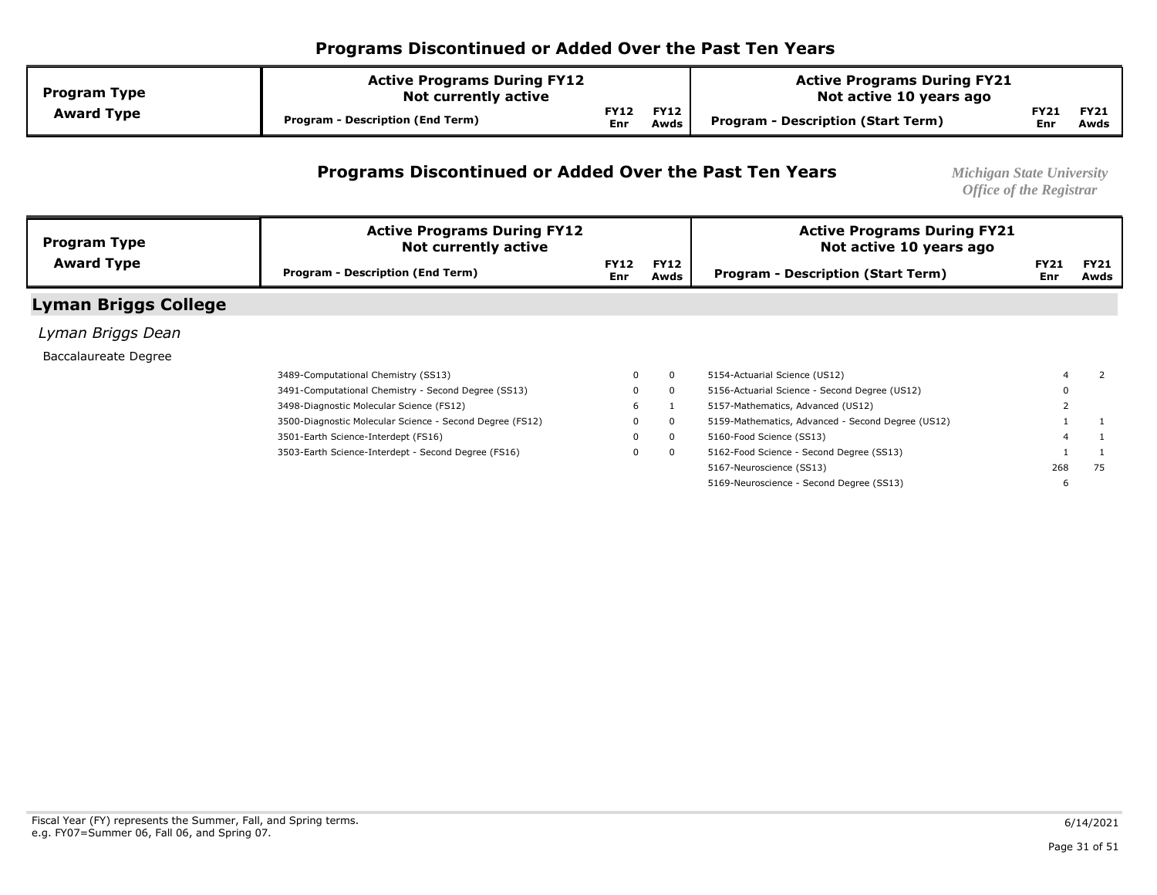| <b>Program Type</b> | <b>Active Programs During FY12</b><br><b>Not currently active</b> |                    |                     | <b>Active Programs During FY21</b><br>Not active 10 years ago |                    |                     |  |
|---------------------|-------------------------------------------------------------------|--------------------|---------------------|---------------------------------------------------------------|--------------------|---------------------|--|
| <b>Award Type</b>   | <b>Program - Description (End Term)</b>                           | <b>FY12</b><br>Enr | <b>FY12</b><br>Awds | <b>Program - Description (Start Term)</b>                     | <b>FY21</b><br>Enr | <b>FY21</b><br>Awds |  |

#### **Programs Discontinued or Added Over the Past Ten Years** *Michigan State University*

| <b>Program Type</b>         | <b>Active Programs During FY12</b><br>Not currently active |                           |                     | <b>Active Programs During FY21</b><br>Not active 10 years ago |                    |                     |
|-----------------------------|------------------------------------------------------------|---------------------------|---------------------|---------------------------------------------------------------|--------------------|---------------------|
| <b>Award Type</b>           | <b>Program - Description (End Term)</b>                    | <b>FY12</b><br><b>Enr</b> | <b>FY12</b><br>Awds | <b>Program - Description (Start Term)</b>                     | <b>FY21</b><br>Enr | <b>FY21</b><br>Awds |
| <b>Lyman Briggs College</b> |                                                            |                           |                     |                                                               |                    |                     |
| Lyman Briggs Dean           |                                                            |                           |                     |                                                               |                    |                     |
| Baccalaureate Degree        |                                                            |                           |                     |                                                               |                    |                     |
|                             | 3489-Computational Chemistry (SS13)                        | 0                         | $^{\circ}$          | 5154-Actuarial Science (US12)                                 |                    |                     |
|                             | 3491-Computational Chemistry - Second Degree (SS13)        | $\mathbf{0}$              | $\mathbf{0}$        | 5156-Actuarial Science - Second Degree (US12)                 |                    |                     |
|                             | 3498-Diagnostic Molecular Science (FS12)                   | 6                         |                     | 5157-Mathematics, Advanced (US12)                             |                    |                     |
|                             | 3500-Diagnostic Molecular Science - Second Degree (FS12)   | $\Omega$                  | $\mathbf{0}$        | 5159-Mathematics, Advanced - Second Degree (US12)             |                    |                     |
|                             | 3501-Earth Science-Interdept (FS16)                        | $\Omega$                  | $^{\circ}$          | 5160-Food Science (SS13)                                      |                    |                     |
|                             | 3503-Earth Science-Interdept - Second Degree (FS16)        | $\mathbf 0$               | $\mathbf{0}$        | 5162-Food Science - Second Degree (SS13)                      |                    |                     |
|                             |                                                            |                           |                     | 5167-Neuroscience (SS13)                                      | 268                | 75                  |
|                             |                                                            |                           |                     | 5169-Neuroscience - Second Degree (SS13)                      |                    |                     |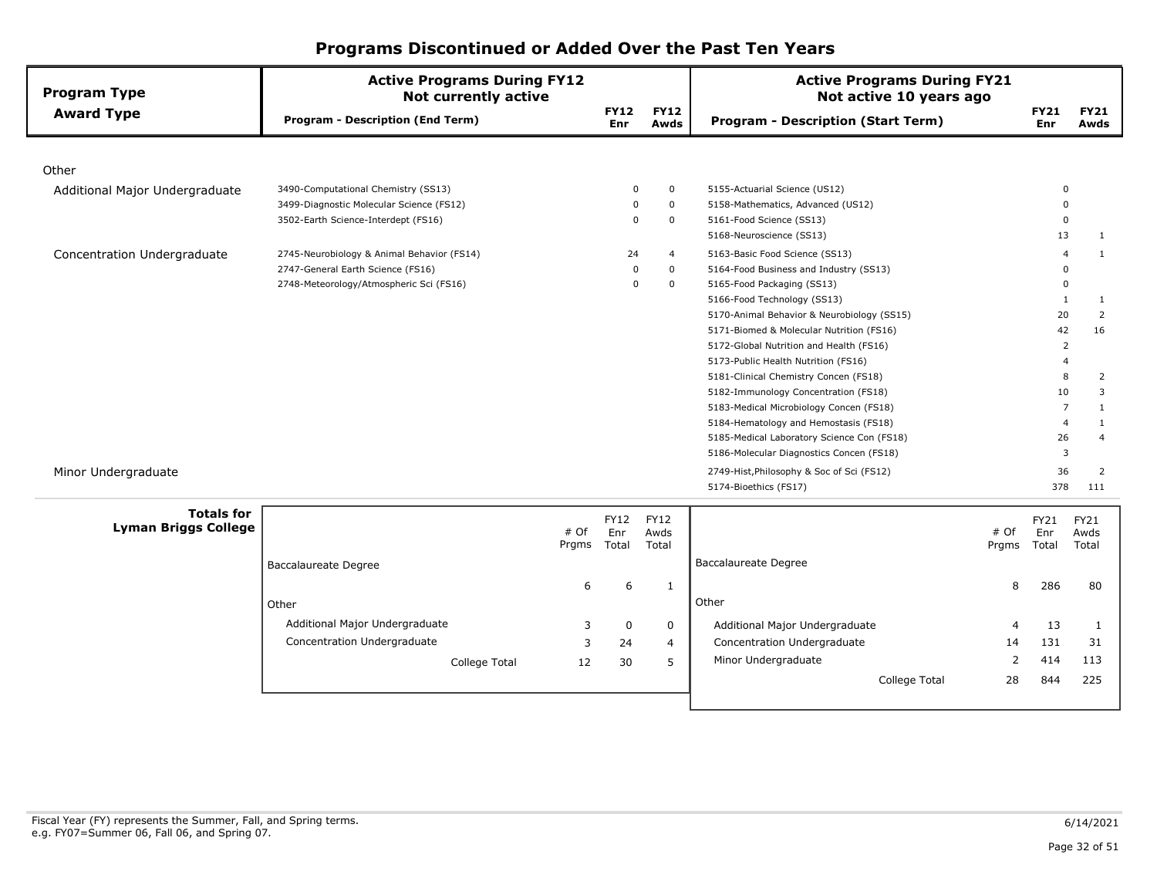| <b>Program Type</b>            | <b>Active Programs During FY12</b><br><b>Not currently active</b> |                    |                          | <b>Active Programs During FY21</b><br>Not active 10 years ago |                    |                     |
|--------------------------------|-------------------------------------------------------------------|--------------------|--------------------------|---------------------------------------------------------------|--------------------|---------------------|
| <b>Award Type</b>              | <b>Program - Description (End Term)</b>                           | <b>FY12</b><br>Enr | <b>FY12</b><br>Awds      | <b>Program - Description (Start Term)</b>                     | <b>FY21</b><br>Enr | <b>FY21</b><br>Awds |
|                                |                                                                   |                    |                          |                                                               |                    |                     |
| Other                          |                                                                   |                    |                          |                                                               |                    |                     |
| Additional Major Undergraduate | 3490-Computational Chemistry (SS13)                               |                    | $\mathbf 0$<br>0         | 5155-Actuarial Science (US12)                                 |                    |                     |
|                                | 3499-Diagnostic Molecular Science (FS12)                          |                    | $\mathbf{0}$<br>0        | 5158-Mathematics, Advanced (US12)                             |                    |                     |
|                                | 3502-Earth Science-Interdept (FS16)                               |                    | $\Omega$<br>$\mathbf{0}$ | 5161-Food Science (SS13)                                      | $\Omega$           |                     |
|                                |                                                                   |                    |                          | 5168-Neuroscience (SS13)                                      | 13                 | 1                   |
| Concentration Undergraduate    | 2745-Neurobiology & Animal Behavior (FS14)                        | 24                 | $\overline{4}$           | 5163-Basic Food Science (SS13)                                |                    | 1                   |
|                                | 2747-General Earth Science (FS16)                                 |                    | $\mathbf{0}$<br>0        | 5164-Food Business and Industry (SS13)                        |                    |                     |
|                                | 2748-Meteorology/Atmospheric Sci (FS16)                           |                    | $\mathbf 0$<br>$\Omega$  | 5165-Food Packaging (SS13)                                    |                    |                     |
|                                |                                                                   |                    |                          | 5166-Food Technology (SS13)                                   |                    | 1                   |
|                                |                                                                   |                    |                          | 5170-Animal Behavior & Neurobiology (SS15)                    | 20                 | 2                   |
|                                |                                                                   |                    |                          | 5171-Biomed & Molecular Nutrition (FS16)                      | 42                 | 16                  |
|                                |                                                                   |                    |                          | 5172-Global Nutrition and Health (FS16)                       | $\overline{2}$     |                     |
|                                |                                                                   |                    |                          | 5173-Public Health Nutrition (FS16)                           |                    |                     |
|                                |                                                                   |                    |                          | 5181-Clinical Chemistry Concen (FS18)                         | 8                  | 2                   |
|                                |                                                                   |                    |                          | 5182-Immunology Concentration (FS18)                          | 10                 | 3                   |
|                                |                                                                   |                    |                          | 5183-Medical Microbiology Concen (FS18)                       |                    |                     |
|                                |                                                                   |                    |                          | 5184-Hematology and Hemostasis (FS18)                         | $\overline{4}$     | 1                   |
|                                |                                                                   |                    |                          | 5185-Medical Laboratory Science Con (FS18)                    | 26                 | $\overline{4}$      |
|                                |                                                                   |                    |                          | 5186-Molecular Diagnostics Concen (FS18)                      | 3                  |                     |
| Minor Undergraduate            |                                                                   |                    |                          | 2749-Hist, Philosophy & Soc of Sci (FS12)                     | 36                 | 2                   |
|                                |                                                                   |                    |                          | 5174-Bioethics (FS17)                                         | 378                | 111                 |
| <b>Totals for</b>              |                                                                   | <b>FY12</b>        | <b>FY12</b>              |                                                               | FY21               | <b>FY21</b>         |
| <b>Lyman Briggs College</b>    | # Of                                                              | Enr                | Awds                     |                                                               | # Of<br>Enr        | Awds                |
|                                | Prgms                                                             | Total              | Total                    |                                                               | Total<br>Prgms     | Total               |
|                                | Baccalaureate Degree                                              |                    |                          | Baccalaureate Degree                                          |                    |                     |

| <b>Totals for</b><br>yman Briggs College |                                | # Of<br>Prgms | <b>FY12</b><br>Enr<br>Total | <b>FY12</b><br>Awds<br>Total |                                | # Of<br>Prgms | <b>FY21</b><br>Enr<br>Total | <b>FY21</b><br>Awds<br>Total |
|------------------------------------------|--------------------------------|---------------|-----------------------------|------------------------------|--------------------------------|---------------|-----------------------------|------------------------------|
|                                          | Baccalaureate Degree           |               |                             |                              | Baccalaureate Degree           |               |                             |                              |
|                                          |                                | 6             | 6                           |                              |                                | 8             | 286                         | 80                           |
|                                          | Other                          |               |                             |                              | Other                          |               |                             |                              |
|                                          | Additional Major Undergraduate |               | 0                           | 0                            | Additional Major Undergraduate | 4             | 13                          |                              |
|                                          | Concentration Undergraduate    |               | 24                          | 4                            | Concentration Undergraduate    | 14            | 131                         | 31                           |
|                                          | College Total                  | 12            | 30                          |                              | Minor Undergraduate            |               | 414                         | 113                          |
|                                          |                                |               |                             |                              | College Total                  | 28            | 844                         | 225                          |
|                                          |                                |               |                             |                              |                                |               |                             |                              |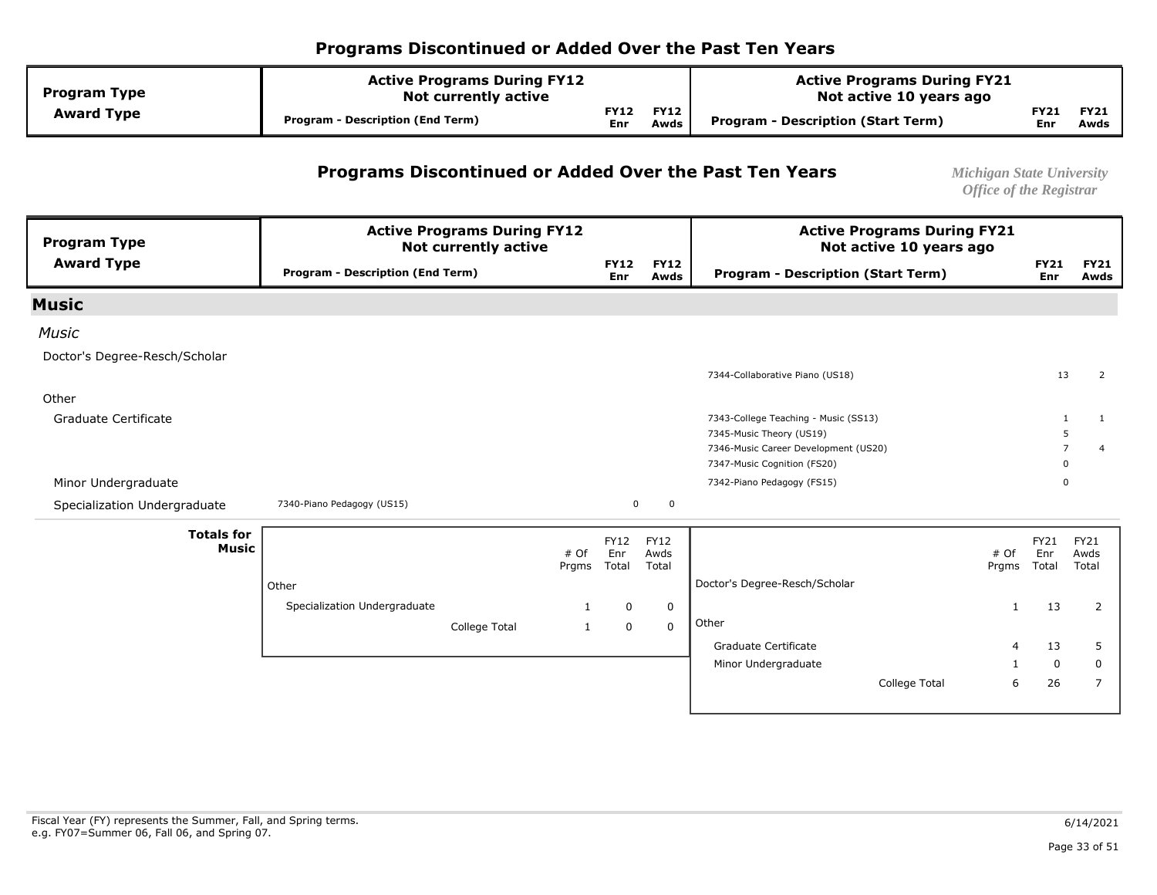| <b>Program Type</b> | <b>Active Programs During FY12</b><br><b>Not currently active</b> |             |                     | <b>Active Programs During FY21</b><br>Not active 10 years ago |             |                     |
|---------------------|-------------------------------------------------------------------|-------------|---------------------|---------------------------------------------------------------|-------------|---------------------|
| <b>Award Type</b>   | <b>Program - Description (End Term)</b>                           | FY12<br>Enr | <b>FY12</b><br>Awds | Program - Description (Start Term)                            | FY21<br>Enr | <b>FY21</b><br>Awds |

#### **Programs Discontinued or Added Over the Past Ten Years** *Michigan State University*

| <b>Program Type</b>           |                                         | <b>Active Programs During FY12</b><br><b>Not currently active</b> |               |                    |                     | <b>Active Programs During FY21</b><br>Not active 10 years ago |               |                    |                     |
|-------------------------------|-----------------------------------------|-------------------------------------------------------------------|---------------|--------------------|---------------------|---------------------------------------------------------------|---------------|--------------------|---------------------|
| <b>Award Type</b>             | <b>Program - Description (End Term)</b> |                                                                   |               | <b>FY12</b><br>Enr | <b>FY12</b><br>Awds | <b>Program - Description (Start Term)</b>                     |               | <b>FY21</b><br>Enr | <b>FY21</b><br>Awds |
| <b>Music</b>                  |                                         |                                                                   |               |                    |                     |                                                               |               |                    |                     |
| <b>Music</b>                  |                                         |                                                                   |               |                    |                     |                                                               |               |                    |                     |
| Doctor's Degree-Resch/Scholar |                                         |                                                                   |               |                    |                     |                                                               |               |                    |                     |
|                               |                                         |                                                                   |               |                    |                     | 7344-Collaborative Piano (US18)                               |               | 13                 | 2                   |
| Other                         |                                         |                                                                   |               |                    |                     |                                                               |               |                    |                     |
| Graduate Certificate          |                                         |                                                                   |               |                    |                     | 7343-College Teaching - Music (SS13)                          |               | $\mathbf{1}$       | 1                   |
|                               |                                         |                                                                   |               |                    |                     | 7345-Music Theory (US19)                                      |               | -5                 |                     |
|                               |                                         |                                                                   |               |                    |                     | 7346-Music Career Development (US20)                          |               | $\overline{7}$     | $\overline{a}$      |
|                               |                                         |                                                                   |               |                    |                     | 7347-Music Cognition (FS20)                                   |               | $\mathbf 0$        |                     |
| Minor Undergraduate           |                                         |                                                                   |               |                    |                     | 7342-Piano Pedagogy (FS15)                                    |               | $\Omega$           |                     |
| Specialization Undergraduate  | 7340-Piano Pedagogy (US15)              |                                                                   |               | 0                  | 0                   |                                                               |               |                    |                     |
| <b>Totals for</b>             |                                         |                                                                   |               | FY12               | <b>FY12</b>         |                                                               |               | FY21               | <b>FY21</b>         |
| <b>Music</b>                  |                                         |                                                                   | # Of<br>Prgms | Enr<br>Total       | Awds<br>Total       |                                                               | # Of<br>Prgms | Enr<br>Total       | Awds<br>Total       |
|                               | Other                                   |                                                                   |               |                    |                     | Doctor's Degree-Resch/Scholar                                 |               |                    |                     |
|                               | Specialization Undergraduate            |                                                                   | 1             | 0                  | $\mathbf 0$         |                                                               | $\mathbf{1}$  | 13                 | 2                   |
|                               |                                         | College Total                                                     | $\mathbf{1}$  | $\mathbf 0$        | $\mathbf{0}$        | Other                                                         |               |                    |                     |
|                               |                                         |                                                                   |               |                    |                     | Graduate Certificate                                          | $\Delta$      | 13                 | 5                   |
|                               |                                         |                                                                   |               |                    |                     | Minor Undergraduate                                           |               | $\mathbf 0$        | $\mathbf 0$         |
|                               |                                         |                                                                   |               |                    |                     | College Total                                                 | 6             | 26                 | 7                   |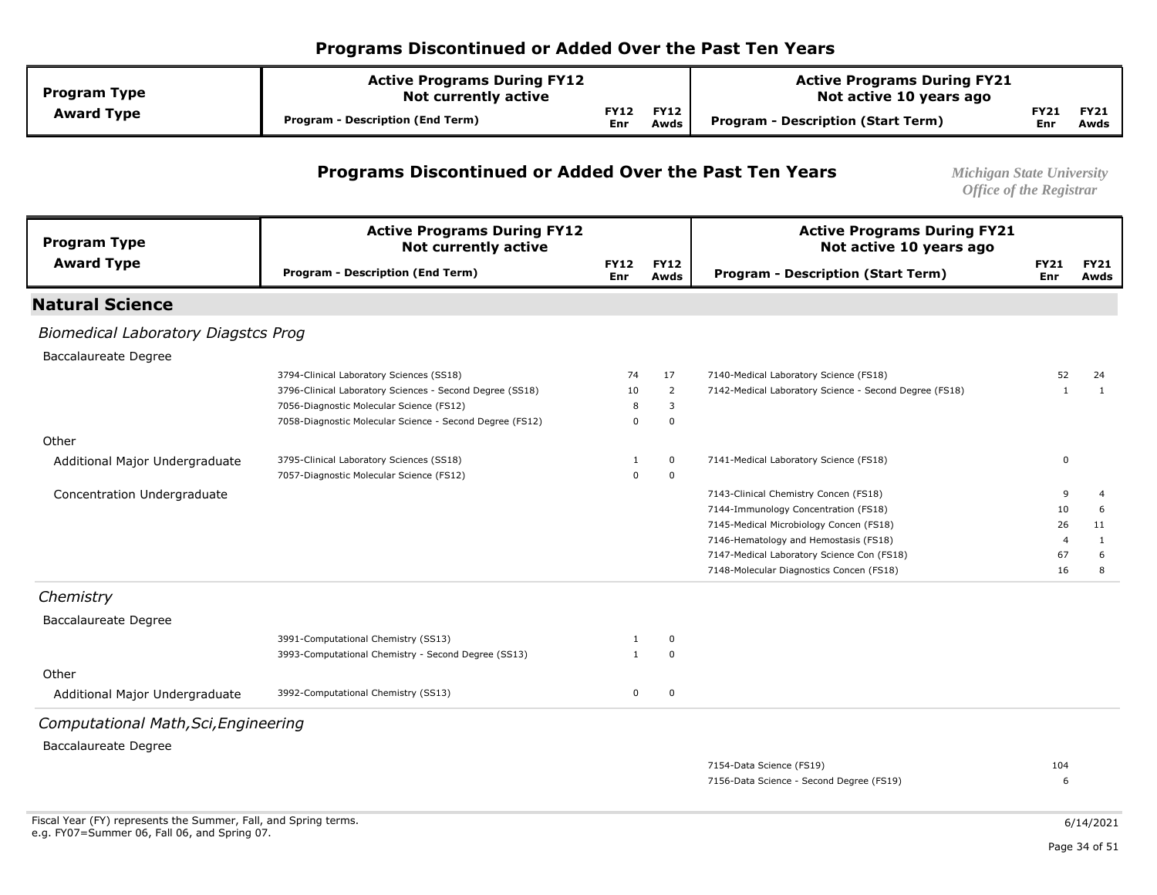| <b>Program Type</b> | <b>Active Programs During FY12</b><br>Not currently active |                    |                     | <b>Active Programs During FY21</b><br>Not active 10 years ago |             |                     |
|---------------------|------------------------------------------------------------|--------------------|---------------------|---------------------------------------------------------------|-------------|---------------------|
| <b>Award Type</b>   | <b>Program - Description (End Term)</b>                    | <b>FY12</b><br>Enr | <b>FY12</b><br>Awds | Program - Description (Start Term)                            | FY21<br>Enr | <b>FY21</b><br>Awds |

#### **Programs Discontinued or Added Over the Past Ten Years** *Michigan State University*

*Office of the Registrar* 

| <b>Program Type</b>                        | <b>Active Programs During FY12</b><br><b>Not currently active</b> |                           |                     | <b>Active Programs During FY21</b><br>Not active 10 years ago |                           |                     |
|--------------------------------------------|-------------------------------------------------------------------|---------------------------|---------------------|---------------------------------------------------------------|---------------------------|---------------------|
| <b>Award Type</b>                          | <b>Program - Description (End Term)</b>                           | <b>FY12</b><br><b>Enr</b> | <b>FY12</b><br>Awds | <b>Program - Description (Start Term)</b>                     | <b>FY21</b><br><b>Enr</b> | <b>FY21</b><br>Awds |
| <b>Natural Science</b>                     |                                                                   |                           |                     |                                                               |                           |                     |
| <b>Biomedical Laboratory Diagstcs Prog</b> |                                                                   |                           |                     |                                                               |                           |                     |
| <b>Baccalaureate Degree</b>                |                                                                   |                           |                     |                                                               |                           |                     |
|                                            | 3794-Clinical Laboratory Sciences (SS18)                          | 74                        | 17                  | 7140-Medical Laboratory Science (FS18)                        | 52                        | 24                  |
|                                            | 3796-Clinical Laboratory Sciences - Second Degree (SS18)          | 10                        | $\overline{2}$      | 7142-Medical Laboratory Science - Second Degree (FS18)        | -1                        | 1                   |
|                                            | 7056-Diagnostic Molecular Science (FS12)                          | 8                         | 3                   |                                                               |                           |                     |
|                                            | 7058-Diagnostic Molecular Science - Second Degree (FS12)          | $\mathbf 0$               | $\mathbf 0$         |                                                               |                           |                     |
| Other                                      |                                                                   |                           |                     |                                                               |                           |                     |
| Additional Major Undergraduate             | 3795-Clinical Laboratory Sciences (SS18)                          | 1                         | 0                   | 7141-Medical Laboratory Science (FS18)                        | 0                         |                     |
|                                            | 7057-Diagnostic Molecular Science (FS12)                          | $\mathbf 0$               | $\mathbf 0$         |                                                               |                           |                     |
| Concentration Undergraduate                |                                                                   |                           |                     | 7143-Clinical Chemistry Concen (FS18)                         | 9                         | $\overline{4}$      |
|                                            |                                                                   |                           |                     | 7144-Immunology Concentration (FS18)                          | 10                        | 6                   |
|                                            |                                                                   |                           |                     | 7145-Medical Microbiology Concen (FS18)                       | 26                        | 11                  |
|                                            |                                                                   |                           |                     | 7146-Hematology and Hemostasis (FS18)                         | $\overline{4}$            | $\mathbf{1}$        |
|                                            |                                                                   |                           |                     | 7147-Medical Laboratory Science Con (FS18)                    | 67                        | 6                   |
|                                            |                                                                   |                           |                     | 7148-Molecular Diagnostics Concen (FS18)                      | 16                        | 8                   |
| Chemistry                                  |                                                                   |                           |                     |                                                               |                           |                     |
| <b>Baccalaureate Degree</b>                |                                                                   |                           |                     |                                                               |                           |                     |
|                                            | 3991-Computational Chemistry (SS13)                               | 1                         | 0                   |                                                               |                           |                     |
|                                            | 3993-Computational Chemistry - Second Degree (SS13)               | $\mathbf{1}$              | $\Omega$            |                                                               |                           |                     |
| Other                                      |                                                                   |                           |                     |                                                               |                           |                     |
| Additional Major Undergraduate             | 3992-Computational Chemistry (SS13)                               | 0                         | $\mathbf 0$         |                                                               |                           |                     |
| Computational Math, Sci, Engineering       |                                                                   |                           |                     |                                                               |                           |                     |
| <b>Baccalaureate Degree</b>                |                                                                   |                           |                     |                                                               |                           |                     |
|                                            |                                                                   |                           |                     | 7154-Data Science (FS19)                                      | 104                       |                     |
|                                            |                                                                   |                           |                     | 7156-Data Science - Second Degree (FS19)                      | 6                         |                     |
|                                            |                                                                   |                           |                     |                                                               |                           |                     |
|                                            |                                                                   |                           |                     |                                                               |                           |                     |

6/14/2021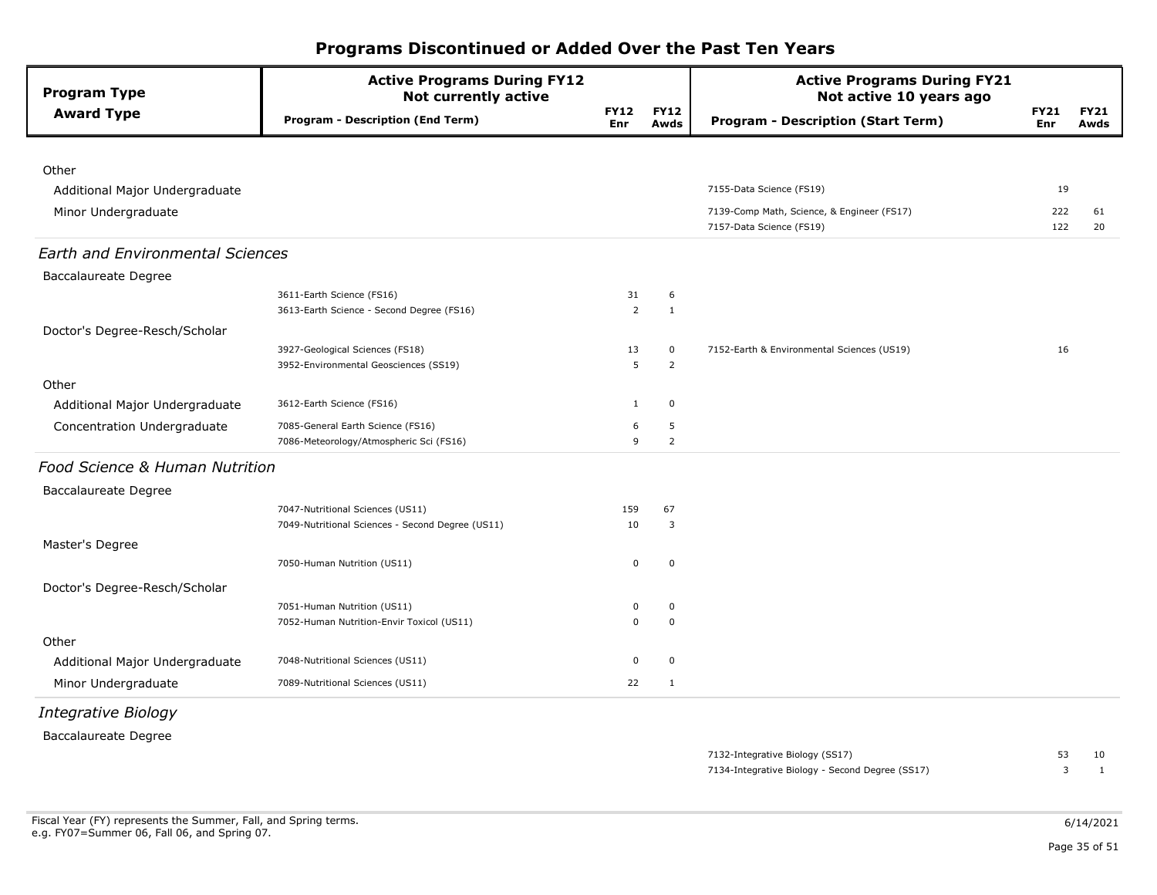| <b>Program Type</b>                     | <b>Active Programs During FY12</b><br><b>Not currently active</b> |                    |                     | <b>Active Programs During FY21</b><br>Not active 10 years ago |                    |                     |
|-----------------------------------------|-------------------------------------------------------------------|--------------------|---------------------|---------------------------------------------------------------|--------------------|---------------------|
| <b>Award Type</b>                       | <b>Program - Description (End Term)</b>                           | <b>FY12</b><br>Enr | <b>FY12</b><br>Awds | <b>Program - Description (Start Term)</b>                     | <b>FY21</b><br>Enr | <b>FY21</b><br>Awds |
|                                         |                                                                   |                    |                     |                                                               |                    |                     |
| Other                                   |                                                                   |                    |                     |                                                               |                    |                     |
| Additional Major Undergraduate          |                                                                   |                    |                     | 7155-Data Science (FS19)                                      | 19                 |                     |
| Minor Undergraduate                     |                                                                   |                    |                     | 7139-Comp Math, Science, & Engineer (FS17)                    | 222                | 61                  |
|                                         |                                                                   |                    |                     | 7157-Data Science (FS19)                                      | 122                | 20                  |
| <b>Earth and Environmental Sciences</b> |                                                                   |                    |                     |                                                               |                    |                     |
| <b>Baccalaureate Degree</b>             |                                                                   |                    |                     |                                                               |                    |                     |
|                                         | 3611-Earth Science (FS16)                                         | 31                 | 6                   |                                                               |                    |                     |
|                                         | 3613-Earth Science - Second Degree (FS16)                         | $\overline{2}$     | $\mathbf{1}$        |                                                               |                    |                     |
| Doctor's Degree-Resch/Scholar           |                                                                   |                    |                     |                                                               |                    |                     |
|                                         | 3927-Geological Sciences (FS18)                                   | 13                 | $\mathbf 0$         | 7152-Earth & Environmental Sciences (US19)                    | 16                 |                     |
|                                         | 3952-Environmental Geosciences (SS19)                             | 5                  | 2                   |                                                               |                    |                     |
| Other                                   |                                                                   |                    |                     |                                                               |                    |                     |
| Additional Major Undergraduate          | 3612-Earth Science (FS16)                                         | $\mathbf{1}$       | $\mathbf 0$         |                                                               |                    |                     |
| Concentration Undergraduate             | 7085-General Earth Science (FS16)                                 | 6                  | 5                   |                                                               |                    |                     |
|                                         | 7086-Meteorology/Atmospheric Sci (FS16)                           | 9                  | $\overline{2}$      |                                                               |                    |                     |
| Food Science & Human Nutrition          |                                                                   |                    |                     |                                                               |                    |                     |
| <b>Baccalaureate Degree</b>             |                                                                   |                    |                     |                                                               |                    |                     |
|                                         | 7047-Nutritional Sciences (US11)                                  | 159                | 67                  |                                                               |                    |                     |
|                                         | 7049-Nutritional Sciences - Second Degree (US11)                  | 10                 | $\overline{3}$      |                                                               |                    |                     |
| Master's Degree                         |                                                                   |                    |                     |                                                               |                    |                     |
|                                         | 7050-Human Nutrition (US11)                                       | $\pmb{0}$          | $\mathbf 0$         |                                                               |                    |                     |
| Doctor's Degree-Resch/Scholar           |                                                                   |                    |                     |                                                               |                    |                     |
|                                         | 7051-Human Nutrition (US11)                                       | $\mathbf 0$        | $\mathbf 0$         |                                                               |                    |                     |
|                                         | 7052-Human Nutrition-Envir Toxicol (US11)                         | $\mathbf 0$        | $\mathbf 0$         |                                                               |                    |                     |
| Other                                   |                                                                   |                    |                     |                                                               |                    |                     |
| Additional Major Undergraduate          | 7048-Nutritional Sciences (US11)                                  | $\mathbf 0$        | $\mathbf 0$         |                                                               |                    |                     |
| Minor Undergraduate                     | 7089-Nutritional Sciences (US11)                                  | 22                 | 1                   |                                                               |                    |                     |

*Integrative Biology* 

Baccalaureate Degree

7134-Integrative Biology - Second Degree (SS17) 3 1 7132-Integrative Biology (SS17) 53 10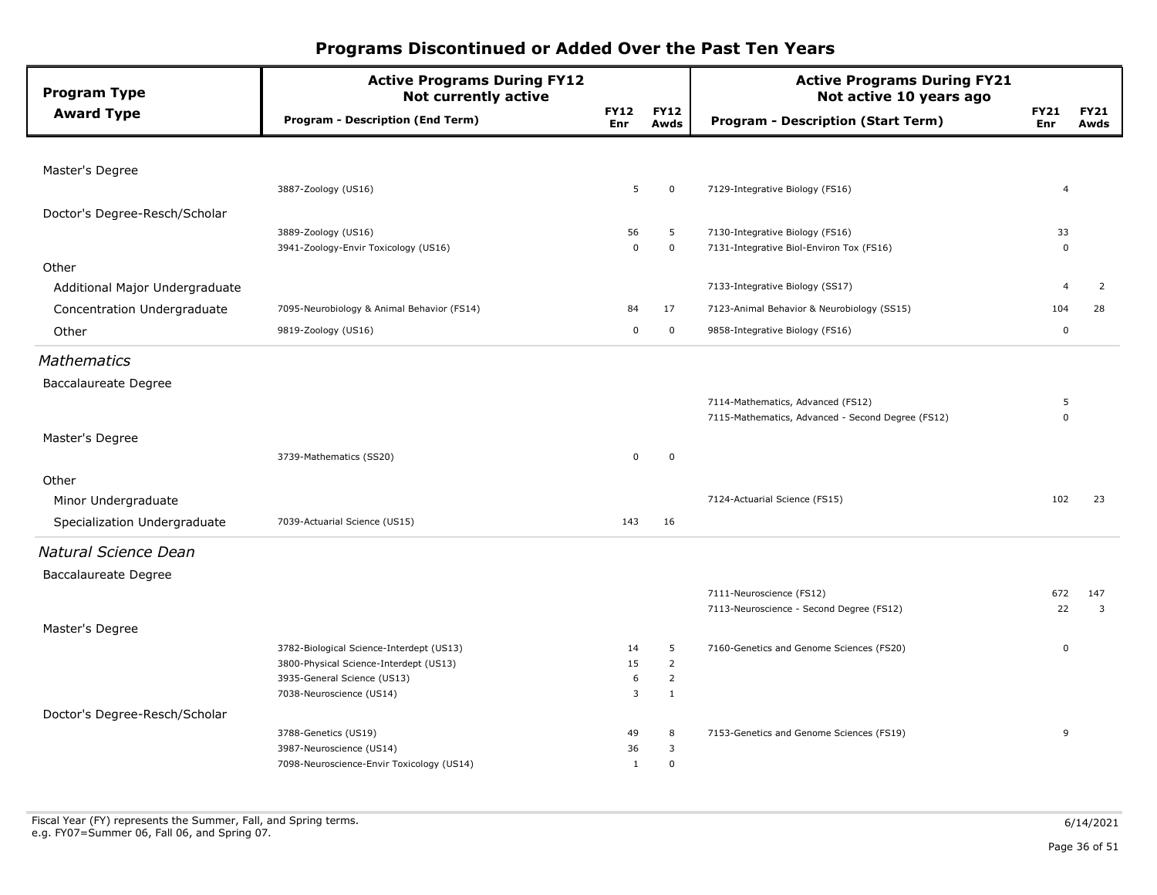| <b>Program Type</b>            | <b>Active Programs During FY12</b><br><b>Not currently active</b>     |                           |                     | <b>Active Programs During FY21</b><br>Not active 10 years ago |                           |                     |
|--------------------------------|-----------------------------------------------------------------------|---------------------------|---------------------|---------------------------------------------------------------|---------------------------|---------------------|
| <b>Award Type</b>              | Program - Description (End Term)                                      | <b>FY12</b><br><b>Enr</b> | <b>FY12</b><br>Awds | <b>Program - Description (Start Term)</b>                     | <b>FY21</b><br><b>Enr</b> | <b>FY21</b><br>Awds |
|                                |                                                                       |                           |                     |                                                               |                           |                     |
| Master's Degree                |                                                                       |                           |                     |                                                               |                           |                     |
|                                | 3887-Zoology (US16)                                                   | 5                         | $\mathbf 0$         | 7129-Integrative Biology (FS16)                               | $\overline{4}$            |                     |
| Doctor's Degree-Resch/Scholar  |                                                                       |                           |                     |                                                               |                           |                     |
|                                | 3889-Zoology (US16)                                                   | 56                        | 5                   | 7130-Integrative Biology (FS16)                               | 33                        |                     |
|                                | 3941-Zoology-Envir Toxicology (US16)                                  | $\mathbf 0$               | $\mathbf 0$         | 7131-Integrative Biol-Environ Tox (FS16)                      | $\Omega$                  |                     |
| Other                          |                                                                       |                           |                     |                                                               |                           |                     |
| Additional Major Undergraduate |                                                                       |                           |                     | 7133-Integrative Biology (SS17)                               | $\overline{4}$            | $\overline{2}$      |
| Concentration Undergraduate    | 7095-Neurobiology & Animal Behavior (FS14)                            | 84                        | 17                  | 7123-Animal Behavior & Neurobiology (SS15)                    | 104                       | 28                  |
| Other                          | 9819-Zoology (US16)                                                   | 0                         | $\mathbf 0$         | 9858-Integrative Biology (FS16)                               | $\mathbf 0$               |                     |
| <b>Mathematics</b>             |                                                                       |                           |                     |                                                               |                           |                     |
| <b>Baccalaureate Degree</b>    |                                                                       |                           |                     |                                                               |                           |                     |
|                                |                                                                       |                           |                     | 7114-Mathematics, Advanced (FS12)                             | 5                         |                     |
|                                |                                                                       |                           |                     | 7115-Mathematics, Advanced - Second Degree (FS12)             | $\Omega$                  |                     |
| Master's Degree                |                                                                       |                           |                     |                                                               |                           |                     |
|                                | 3739-Mathematics (SS20)                                               | 0                         | $\mathbf 0$         |                                                               |                           |                     |
| Other                          |                                                                       |                           |                     |                                                               |                           |                     |
|                                |                                                                       |                           |                     | 7124-Actuarial Science (FS15)                                 | 102                       | 23                  |
| Minor Undergraduate            |                                                                       |                           |                     |                                                               |                           |                     |
| Specialization Undergraduate   | 7039-Actuarial Science (US15)                                         | 143                       | 16                  |                                                               |                           |                     |
| Natural Science Dean           |                                                                       |                           |                     |                                                               |                           |                     |
| <b>Baccalaureate Degree</b>    |                                                                       |                           |                     |                                                               |                           |                     |
|                                |                                                                       |                           |                     | 7111-Neuroscience (FS12)                                      | 672                       | 147                 |
|                                |                                                                       |                           |                     | 7113-Neuroscience - Second Degree (FS12)                      | 22                        | 3                   |
| Master's Degree                |                                                                       |                           |                     |                                                               |                           |                     |
|                                | 3782-Biological Science-Interdept (US13)                              | 14                        | 5                   | 7160-Genetics and Genome Sciences (FS20)                      | 0                         |                     |
|                                | 3800-Physical Science-Interdept (US13)                                | 15                        | $\overline{2}$      |                                                               |                           |                     |
|                                | 3935-General Science (US13)                                           | 6                         | $\overline{2}$      |                                                               |                           |                     |
|                                | 7038-Neuroscience (US14)                                              | 3                         | $\mathbf{1}$        |                                                               |                           |                     |
| Doctor's Degree-Resch/Scholar  |                                                                       |                           |                     |                                                               |                           |                     |
|                                | 3788-Genetics (US19)                                                  | 49                        | 8                   | 7153-Genetics and Genome Sciences (FS19)                      | 9                         |                     |
|                                | 3987-Neuroscience (US14)<br>7098-Neuroscience-Envir Toxicology (US14) | 36<br>$\mathbf{1}$        | 3<br>$\mathbf 0$    |                                                               |                           |                     |
|                                |                                                                       |                           |                     |                                                               |                           |                     |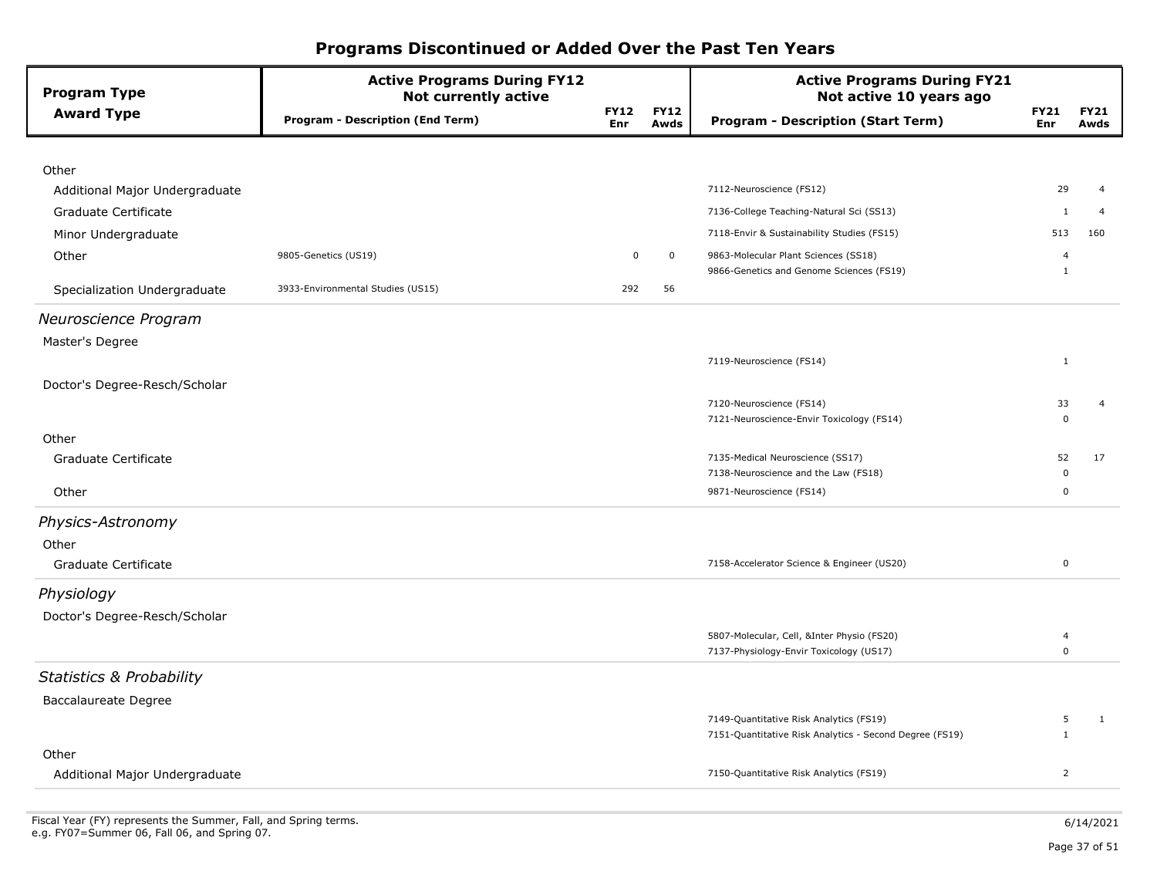| <b>Program Type</b>                 | <b>Active Programs During FY12</b><br><b>Not currently active</b> |                    |                     | <b>Active Programs During FY21</b><br>Not active 10 years ago                                      |                                |                     |
|-------------------------------------|-------------------------------------------------------------------|--------------------|---------------------|----------------------------------------------------------------------------------------------------|--------------------------------|---------------------|
| <b>Award Type</b>                   | <b>Program - Description (End Term)</b>                           | <b>FY12</b><br>Enr | <b>FY12</b><br>Awds | <b>Program - Description (Start Term)</b>                                                          | <b>FY21</b><br>Enr             | <b>FY21</b><br>Awds |
|                                     |                                                                   |                    |                     |                                                                                                    |                                |                     |
| Other                               |                                                                   |                    |                     |                                                                                                    |                                |                     |
| Additional Major Undergraduate      |                                                                   |                    |                     | 7112-Neuroscience (FS12)                                                                           | 29                             | $\overline{4}$      |
| Graduate Certificate                |                                                                   |                    |                     | 7136-College Teaching-Natural Sci (SS13)                                                           | 1                              | $\overline{4}$      |
| Minor Undergraduate                 |                                                                   |                    |                     | 7118-Envir & Sustainability Studies (FS15)                                                         | 513                            | 160                 |
| Other                               | 9805-Genetics (US19)                                              | $\mathbf 0$        | $\mathbf 0$         | 9863-Molecular Plant Sciences (SS18)<br>9866-Genetics and Genome Sciences (FS19)                   | $\overline{4}$<br>$\mathbf{1}$ |                     |
| Specialization Undergraduate        | 3933-Environmental Studies (US15)                                 | 292                | 56                  |                                                                                                    |                                |                     |
| Neuroscience Program                |                                                                   |                    |                     |                                                                                                    |                                |                     |
| Master's Degree                     |                                                                   |                    |                     |                                                                                                    |                                |                     |
|                                     |                                                                   |                    |                     | 7119-Neuroscience (FS14)                                                                           | $\mathbf{1}$                   |                     |
| Doctor's Degree-Resch/Scholar       |                                                                   |                    |                     |                                                                                                    |                                |                     |
|                                     |                                                                   |                    |                     | 7120-Neuroscience (FS14)                                                                           | 33                             | $\overline{4}$      |
| Other                               |                                                                   |                    |                     | 7121-Neuroscience-Envir Toxicology (FS14)                                                          | $\Omega$                       |                     |
| Graduate Certificate                |                                                                   |                    |                     | 7135-Medical Neuroscience (SS17)                                                                   | 52                             | 17                  |
|                                     |                                                                   |                    |                     | 7138-Neuroscience and the Law (FS18)                                                               | 0                              |                     |
| Other                               |                                                                   |                    |                     | 9871-Neuroscience (FS14)                                                                           | $\Omega$                       |                     |
| Physics-Astronomy                   |                                                                   |                    |                     |                                                                                                    |                                |                     |
| Other                               |                                                                   |                    |                     |                                                                                                    |                                |                     |
| Graduate Certificate                |                                                                   |                    |                     | 7158-Accelerator Science & Engineer (US20)                                                         | 0                              |                     |
| Physiology                          |                                                                   |                    |                     |                                                                                                    |                                |                     |
| Doctor's Degree-Resch/Scholar       |                                                                   |                    |                     |                                                                                                    |                                |                     |
|                                     |                                                                   |                    |                     | 5807-Molecular, Cell, &Inter Physio (FS20)                                                         | 4<br>0                         |                     |
|                                     |                                                                   |                    |                     | 7137-Physiology-Envir Toxicology (US17)                                                            |                                |                     |
| <b>Statistics &amp; Probability</b> |                                                                   |                    |                     |                                                                                                    |                                |                     |
| <b>Baccalaureate Degree</b>         |                                                                   |                    |                     |                                                                                                    |                                |                     |
|                                     |                                                                   |                    |                     | 7149-Quantitative Risk Analytics (FS19)<br>7151-Quantitative Risk Analytics - Second Degree (FS19) | 5<br>$\mathbf{1}$              | $\mathbf{1}$        |
| Other                               |                                                                   |                    |                     |                                                                                                    |                                |                     |
| Additional Major Undergraduate      |                                                                   |                    |                     | 7150-Quantitative Risk Analytics (FS19)                                                            | $\overline{2}$                 |                     |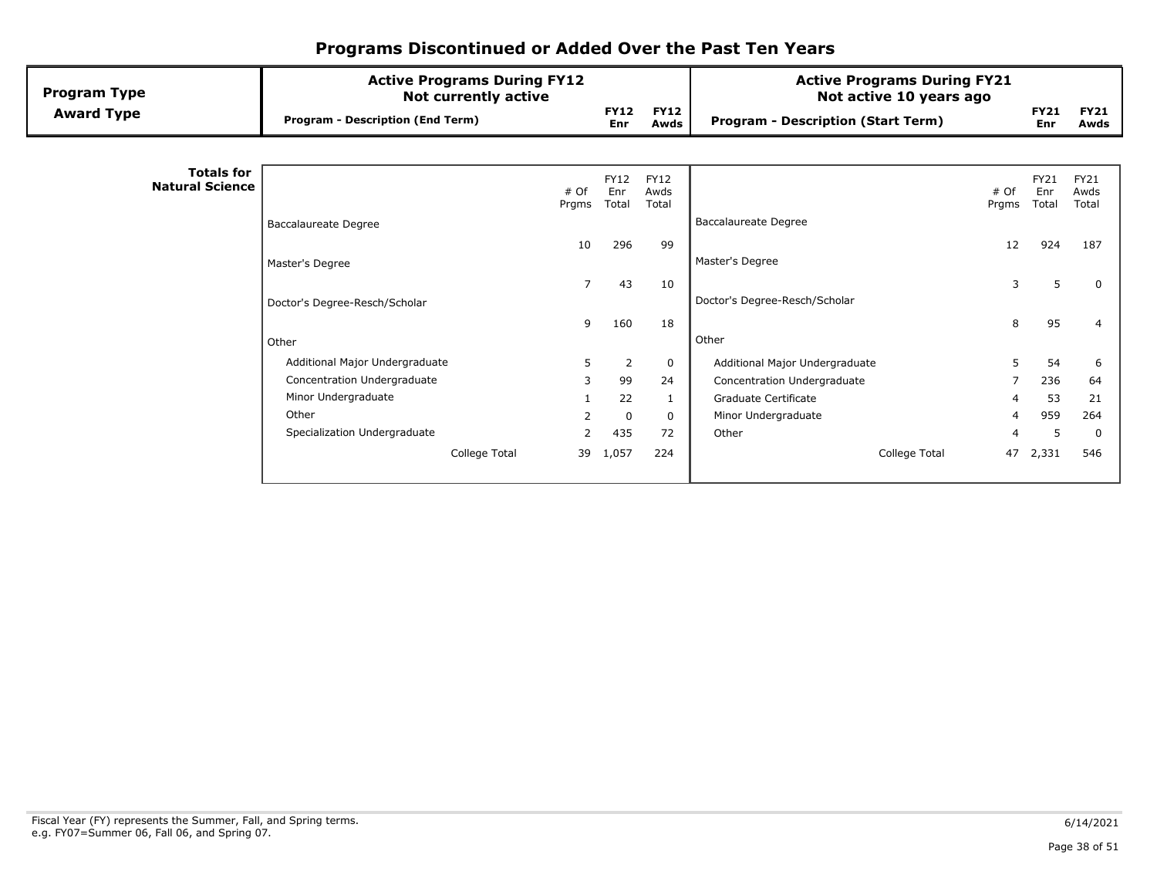| <b>Program Type</b>                         | <b>Active Programs During FY12</b><br><b>Not currently active</b> |                |                             |                              | <b>Active Programs During FY21</b><br>Not active 10 years ago |               |                             |                              |
|---------------------------------------------|-------------------------------------------------------------------|----------------|-----------------------------|------------------------------|---------------------------------------------------------------|---------------|-----------------------------|------------------------------|
| <b>Award Type</b>                           | <b>Program - Description (End Term)</b>                           |                | <b>FY12</b><br>Enr          | <b>FY12</b><br>Awds          | <b>Program - Description (Start Term)</b>                     |               | <b>FY21</b><br>Enr          | <b>FY21</b><br>Awds          |
|                                             |                                                                   |                |                             |                              |                                                               |               |                             |                              |
| <b>Totals for</b><br><b>Natural Science</b> |                                                                   | # Of<br>Prgms  | <b>FY12</b><br>Enr<br>Total | <b>FY12</b><br>Awds<br>Total |                                                               | # Of<br>Prgms | <b>FY21</b><br>Enr<br>Total | <b>FY21</b><br>Awds<br>Total |
|                                             | <b>Baccalaureate Degree</b>                                       |                |                             |                              | <b>Baccalaureate Degree</b>                                   |               |                             |                              |
|                                             |                                                                   | 10             | 296                         | 99                           |                                                               | 12            | 924                         | 187                          |
|                                             | Master's Degree                                                   |                |                             |                              | Master's Degree                                               |               |                             |                              |
|                                             |                                                                   | $\overline{7}$ | 43                          | 10                           |                                                               | 3             | 5                           | 0                            |
|                                             | Doctor's Degree-Resch/Scholar                                     |                |                             |                              | Doctor's Degree-Resch/Scholar                                 |               |                             |                              |
|                                             |                                                                   | 9              | 160                         | 18                           |                                                               | 8             | 95                          | 4                            |
|                                             | Other                                                             |                |                             |                              | Other                                                         |               |                             |                              |
|                                             | Additional Major Undergraduate                                    | 5              | $\overline{2}$              | $\mathbf 0$                  | Additional Major Undergraduate                                | 5             | 54                          | 6                            |
|                                             | Concentration Undergraduate                                       | 3              | 99                          | 24                           | Concentration Undergraduate                                   |               | 236                         | 64                           |
|                                             | Minor Undergraduate                                               |                | 22                          | 1                            | Graduate Certificate                                          |               | 53                          | 21                           |
|                                             | Other                                                             | $\overline{2}$ | $\mathbf 0$                 | $\Omega$                     | Minor Undergraduate                                           | 4             | 959                         | 264                          |
|                                             | Specialization Undergraduate                                      | $\mathcal{P}$  | 435                         | 72                           | Other                                                         |               | 5                           | 0                            |
|                                             | College Total                                                     | 39             | 1,057                       | 224                          | College Total                                                 | 47            | 2,331                       | 546                          |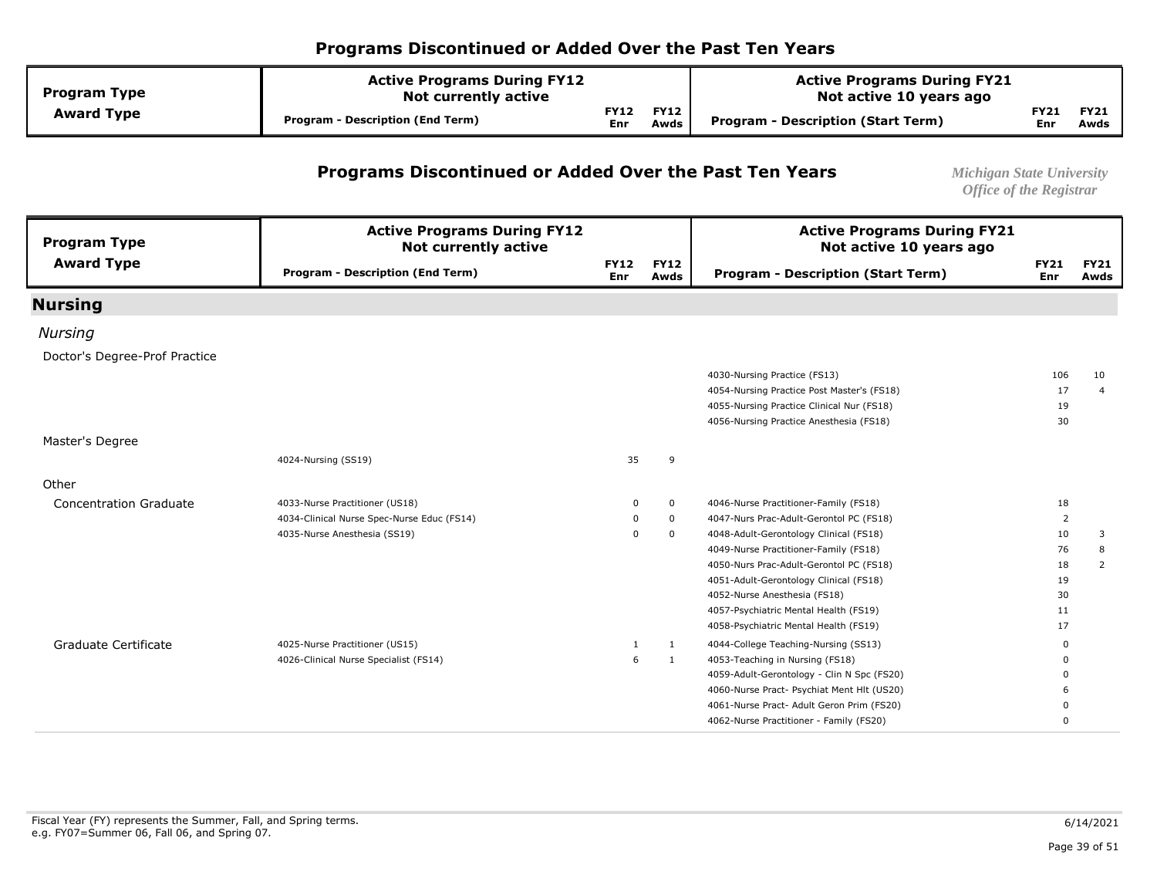| <b>Program Type</b> | <b>Active Programs During FY12</b><br><b>Not currently active</b> |                    |                     | <b>Active Programs During FY21</b><br>Not active 10 years ago |             |                     |
|---------------------|-------------------------------------------------------------------|--------------------|---------------------|---------------------------------------------------------------|-------------|---------------------|
| <b>Award Type</b>   | Program - Description (End Term)                                  | <b>FY12</b><br>Enr | <b>FY12</b><br>Awds | Program - Description (Start Term)                            | FY21<br>Enr | <b>FY21</b><br>Awds |

#### **Programs Discontinued or Added Over the Past Ten Years** *Michigan State University*

| <b>Program Type</b>           | <b>Active Programs During FY12</b><br><b>Not currently active</b> |                    |                     | <b>Active Programs During FY21</b><br>Not active 10 years ago |                    |                     |
|-------------------------------|-------------------------------------------------------------------|--------------------|---------------------|---------------------------------------------------------------|--------------------|---------------------|
| <b>Award Type</b>             | <b>Program - Description (End Term)</b>                           | <b>FY12</b><br>Enr | <b>FY12</b><br>Awds | <b>Program - Description (Start Term)</b>                     | <b>FY21</b><br>Enr | <b>FY21</b><br>Awds |
| <b>Nursing</b>                |                                                                   |                    |                     |                                                               |                    |                     |
| <b>Nursing</b>                |                                                                   |                    |                     |                                                               |                    |                     |
| Doctor's Degree-Prof Practice |                                                                   |                    |                     |                                                               |                    |                     |
|                               |                                                                   |                    |                     | 4030-Nursing Practice (FS13)                                  | 106                | 10                  |
|                               |                                                                   |                    |                     | 4054-Nursing Practice Post Master's (FS18)                    | 17                 | $\overline{4}$      |
|                               |                                                                   |                    |                     | 4055-Nursing Practice Clinical Nur (FS18)                     | 19                 |                     |
|                               |                                                                   |                    |                     | 4056-Nursing Practice Anesthesia (FS18)                       | 30                 |                     |
| Master's Degree               |                                                                   |                    |                     |                                                               |                    |                     |
|                               | 4024-Nursing (SS19)                                               | 35                 | 9                   |                                                               |                    |                     |
| Other                         |                                                                   |                    |                     |                                                               |                    |                     |
| <b>Concentration Graduate</b> | 4033-Nurse Practitioner (US18)                                    | 0                  | 0                   | 4046-Nurse Practitioner-Family (FS18)                         | 18                 |                     |
|                               | 4034-Clinical Nurse Spec-Nurse Educ (FS14)                        | 0                  | $\mathbf 0$         | 4047-Nurs Prac-Adult-Gerontol PC (FS18)                       | 2                  |                     |
|                               | 4035-Nurse Anesthesia (SS19)                                      | $\Omega$           | $\mathbf{0}$        | 4048-Adult-Gerontology Clinical (FS18)                        | 10                 | 3                   |
|                               |                                                                   |                    |                     | 4049-Nurse Practitioner-Family (FS18)                         | 76                 | 8                   |
|                               |                                                                   |                    |                     | 4050-Nurs Prac-Adult-Gerontol PC (FS18)                       | 18                 | 2                   |
|                               |                                                                   |                    |                     | 4051-Adult-Gerontology Clinical (FS18)                        | 19                 |                     |
|                               |                                                                   |                    |                     | 4052-Nurse Anesthesia (FS18)                                  | 30                 |                     |
|                               |                                                                   |                    |                     | 4057-Psychiatric Mental Health (FS19)                         | 11                 |                     |
|                               |                                                                   |                    |                     | 4058-Psychiatric Mental Health (FS19)                         | 17                 |                     |
| Graduate Certificate          | 4025-Nurse Practitioner (US15)                                    |                    | 1                   | 4044-College Teaching-Nursing (SS13)                          | <sup>0</sup>       |                     |
|                               | 4026-Clinical Nurse Specialist (FS14)                             | 6                  | 1                   | 4053-Teaching in Nursing (FS18)                               |                    |                     |
|                               |                                                                   |                    |                     | 4059-Adult-Gerontology - Clin N Spc (FS20)                    |                    |                     |
|                               |                                                                   |                    |                     | 4060-Nurse Pract- Psychiat Ment Hlt (US20)                    |                    |                     |
|                               |                                                                   |                    |                     | 4061-Nurse Pract- Adult Geron Prim (FS20)                     |                    |                     |
|                               |                                                                   |                    |                     | 4062-Nurse Practitioner - Family (FS20)                       |                    |                     |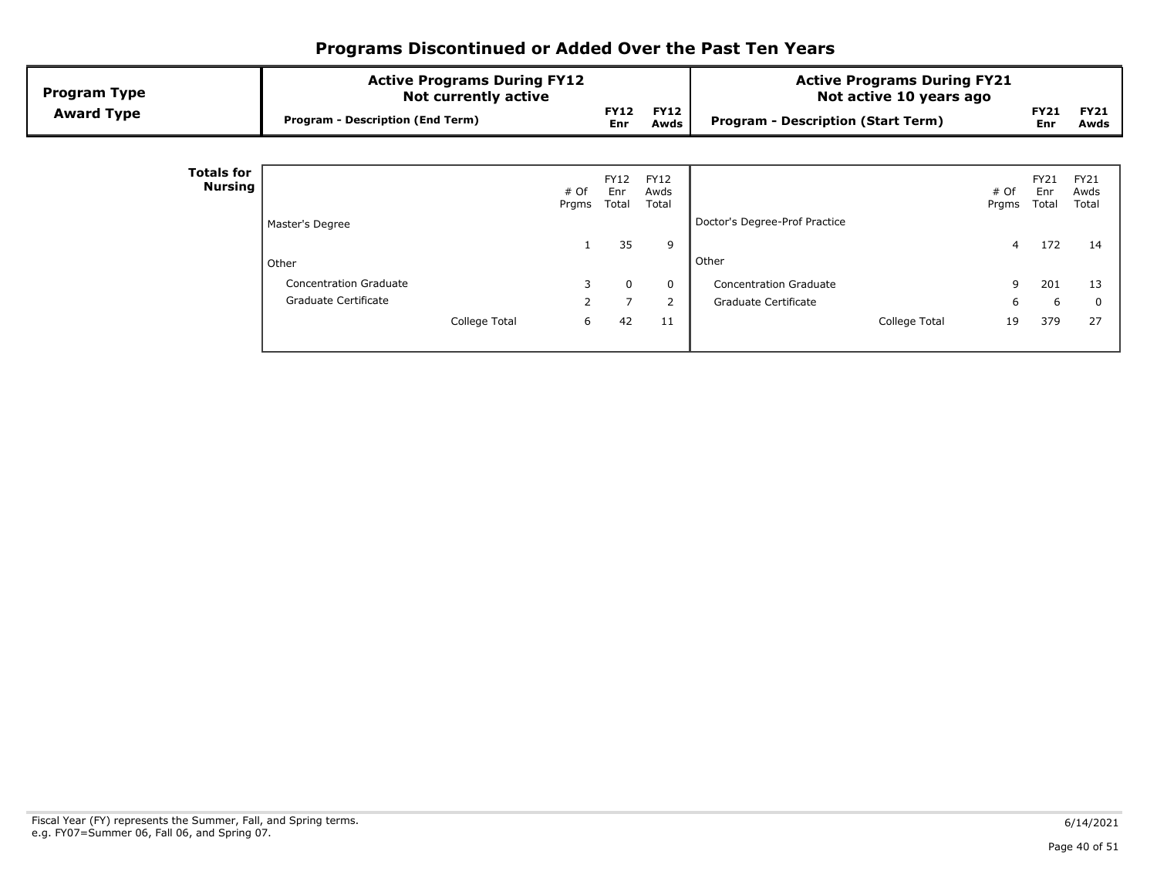| <b>Program Type</b><br><b>Award Type</b> | <b>Active Programs During FY12</b><br><b>Not currently active</b><br><b>Program - Description (End Term)</b> |               | <b>FY12</b><br><b>Enr</b> | <b>FY12</b><br>Awds          | <b>Active Programs During FY21</b><br>Not active 10 years ago<br><b>Program - Description (Start Term)</b> |               | <b>FY21</b><br>Enr   | <b>FY21</b><br>Awds          |
|------------------------------------------|--------------------------------------------------------------------------------------------------------------|---------------|---------------------------|------------------------------|------------------------------------------------------------------------------------------------------------|---------------|----------------------|------------------------------|
|                                          |                                                                                                              |               |                           |                              |                                                                                                            |               |                      |                              |
| <b>Totals for</b><br>Nursing             |                                                                                                              | # Of<br>Prgms | FY12<br>Enr<br>Total      | <b>FY12</b><br>Awds<br>Total |                                                                                                            | # Of<br>Prgms | FY21<br>Enr<br>Total | <b>FY21</b><br>Awds<br>Total |
|                                          | Master's Degree                                                                                              |               |                           |                              | Doctor's Degree-Prof Practice                                                                              |               |                      |                              |
|                                          |                                                                                                              |               | 35                        | 9                            |                                                                                                            | 4             | 172                  | 14                           |
|                                          | Other                                                                                                        |               |                           |                              | Other                                                                                                      |               |                      |                              |
|                                          | <b>Concentration Graduate</b>                                                                                | 3             | 0                         | $\Omega$                     | <b>Concentration Graduate</b>                                                                              | 9             | 201                  | 13                           |
|                                          | Graduate Certificate                                                                                         | $\mathcal{P}$ | $\overline{7}$            | 2                            | Graduate Certificate                                                                                       | 6             | 6                    | 0                            |
|                                          | College Total                                                                                                | 6             | 42                        | 11                           | College Total                                                                                              | 19            | 379                  | 27                           |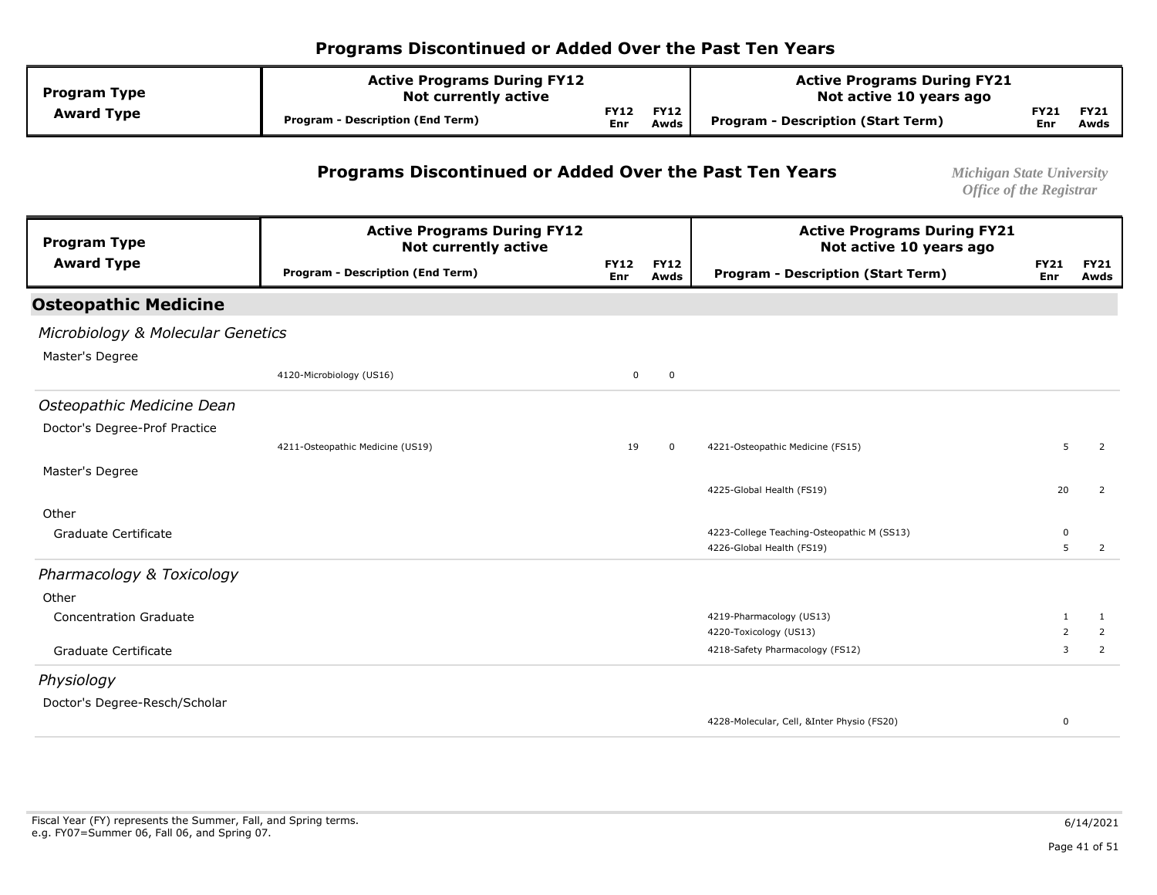| <b>Program Type</b> | <b>Active Programs During FY12</b><br><b>Not currently active</b> |                           |                     | <b>Active Programs During FY21</b><br>Not active 10 years ago |                    |                     |
|---------------------|-------------------------------------------------------------------|---------------------------|---------------------|---------------------------------------------------------------|--------------------|---------------------|
| <b>Award Type</b>   | <b>Program - Description (End Term)</b>                           | <b>FY12</b><br><b>Enr</b> | <b>FY12</b><br>Awds | Program - Description (Start Term)                            | <b>FY21</b><br>Enr | <b>FY21</b><br>Awds |

#### **Programs Discontinued or Added Over the Past Ten Years** *Michigan State University*

| <b>Program Type</b>               | <b>Active Programs During FY12</b><br><b>Not currently active</b> |                           |                     | <b>Active Programs During FY21</b><br>Not active 10 years ago |                    |                     |
|-----------------------------------|-------------------------------------------------------------------|---------------------------|---------------------|---------------------------------------------------------------|--------------------|---------------------|
| <b>Award Type</b>                 | <b>Program - Description (End Term)</b>                           | <b>FY12</b><br><b>Enr</b> | <b>FY12</b><br>Awds | <b>Program - Description (Start Term)</b>                     | <b>FY21</b><br>Enr | <b>FY21</b><br>Awds |
| <b>Osteopathic Medicine</b>       |                                                                   |                           |                     |                                                               |                    |                     |
| Microbiology & Molecular Genetics |                                                                   |                           |                     |                                                               |                    |                     |
| Master's Degree                   |                                                                   |                           |                     |                                                               |                    |                     |
|                                   | 4120-Microbiology (US16)                                          | $\mathbf 0$               | $\mathbf 0$         |                                                               |                    |                     |
| Osteopathic Medicine Dean         |                                                                   |                           |                     |                                                               |                    |                     |
| Doctor's Degree-Prof Practice     |                                                                   |                           |                     |                                                               |                    |                     |
|                                   | 4211-Osteopathic Medicine (US19)                                  | 19                        | $\mathbf 0$         | 4221-Osteopathic Medicine (FS15)                              | 5                  | 2                   |
| Master's Degree                   |                                                                   |                           |                     |                                                               |                    |                     |
|                                   |                                                                   |                           |                     | 4225-Global Health (FS19)                                     | 20                 | 2                   |
| Other                             |                                                                   |                           |                     |                                                               |                    |                     |
| Graduate Certificate              |                                                                   |                           |                     | 4223-College Teaching-Osteopathic M (SS13)                    | 0                  |                     |
|                                   |                                                                   |                           |                     | 4226-Global Health (FS19)                                     | 5                  | $\overline{2}$      |
| Pharmacology & Toxicology         |                                                                   |                           |                     |                                                               |                    |                     |
| Other                             |                                                                   |                           |                     |                                                               |                    |                     |
| <b>Concentration Graduate</b>     |                                                                   |                           |                     | 4219-Pharmacology (US13)                                      | $\mathbf{1}$       | 1                   |
|                                   |                                                                   |                           |                     | 4220-Toxicology (US13)                                        | $\overline{2}$     | 2                   |
| Graduate Certificate              |                                                                   |                           |                     | 4218-Safety Pharmacology (FS12)                               | 3                  | 2                   |
| Physiology                        |                                                                   |                           |                     |                                                               |                    |                     |
| Doctor's Degree-Resch/Scholar     |                                                                   |                           |                     |                                                               |                    |                     |
|                                   |                                                                   |                           |                     | 4228-Molecular, Cell, &Inter Physio (FS20)                    | $\Omega$           |                     |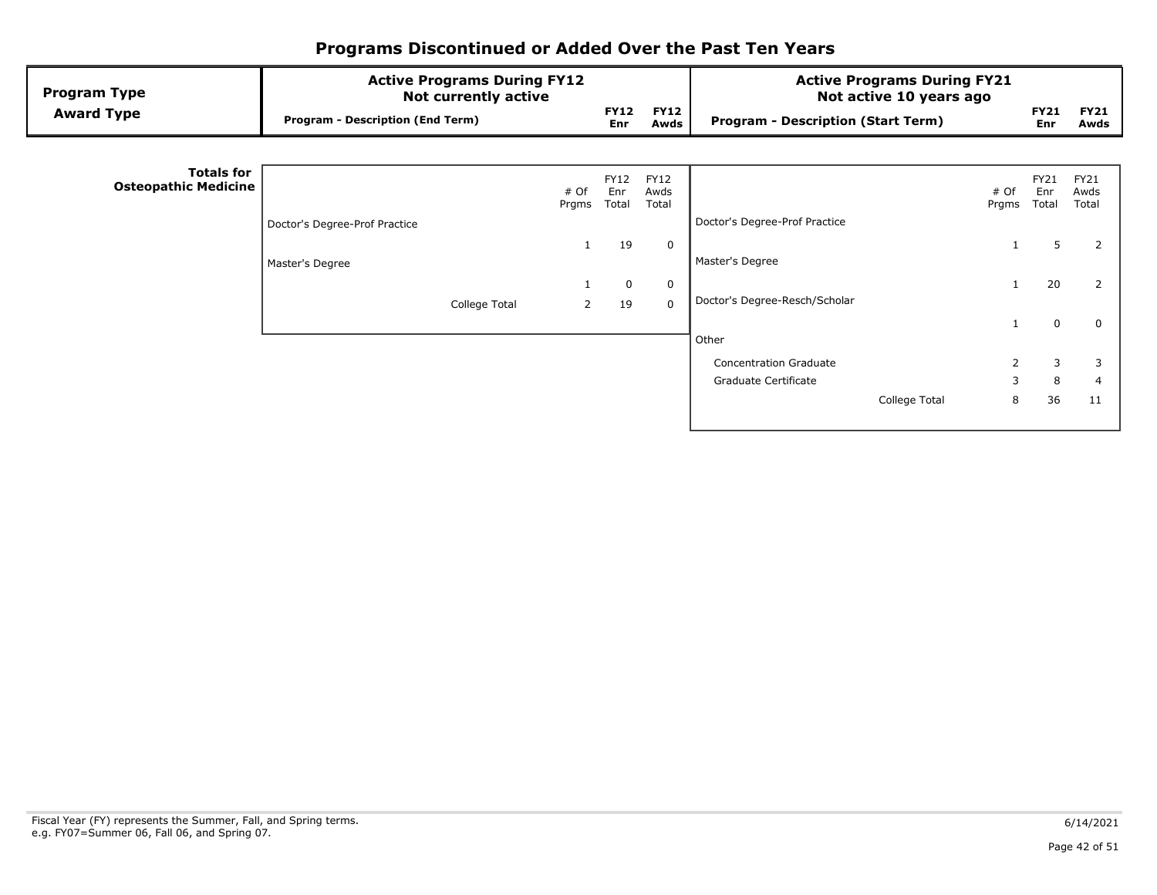| <b>FY12</b><br><b>FY12</b><br><b>FY21</b><br><b>Award Type</b><br><b>Program - Description (End Term)</b><br><b>Program - Description (Start Term)</b><br>Awds<br>Enr<br>Enr | <b>FY21</b><br>Awds          |
|------------------------------------------------------------------------------------------------------------------------------------------------------------------------------|------------------------------|
|                                                                                                                                                                              |                              |
|                                                                                                                                                                              |                              |
| <b>Totals for</b><br><b>FY12</b><br>FY12<br>FY21<br><b>Osteopathic Medicine</b><br># Of<br>Enr<br>Awds<br># Of<br>Enr<br>Total<br>Total<br>Total<br>Prgms<br>Prgms           | <b>FY21</b><br>Awds<br>Total |
| Doctor's Degree-Prof Practice<br>Doctor's Degree-Prof Practice                                                                                                               |                              |
| 5<br>19<br>0<br>1                                                                                                                                                            | 2                            |
| Master's Degree<br>Master's Degree                                                                                                                                           |                              |
| 20<br>0<br>0                                                                                                                                                                 | 2                            |
| Doctor's Degree-Resch/Scholar<br>19<br>$\mathbf 0$<br>College Total<br>2                                                                                                     |                              |
| $\mathbf 0$<br>Other                                                                                                                                                         | $\mathbf 0$                  |
| $\overline{2}$<br>3<br><b>Concentration Graduate</b>                                                                                                                         | 3                            |
| 3<br>8<br>Graduate Certificate                                                                                                                                               | $\overline{4}$               |
| 36<br>8<br>College Total                                                                                                                                                     | 11                           |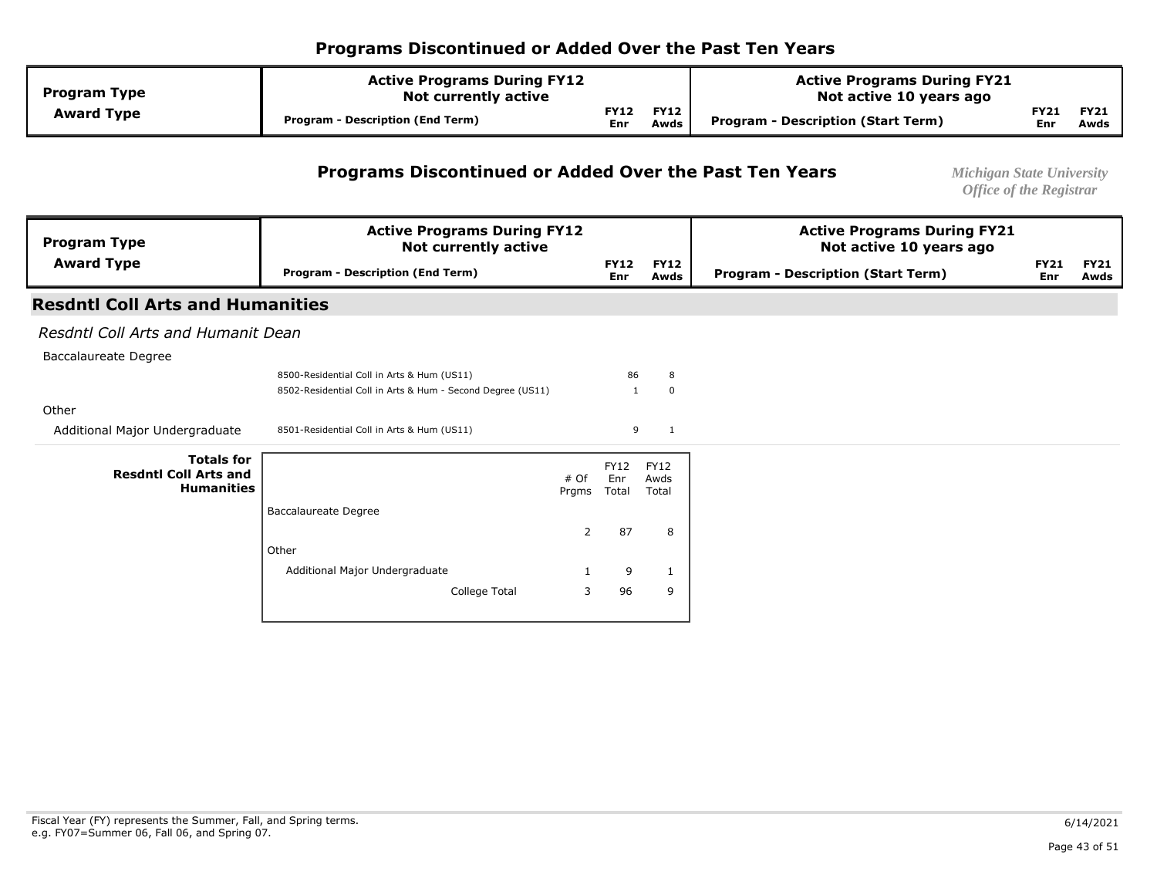| <b>Program Type</b> | <b>Active Programs During FY12</b><br><b>Not currently active</b> |                           |                     | <b>Active Programs During FY21</b><br>Not active 10 years ago |                    |                     |
|---------------------|-------------------------------------------------------------------|---------------------------|---------------------|---------------------------------------------------------------|--------------------|---------------------|
| <b>Award Type</b>   | <b>Program - Description (End Term)</b>                           | <b>FY12</b><br><b>Enr</b> | <b>FY12</b><br>Awds | Program - Description (Start Term)                            | <b>FY21</b><br>Enr | <b>FY21</b><br>Awds |

#### **Programs Discontinued or Added Over the Past Ten Years** *Michigan State University*

| <b>Program Type</b>                               | <b>Active Programs During FY12</b><br><b>Not currently active</b> |       |                    |                     | <b>Active Programs During FY21</b><br>Not active 10 years ago |                    |                     |  |
|---------------------------------------------------|-------------------------------------------------------------------|-------|--------------------|---------------------|---------------------------------------------------------------|--------------------|---------------------|--|
| <b>Award Type</b>                                 | <b>Program - Description (End Term)</b>                           |       | <b>FY12</b><br>Enr | <b>FY12</b><br>Awds | <b>Program - Description (Start Term)</b>                     | <b>FY21</b><br>Enr | <b>FY21</b><br>Awds |  |
| <b>Resdntl Coll Arts and Humanities</b>           |                                                                   |       |                    |                     |                                                               |                    |                     |  |
| Resdntl Coll Arts and Humanit Dean                |                                                                   |       |                    |                     |                                                               |                    |                     |  |
| Baccalaureate Degree                              |                                                                   |       |                    |                     |                                                               |                    |                     |  |
|                                                   | 8500-Residential Coll in Arts & Hum (US11)                        |       | 86                 | 8                   |                                                               |                    |                     |  |
|                                                   | 8502-Residential Coll in Arts & Hum - Second Degree (US11)        |       | 1                  | $\mathbf 0$         |                                                               |                    |                     |  |
| Other                                             |                                                                   |       |                    |                     |                                                               |                    |                     |  |
| Additional Major Undergraduate                    | 8501-Residential Coll in Arts & Hum (US11)                        |       | 9                  | $\mathbf{1}$        |                                                               |                    |                     |  |
| <b>Totals for</b><br><b>Resdntl Coll Arts and</b> |                                                                   | # Of  | <b>FY12</b><br>Enr | FY12<br>Awds        |                                                               |                    |                     |  |
| <b>Humanities</b>                                 |                                                                   | Prgms | Total              | Total               |                                                               |                    |                     |  |
|                                                   | <b>Baccalaureate Degree</b>                                       |       |                    |                     |                                                               |                    |                     |  |
|                                                   |                                                                   | 2     | 87                 | 8                   |                                                               |                    |                     |  |
|                                                   | Other                                                             |       |                    |                     |                                                               |                    |                     |  |
|                                                   | Additional Major Undergraduate                                    |       | 9                  | 1                   |                                                               |                    |                     |  |
|                                                   | College Total                                                     | 3     | 96                 | 9                   |                                                               |                    |                     |  |
|                                                   |                                                                   |       |                    |                     |                                                               |                    |                     |  |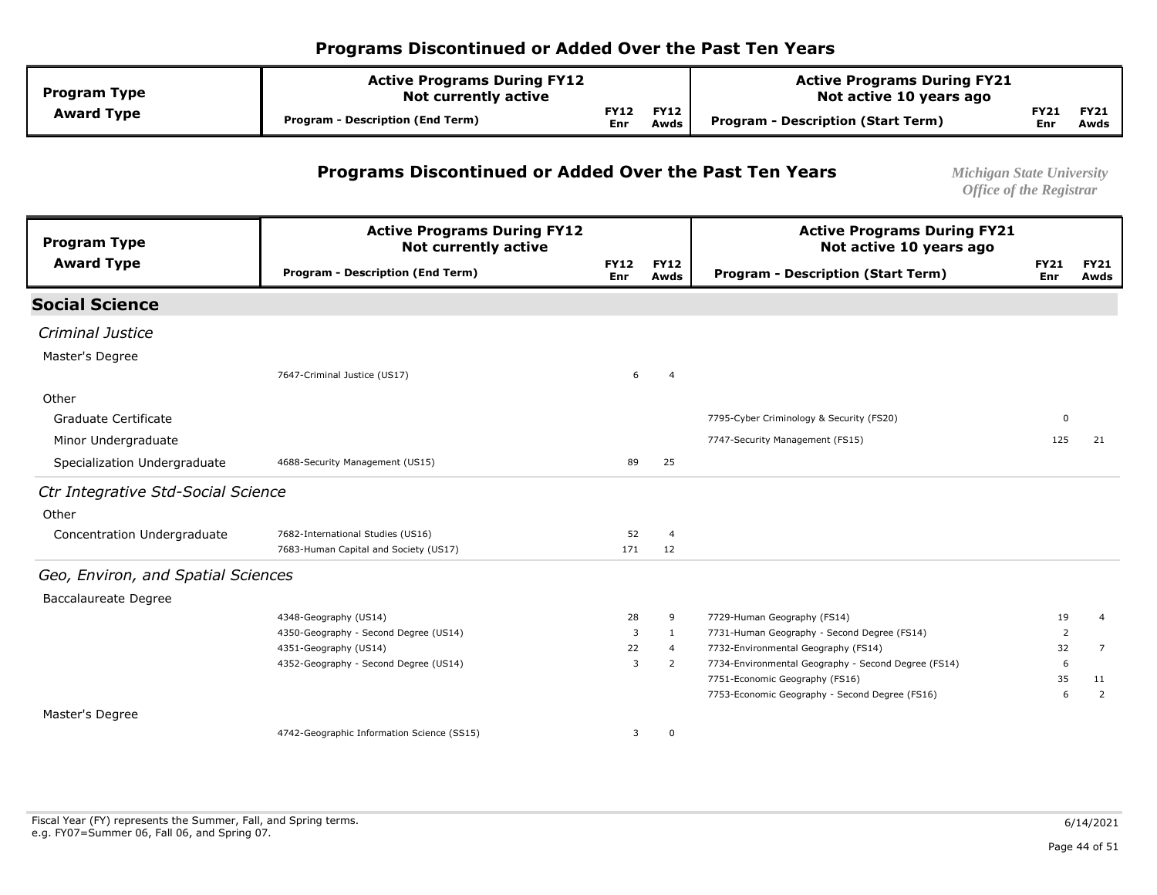| <b>Program Type</b> | <b>Active Programs During FY12</b><br><b>Not currently active</b> |                           |                     | <b>Active Programs During FY21</b><br>Not active 10 years ago |                    |                     |
|---------------------|-------------------------------------------------------------------|---------------------------|---------------------|---------------------------------------------------------------|--------------------|---------------------|
| <b>Award Type</b>   | <b>Program - Description (End Term)</b>                           | <b>FY12</b><br><b>Enr</b> | <b>FY12</b><br>Awds | Program - Description (Start Term)                            | FY21<br><b>Enr</b> | <b>FY21</b><br>Awds |

#### **Programs Discontinued or Added Over the Past Ten Years** *Michigan State University*

| <b>Program Type</b>                | <b>Active Programs During FY12</b><br><b>Not currently active</b> |                    | <b>Active Programs During FY21</b><br>Not active 10 years ago |                                                     |                    |                     |
|------------------------------------|-------------------------------------------------------------------|--------------------|---------------------------------------------------------------|-----------------------------------------------------|--------------------|---------------------|
| <b>Award Type</b>                  | <b>Program - Description (End Term)</b>                           | <b>FY12</b><br>Enr | <b>FY12</b><br>Awds                                           | <b>Program - Description (Start Term)</b>           | <b>FY21</b><br>Enr | <b>FY21</b><br>Awds |
| <b>Social Science</b>              |                                                                   |                    |                                                               |                                                     |                    |                     |
| <b>Criminal Justice</b>            |                                                                   |                    |                                                               |                                                     |                    |                     |
| Master's Degree                    |                                                                   |                    |                                                               |                                                     |                    |                     |
|                                    | 7647-Criminal Justice (US17)                                      | 6                  | $\overline{4}$                                                |                                                     |                    |                     |
| Other                              |                                                                   |                    |                                                               |                                                     |                    |                     |
| Graduate Certificate               |                                                                   |                    |                                                               | 7795-Cyber Criminology & Security (FS20)            | 0                  |                     |
| Minor Undergraduate                |                                                                   |                    |                                                               | 7747-Security Management (FS15)                     | 125                | 21                  |
| Specialization Undergraduate       | 4688-Security Management (US15)                                   | 89                 | 25                                                            |                                                     |                    |                     |
| Ctr Integrative Std-Social Science |                                                                   |                    |                                                               |                                                     |                    |                     |
| Other                              |                                                                   |                    |                                                               |                                                     |                    |                     |
| Concentration Undergraduate        | 7682-International Studies (US16)                                 | 52                 | $\overline{4}$                                                |                                                     |                    |                     |
|                                    | 7683-Human Capital and Society (US17)                             | 171                | 12                                                            |                                                     |                    |                     |
| Geo, Environ, and Spatial Sciences |                                                                   |                    |                                                               |                                                     |                    |                     |
| <b>Baccalaureate Degree</b>        |                                                                   |                    |                                                               |                                                     |                    |                     |
|                                    | 4348-Geography (US14)                                             | 28                 | 9                                                             | 7729-Human Geography (FS14)                         | 19                 | $\overline{4}$      |
|                                    | 4350-Geography - Second Degree (US14)                             | 3                  | 1                                                             | 7731-Human Geography - Second Degree (FS14)         | 2                  |                     |
|                                    | 4351-Geography (US14)                                             | 22                 | $\overline{4}$                                                | 7732-Environmental Geography (FS14)                 | 32                 | 7                   |
|                                    | 4352-Geography - Second Degree (US14)                             | 3                  | $\overline{2}$                                                | 7734-Environmental Geography - Second Degree (FS14) | 6                  |                     |
|                                    |                                                                   |                    |                                                               | 7751-Economic Geography (FS16)                      | 35                 | 11                  |
|                                    |                                                                   |                    |                                                               | 7753-Economic Geography - Second Degree (FS16)      | 6                  | $\overline{2}$      |
| Master's Degree                    |                                                                   |                    |                                                               |                                                     |                    |                     |
|                                    | 4742-Geographic Information Science (SS15)                        | 3                  | 0                                                             |                                                     |                    |                     |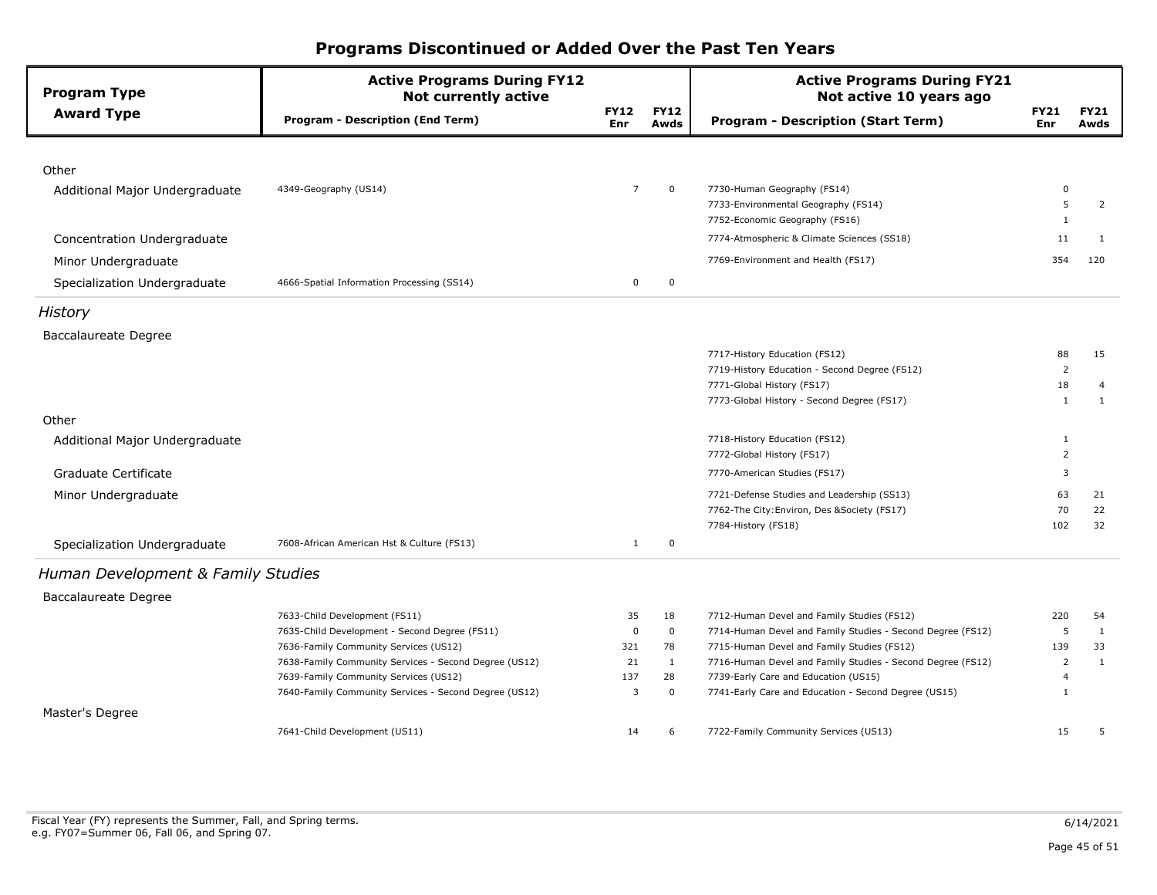| <b>Program Type</b>                | <b>Active Programs During FY12</b><br><b>Not currently active</b> |                           |                     | <b>Active Programs During FY21</b><br>Not active 10 years ago |                    |                     |
|------------------------------------|-------------------------------------------------------------------|---------------------------|---------------------|---------------------------------------------------------------|--------------------|---------------------|
| <b>Award Type</b>                  | <b>Program - Description (End Term)</b>                           | <b>FY12</b><br><b>Enr</b> | <b>FY12</b><br>Awds | <b>Program - Description (Start Term)</b>                     | <b>FY21</b><br>Enr | <b>FY21</b><br>Awds |
|                                    |                                                                   |                           |                     |                                                               |                    |                     |
| Other                              |                                                                   |                           |                     |                                                               |                    |                     |
| Additional Major Undergraduate     | 4349-Geography (US14)                                             | $\overline{7}$            | $\mathbf 0$         | 7730-Human Geography (FS14)                                   | 0                  |                     |
|                                    |                                                                   |                           |                     | 7733-Environmental Geography (FS14)                           | 5                  | $\overline{2}$      |
|                                    |                                                                   |                           |                     | 7752-Economic Geography (FS16)                                | 1                  |                     |
| Concentration Undergraduate        |                                                                   |                           |                     | 7774-Atmospheric & Climate Sciences (SS18)                    | 11                 | 1                   |
| Minor Undergraduate                |                                                                   |                           |                     | 7769-Environment and Health (FS17)                            | 354                | 120                 |
| Specialization Undergraduate       | 4666-Spatial Information Processing (SS14)                        | $\mathbf 0$               | $\mathbf 0$         |                                                               |                    |                     |
| History                            |                                                                   |                           |                     |                                                               |                    |                     |
| <b>Baccalaureate Degree</b>        |                                                                   |                           |                     |                                                               |                    |                     |
|                                    |                                                                   |                           |                     | 7717-History Education (FS12)                                 | 88                 | 15                  |
|                                    |                                                                   |                           |                     | 7719-History Education - Second Degree (FS12)                 | $\overline{2}$     |                     |
|                                    |                                                                   |                           |                     | 7771-Global History (FS17)                                    | 18                 | 4                   |
|                                    |                                                                   |                           |                     | 7773-Global History - Second Degree (FS17)                    | $\mathbf{1}$       | 1                   |
| Other                              |                                                                   |                           |                     |                                                               |                    |                     |
| Additional Major Undergraduate     |                                                                   |                           |                     | 7718-History Education (FS12)                                 | 1                  |                     |
|                                    |                                                                   |                           |                     | 7772-Global History (FS17)                                    | $\overline{2}$     |                     |
| Graduate Certificate               |                                                                   |                           |                     | 7770-American Studies (FS17)                                  | 3                  |                     |
| Minor Undergraduate                |                                                                   |                           |                     | 7721-Defense Studies and Leadership (SS13)                    | 63                 | 21                  |
|                                    |                                                                   |                           |                     | 7762-The City: Environ, Des & Society (FS17)                  | 70                 | 22                  |
|                                    |                                                                   |                           |                     | 7784-History (FS18)                                           | 102                | 32                  |
| Specialization Undergraduate       | 7608-African American Hst & Culture (FS13)                        | $\mathbf{1}$              | $\pmb{0}$           |                                                               |                    |                     |
| Human Development & Family Studies |                                                                   |                           |                     |                                                               |                    |                     |
| <b>Baccalaureate Degree</b>        |                                                                   |                           |                     |                                                               |                    |                     |
|                                    | 7633-Child Development (FS11)                                     | 35                        | 18                  | 7712-Human Devel and Family Studies (FS12)                    | 220                | 54                  |
|                                    | 7635-Child Development - Second Degree (FS11)                     | $\mathbf 0$               | $\mathbf 0$         | 7714-Human Devel and Family Studies - Second Degree (FS12)    | 5                  | 1                   |
|                                    | 7636-Family Community Services (US12)                             | 321                       | 78                  | 7715-Human Devel and Family Studies (FS12)                    | 139                | 33                  |
|                                    | 7638-Family Community Services - Second Degree (US12)             | 21                        | $\mathbf{1}$        | 7716-Human Devel and Family Studies - Second Degree (FS12)    | $\overline{2}$     | $\mathbf{1}$        |
|                                    | 7639-Family Community Services (US12)                             | 137                       | 28                  | 7739-Early Care and Education (US15)                          | $\overline{4}$     |                     |
|                                    | 7640-Family Community Services - Second Degree (US12)             | 3                         | 0                   | 7741-Early Care and Education - Second Degree (US15)          | $\mathbf{1}$       |                     |
| Master's Degree                    |                                                                   |                           |                     |                                                               |                    |                     |
|                                    | 7641-Child Development (US11)                                     | 14                        | 6                   | 7722-Family Community Services (US13)                         | 15                 | 5                   |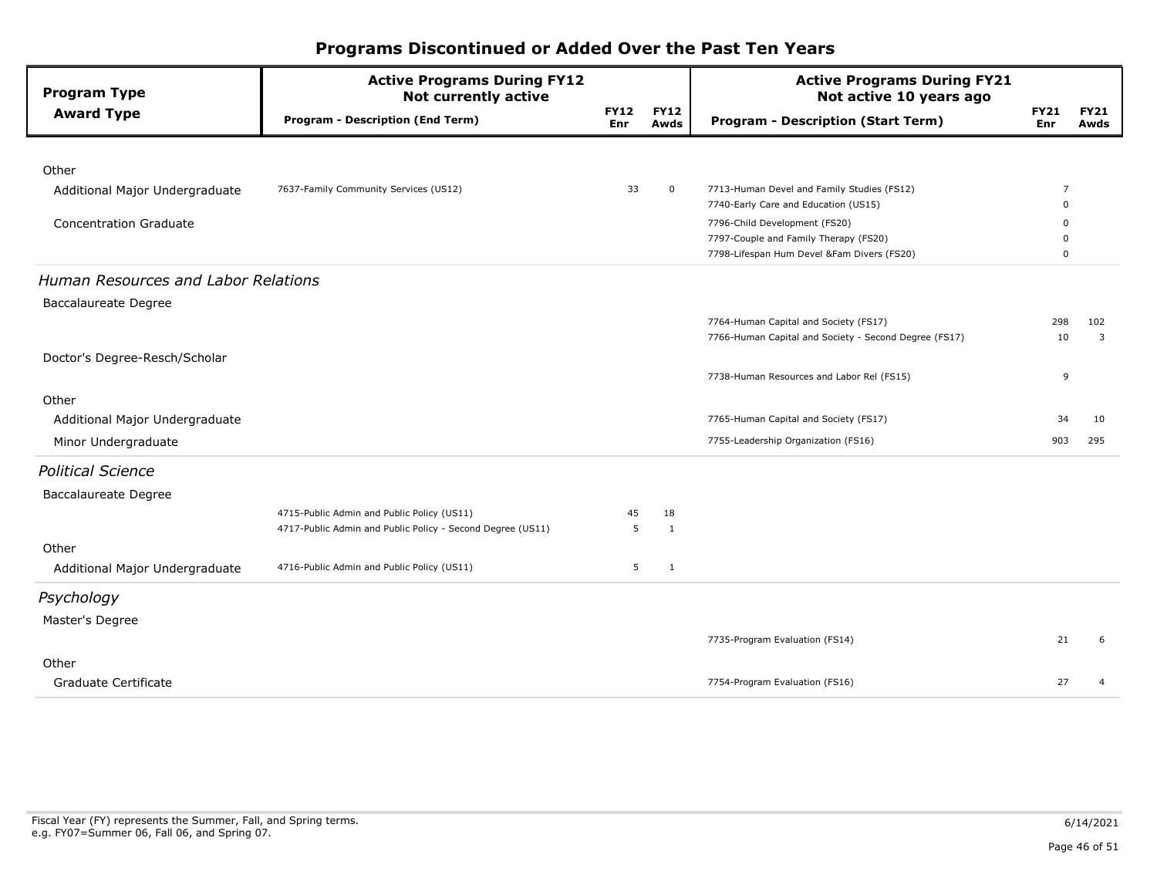| <b>Program Type</b>                 | <b>Active Programs During FY12</b><br><b>Not currently active</b> |                           |                     | <b>Active Programs During FY21</b><br>Not active 10 years ago                       |                    |                     |
|-------------------------------------|-------------------------------------------------------------------|---------------------------|---------------------|-------------------------------------------------------------------------------------|--------------------|---------------------|
| <b>Award Type</b>                   | <b>Program - Description (End Term)</b>                           | <b>FY12</b><br><b>Enr</b> | <b>FY12</b><br>Awds | <b>Program - Description (Start Term)</b>                                           | <b>FY21</b><br>Enr | <b>FY21</b><br>Awds |
|                                     |                                                                   |                           |                     |                                                                                     |                    |                     |
| Other                               |                                                                   |                           |                     |                                                                                     |                    |                     |
| Additional Major Undergraduate      | 7637-Family Community Services (US12)                             | 33                        | $\mathbf 0$         | 7713-Human Devel and Family Studies (FS12)                                          | 7                  |                     |
|                                     |                                                                   |                           |                     | 7740-Early Care and Education (US15)                                                | $\Omega$           |                     |
| <b>Concentration Graduate</b>       |                                                                   |                           |                     | 7796-Child Development (FS20)                                                       | $\Omega$           |                     |
|                                     |                                                                   |                           |                     | 7797-Couple and Family Therapy (FS20)<br>7798-Lifespan Hum Devel &Fam Divers (FS20) | $\mathbf 0$        |                     |
| Human Resources and Labor Relations |                                                                   |                           |                     |                                                                                     |                    |                     |
| Baccalaureate Degree                |                                                                   |                           |                     |                                                                                     |                    |                     |
|                                     |                                                                   |                           |                     | 7764-Human Capital and Society (FS17)                                               | 298                | 102                 |
|                                     |                                                                   |                           |                     | 7766-Human Capital and Society - Second Degree (FS17)                               | 10                 | 3                   |
| Doctor's Degree-Resch/Scholar       |                                                                   |                           |                     |                                                                                     |                    |                     |
|                                     |                                                                   |                           |                     | 7738-Human Resources and Labor Rel (FS15)                                           | 9                  |                     |
| Other                               |                                                                   |                           |                     |                                                                                     |                    |                     |
| Additional Major Undergraduate      |                                                                   |                           |                     | 7765-Human Capital and Society (FS17)                                               | 34                 | 10                  |
| Minor Undergraduate                 |                                                                   |                           |                     | 7755-Leadership Organization (FS16)                                                 | 903                | 295                 |
| <b>Political Science</b>            |                                                                   |                           |                     |                                                                                     |                    |                     |
| Baccalaureate Degree                |                                                                   |                           |                     |                                                                                     |                    |                     |
|                                     | 4715-Public Admin and Public Policy (US11)                        | 45                        | 18                  |                                                                                     |                    |                     |
|                                     | 4717-Public Admin and Public Policy - Second Degree (US11)        | 5                         | 1                   |                                                                                     |                    |                     |
| Other                               |                                                                   |                           |                     |                                                                                     |                    |                     |
| Additional Major Undergraduate      | 4716-Public Admin and Public Policy (US11)                        | 5                         | $\mathbf{1}$        |                                                                                     |                    |                     |
| Psychology                          |                                                                   |                           |                     |                                                                                     |                    |                     |
| Master's Degree                     |                                                                   |                           |                     |                                                                                     |                    |                     |
|                                     |                                                                   |                           |                     | 7735-Program Evaluation (FS14)                                                      | 21                 | 6                   |
| Other                               |                                                                   |                           |                     |                                                                                     |                    |                     |
| Graduate Certificate                |                                                                   |                           |                     | 7754-Program Evaluation (FS16)                                                      | 27                 | $\overline{4}$      |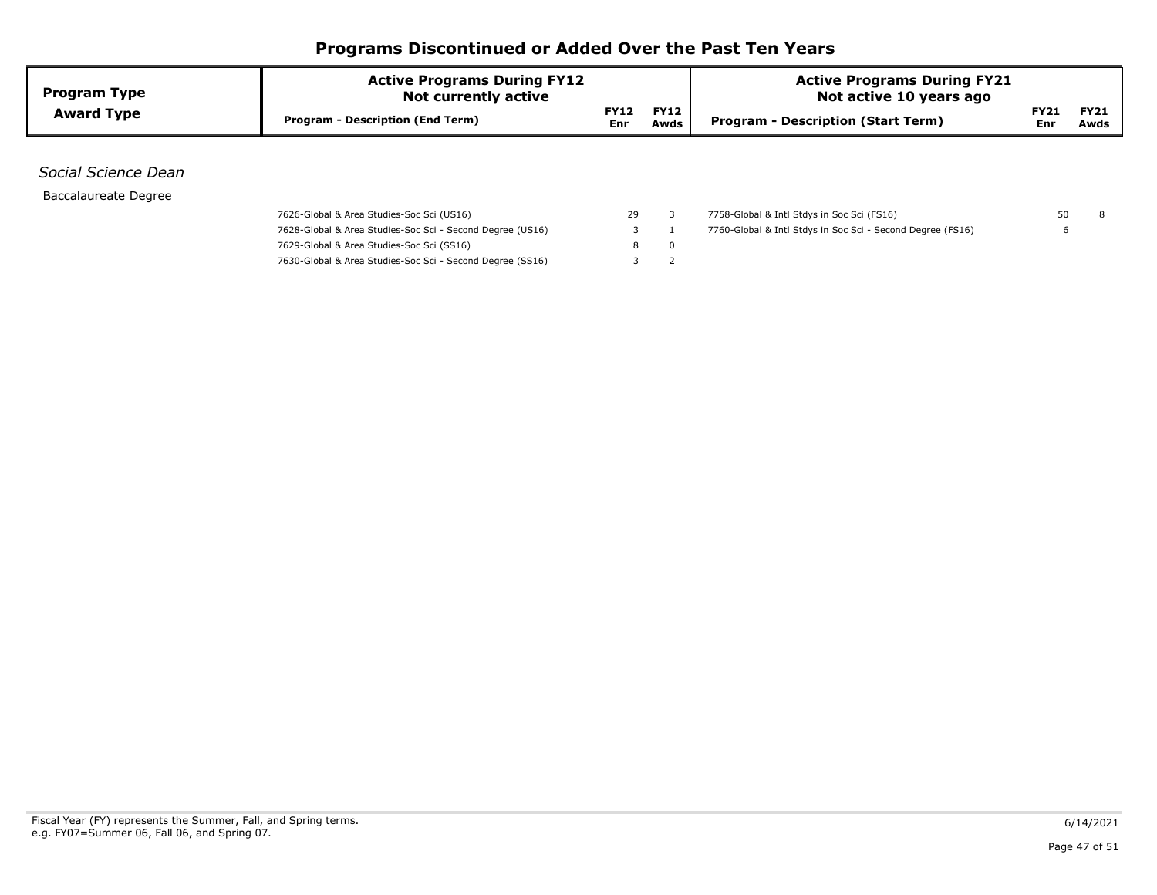| <b>Program Type</b>  | <b>Active Programs During FY12</b><br><b>Not currently active</b> |                           | <b>Active Programs During FY21</b><br>Not active 10 years ago |                                                            |                    |                     |
|----------------------|-------------------------------------------------------------------|---------------------------|---------------------------------------------------------------|------------------------------------------------------------|--------------------|---------------------|
| <b>Award Type</b>    | <b>Program - Description (End Term)</b>                           | <b>FY12</b><br><b>Enr</b> | <b>FY12</b><br>Awds                                           | <b>Program - Description (Start Term)</b>                  | <b>FY21</b><br>Enr | <b>FY21</b><br>Awds |
|                      |                                                                   |                           |                                                               |                                                            |                    |                     |
| Social Science Dean  |                                                                   |                           |                                                               |                                                            |                    |                     |
| Baccalaureate Degree |                                                                   |                           |                                                               |                                                            |                    |                     |
|                      | 7626-Global & Area Studies-Soc Sci (US16)                         | 29                        |                                                               | 7758-Global & Intl Stdys in Soc Sci (FS16)                 | 50                 | 8                   |
|                      | 7628-Global & Area Studies-Soc Sci - Second Degree (US16)         |                           |                                                               | 7760-Global & Intl Stdys in Soc Sci - Second Degree (FS16) |                    |                     |
|                      | 7629-Global & Area Studies-Soc Sci (SS16)                         | 8                         | $\mathbf 0$                                                   |                                                            |                    |                     |
|                      | 7630-Global & Area Studies-Soc Sci - Second Degree (SS16)         | 5                         |                                                               |                                                            |                    |                     |
|                      |                                                                   |                           |                                                               |                                                            |                    |                     |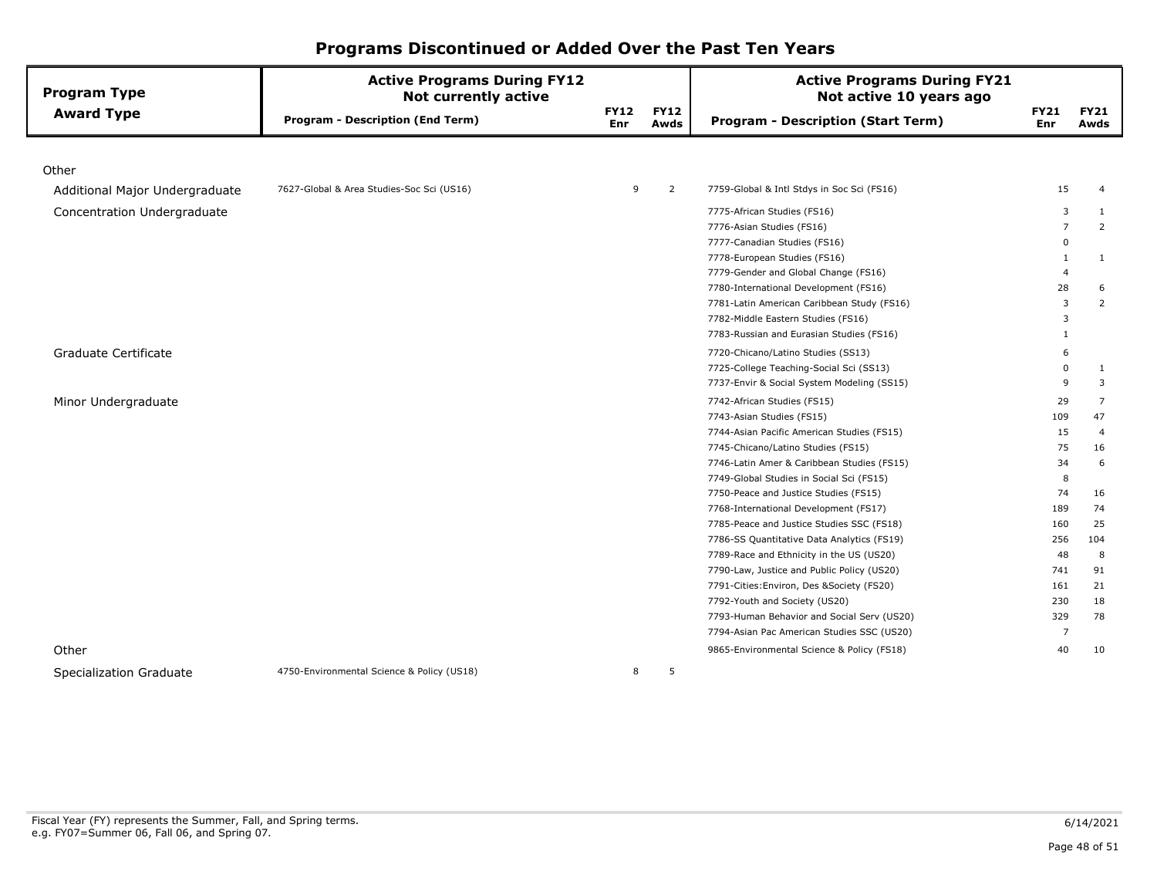| <b>Program Type</b>            | <b>Active Programs During FY12</b><br><b>Not currently active</b> |                    |                     | <b>Active Programs During FY21</b><br>Not active 10 years ago |                           |                     |
|--------------------------------|-------------------------------------------------------------------|--------------------|---------------------|---------------------------------------------------------------|---------------------------|---------------------|
| <b>Award Type</b>              | <b>Program - Description (End Term)</b>                           | <b>FY12</b><br>Enr | <b>FY12</b><br>Awds | <b>Program - Description (Start Term)</b>                     | <b>FY21</b><br><b>Enr</b> | <b>FY21</b><br>Awds |
|                                |                                                                   |                    |                     |                                                               |                           |                     |
| Other                          |                                                                   |                    |                     |                                                               |                           |                     |
| Additional Major Undergraduate | 7627-Global & Area Studies-Soc Sci (US16)                         | 9                  | $\overline{2}$      | 7759-Global & Intl Stdys in Soc Sci (FS16)                    | 15                        | 4                   |
| Concentration Undergraduate    |                                                                   |                    |                     | 7775-African Studies (FS16)                                   | 3                         | $\mathbf{1}$        |
|                                |                                                                   |                    |                     | 7776-Asian Studies (FS16)                                     | $\overline{7}$            | $\overline{2}$      |
|                                |                                                                   |                    |                     | 7777-Canadian Studies (FS16)                                  | $\Omega$                  |                     |
|                                |                                                                   |                    |                     | 7778-European Studies (FS16)                                  | 1                         | $\mathbf{1}$        |
|                                |                                                                   |                    |                     | 7779-Gender and Global Change (FS16)                          | $\overline{\mathcal{A}}$  |                     |
|                                |                                                                   |                    |                     | 7780-International Development (FS16)                         | 28                        | 6                   |
|                                |                                                                   |                    |                     | 7781-Latin American Caribbean Study (FS16)                    | $\overline{\mathbf{3}}$   | 2                   |
|                                |                                                                   |                    |                     | 7782-Middle Eastern Studies (FS16)                            | 3                         |                     |
|                                |                                                                   |                    |                     | 7783-Russian and Eurasian Studies (FS16)                      | 1                         |                     |
| Graduate Certificate           |                                                                   |                    |                     | 7720-Chicano/Latino Studies (SS13)                            | 6                         |                     |
|                                |                                                                   |                    |                     | 7725-College Teaching-Social Sci (SS13)                       | $\Omega$                  | $\mathbf{1}$        |
|                                |                                                                   |                    |                     | 7737-Envir & Social System Modeling (SS15)                    | 9                         | 3                   |
| Minor Undergraduate            |                                                                   |                    |                     | 7742-African Studies (FS15)                                   | 29                        | $\overline{7}$      |
|                                |                                                                   |                    |                     | 7743-Asian Studies (FS15)                                     | 109                       | 47                  |
|                                |                                                                   |                    |                     | 7744-Asian Pacific American Studies (FS15)                    | 15                        | $\overline{4}$      |
|                                |                                                                   |                    |                     | 7745-Chicano/Latino Studies (FS15)                            | 75                        | 16                  |
|                                |                                                                   |                    |                     | 7746-Latin Amer & Caribbean Studies (FS15)                    | 34                        | 6                   |
|                                |                                                                   |                    |                     | 7749-Global Studies in Social Sci (FS15)                      | 8                         |                     |
|                                |                                                                   |                    |                     | 7750-Peace and Justice Studies (FS15)                         | 74                        | 16                  |
|                                |                                                                   |                    |                     | 7768-International Development (FS17)                         | 189                       | 74                  |
|                                |                                                                   |                    |                     | 7785-Peace and Justice Studies SSC (FS18)                     | 160                       | 25                  |
|                                |                                                                   |                    |                     | 7786-SS Quantitative Data Analytics (FS19)                    | 256                       | 104                 |
|                                |                                                                   |                    |                     | 7789-Race and Ethnicity in the US (US20)                      | 48                        | 8                   |
|                                |                                                                   |                    |                     | 7790-Law, Justice and Public Policy (US20)                    | 741                       | 91                  |
|                                |                                                                   |                    |                     | 7791-Cities: Environ, Des & Society (FS20)                    | 161                       | 21                  |
|                                |                                                                   |                    |                     | 7792-Youth and Society (US20)                                 | 230                       | 18                  |
|                                |                                                                   |                    |                     | 7793-Human Behavior and Social Serv (US20)                    | 329                       | 78                  |
|                                |                                                                   |                    |                     | 7794-Asian Pac American Studies SSC (US20)                    | $\overline{7}$            |                     |
| Other                          |                                                                   |                    |                     | 9865-Environmental Science & Policy (FS18)                    | 40                        | 10                  |
| Specialization Graduate        | 4750-Environmental Science & Policy (US18)                        | 8                  | 5                   |                                                               |                           |                     |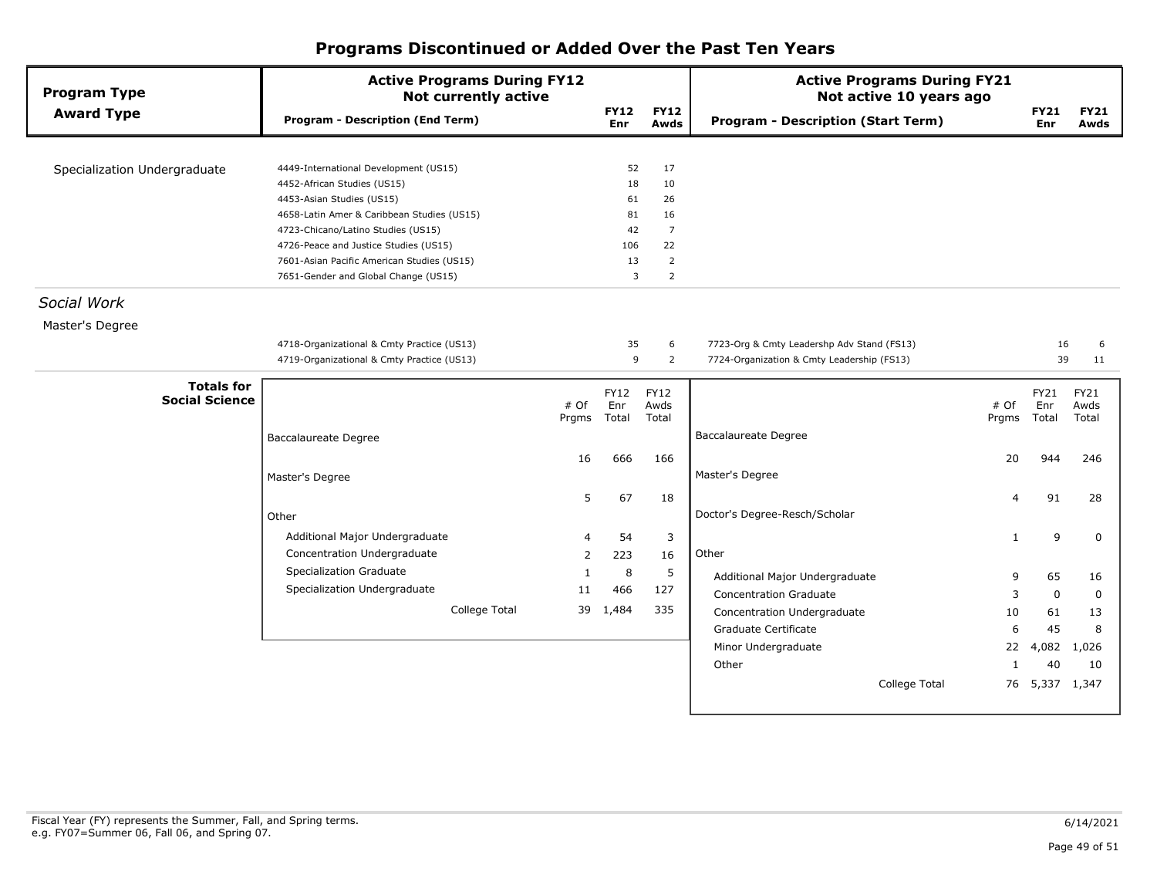| <b>Program Type</b>                        | <b>Active Programs During FY12</b><br><b>Not currently active</b> |       |                    |                     | <b>Active Programs During FY21</b><br>Not active 10 years ago |              |                    |                     |
|--------------------------------------------|-------------------------------------------------------------------|-------|--------------------|---------------------|---------------------------------------------------------------|--------------|--------------------|---------------------|
| <b>Award Type</b>                          | <b>Program - Description (End Term)</b>                           |       | <b>FY12</b><br>Enr | <b>FY12</b><br>Awds | <b>Program - Description (Start Term)</b>                     |              | <b>FY21</b><br>Enr | <b>FY21</b><br>Awds |
|                                            |                                                                   |       |                    |                     |                                                               |              |                    |                     |
| Specialization Undergraduate               | 4449-International Development (US15)                             |       | 52                 | 17                  |                                                               |              |                    |                     |
|                                            | 4452-African Studies (US15)                                       |       | 18                 | 10                  |                                                               |              |                    |                     |
|                                            | 4453-Asian Studies (US15)                                         |       | 61                 | 26                  |                                                               |              |                    |                     |
|                                            | 4658-Latin Amer & Caribbean Studies (US15)                        |       | 81                 | 16                  |                                                               |              |                    |                     |
|                                            | 4723-Chicano/Latino Studies (US15)                                |       | 42                 | $\overline{7}$      |                                                               |              |                    |                     |
|                                            | 4726-Peace and Justice Studies (US15)                             |       | 106                | 22                  |                                                               |              |                    |                     |
|                                            | 7601-Asian Pacific American Studies (US15)                        |       | 13                 | $\overline{2}$      |                                                               |              |                    |                     |
|                                            | 7651-Gender and Global Change (US15)                              |       | 3                  | $\overline{2}$      |                                                               |              |                    |                     |
| Social Work                                |                                                                   |       |                    |                     |                                                               |              |                    |                     |
| Master's Degree                            |                                                                   |       |                    |                     |                                                               |              |                    |                     |
|                                            | 4718-Organizational & Cmty Practice (US13)                        |       | 35                 | 6                   | 7723-Org & Cmty Leadershp Adv Stand (FS13)                    |              | 16                 | 6                   |
|                                            | 4719-Organizational & Cmty Practice (US13)                        |       | 9                  | $\overline{2}$      | 7724-Organization & Cmty Leadership (FS13)                    |              | 39                 | 11                  |
|                                            |                                                                   |       |                    |                     |                                                               |              |                    |                     |
| <b>Totals for</b><br><b>Social Science</b> |                                                                   | # Of  | FY12<br>Enr        | FY12<br>Awds        |                                                               | # Of         | FY21<br>Enr        | FY21<br>Awds        |
|                                            |                                                                   | Prgms | Total              | Total               |                                                               | Prgms        | Total              | Total               |
|                                            | <b>Baccalaureate Degree</b>                                       |       |                    |                     | <b>Baccalaureate Degree</b>                                   |              |                    |                     |
|                                            |                                                                   | 16    | 666                | 166                 |                                                               | 20           | 944                | 246                 |
|                                            | Master's Degree                                                   |       |                    |                     | Master's Degree                                               |              |                    |                     |
|                                            |                                                                   |       |                    |                     |                                                               |              |                    |                     |
|                                            |                                                                   | 5     | 67                 | 18                  |                                                               | 4            | 91                 | 28                  |
|                                            | Other                                                             |       |                    |                     | Doctor's Degree-Resch/Scholar                                 |              |                    |                     |
|                                            | Additional Major Undergraduate                                    | 4     | 54                 | 3                   |                                                               | $\mathbf{1}$ | 9                  | $\mathbf 0$         |
|                                            | Concentration Undergraduate                                       | 2     | 223                | 16                  | Other                                                         |              |                    |                     |
|                                            | <b>Specialization Graduate</b>                                    | 1     | 8                  | 5                   |                                                               |              |                    |                     |
|                                            | Specialization Undergraduate                                      |       |                    |                     | Additional Major Undergraduate                                | 9            | 65                 | 16                  |
|                                            |                                                                   | 11    | 466                | 127                 | <b>Concentration Graduate</b>                                 | 3            | $\mathbf 0$        | $\mathbf 0$         |
|                                            | College Total                                                     | 39    | 1,484              | 335                 | Concentration Undergraduate                                   | 10           | 61                 | 13                  |
|                                            |                                                                   |       |                    |                     | Graduate Certificate                                          | 6            | 45                 | 8                   |
|                                            |                                                                   |       |                    |                     | Minor Undergraduate                                           | 22           | 4,082              | 1,026               |
|                                            |                                                                   |       |                    |                     | Other                                                         | 1            | 40                 | 10                  |
|                                            |                                                                   |       |                    |                     | College Total                                                 | 76           | 5,337              | 1,347               |
|                                            |                                                                   |       |                    |                     |                                                               |              |                    |                     |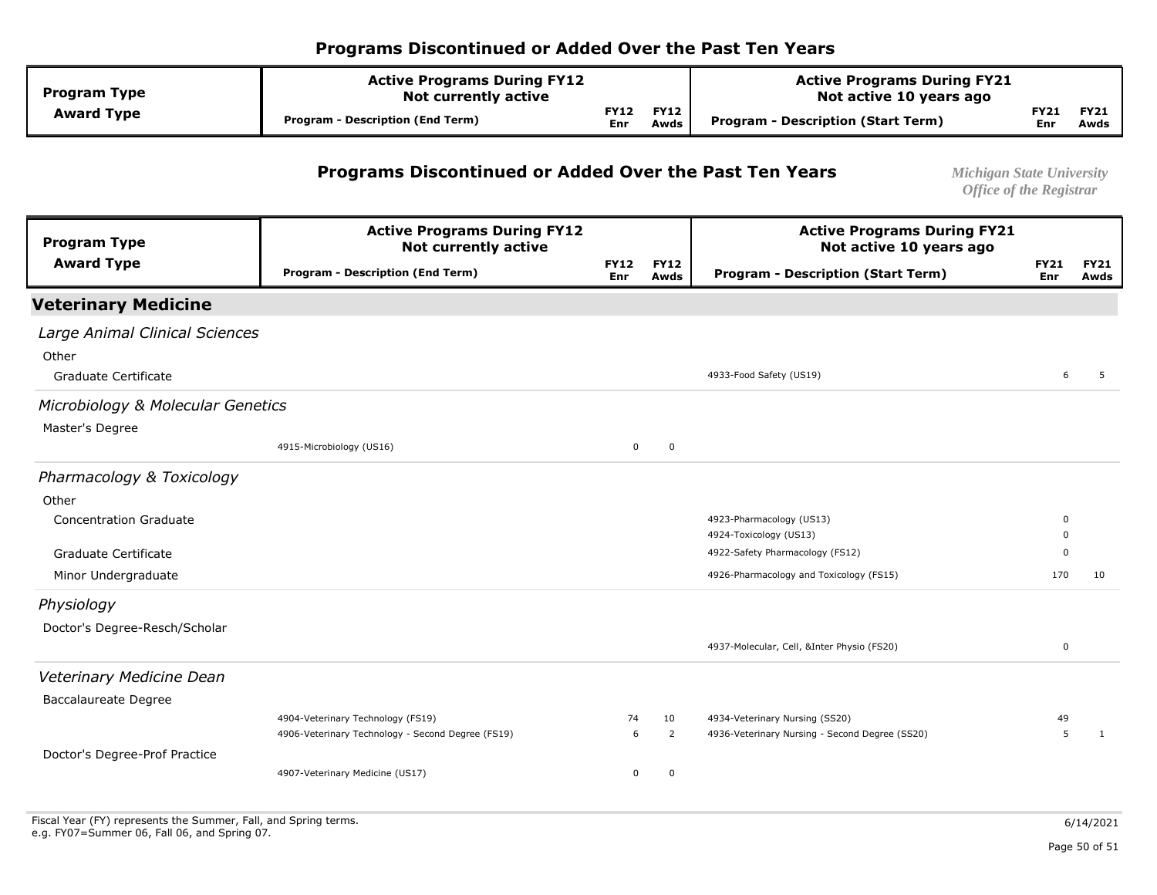| <b>Program Type</b> | <b>Active Programs During FY12</b><br><b>Not currently active</b> |                    |                     | <b>Active Programs During FY21</b><br>Not active 10 years ago |                      |                     |  |
|---------------------|-------------------------------------------------------------------|--------------------|---------------------|---------------------------------------------------------------|----------------------|---------------------|--|
| <b>Award Type</b>   | Program - Description (End Term)                                  | <b>FY12</b><br>Enr | <b>FY12</b><br>Awds | Program - Description (Start Term)                            | $-Y21$<br><b>Enr</b> | <b>FY21</b><br>Awds |  |

#### **Programs Discontinued or Added Over the Past Ten Years** *Michigan State University*

| <b>Program Type</b>               | <b>Active Programs During FY12</b><br><b>Not currently active</b> |                           |                     | <b>Active Programs During FY21</b><br>Not active 10 years ago |                    |                     |
|-----------------------------------|-------------------------------------------------------------------|---------------------------|---------------------|---------------------------------------------------------------|--------------------|---------------------|
| <b>Award Type</b>                 | <b>Program - Description (End Term)</b>                           | <b>FY12</b><br><b>Enr</b> | <b>FY12</b><br>Awds | <b>Program - Description (Start Term)</b>                     | <b>FY21</b><br>Enr | <b>FY21</b><br>Awds |
| <b>Veterinary Medicine</b>        |                                                                   |                           |                     |                                                               |                    |                     |
| Large Animal Clinical Sciences    |                                                                   |                           |                     |                                                               |                    |                     |
| Other                             |                                                                   |                           |                     |                                                               |                    |                     |
| Graduate Certificate              |                                                                   |                           |                     | 4933-Food Safety (US19)                                       | 6                  | 5                   |
| Microbiology & Molecular Genetics |                                                                   |                           |                     |                                                               |                    |                     |
| Master's Degree                   |                                                                   |                           |                     |                                                               |                    |                     |
|                                   | 4915-Microbiology (US16)                                          | $\mathbf 0$               | $\mathbf 0$         |                                                               |                    |                     |
| Pharmacology & Toxicology         |                                                                   |                           |                     |                                                               |                    |                     |
| Other                             |                                                                   |                           |                     |                                                               |                    |                     |
| <b>Concentration Graduate</b>     |                                                                   |                           |                     | 4923-Pharmacology (US13)                                      | 0                  |                     |
|                                   |                                                                   |                           |                     | 4924-Toxicology (US13)                                        | 0                  |                     |
| Graduate Certificate              |                                                                   |                           |                     | 4922-Safety Pharmacology (FS12)                               | $\Omega$           |                     |
| Minor Undergraduate               |                                                                   |                           |                     | 4926-Pharmacology and Toxicology (FS15)                       | 170                | 10                  |
| Physiology                        |                                                                   |                           |                     |                                                               |                    |                     |
| Doctor's Degree-Resch/Scholar     |                                                                   |                           |                     |                                                               |                    |                     |
|                                   |                                                                   |                           |                     | 4937-Molecular, Cell, &Inter Physio (FS20)                    | $\mathbf 0$        |                     |
| Veterinary Medicine Dean          |                                                                   |                           |                     |                                                               |                    |                     |
| <b>Baccalaureate Degree</b>       |                                                                   |                           |                     |                                                               |                    |                     |
|                                   | 4904-Veterinary Technology (FS19)                                 | 74                        | 10                  | 4934-Veterinary Nursing (SS20)                                | 49                 |                     |
|                                   | 4906-Veterinary Technology - Second Degree (FS19)                 | 6                         | 2                   | 4936-Veterinary Nursing - Second Degree (SS20)                | 5                  | 1                   |
| Doctor's Degree-Prof Practice     |                                                                   |                           |                     |                                                               |                    |                     |
|                                   | 4907-Veterinary Medicine (US17)                                   | 0                         | 0                   |                                                               |                    |                     |